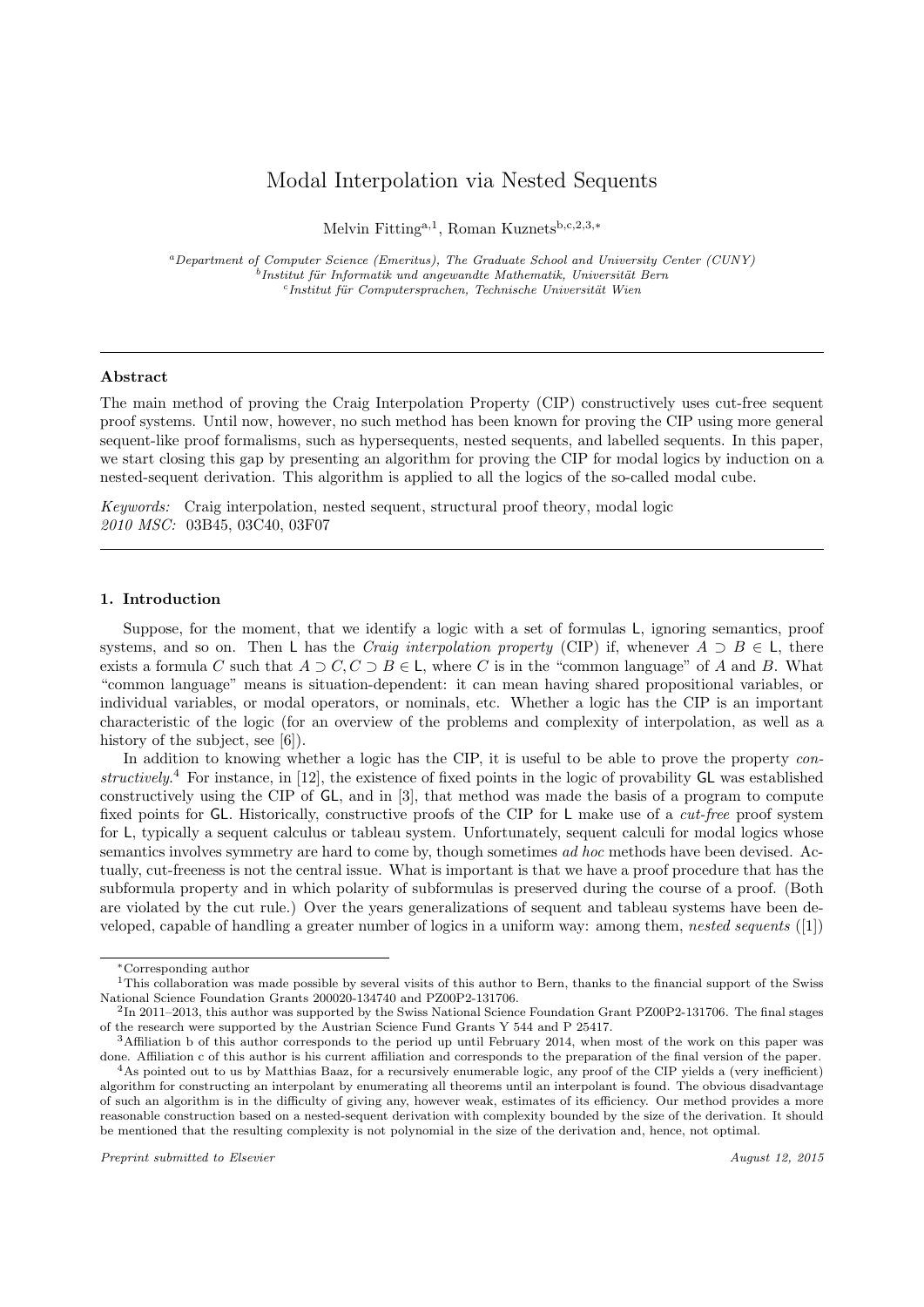# Modal Interpolation via Nested Sequents

Melvin Fitting<sup>a,1</sup>, Roman Kuznets<sup>b,c,2,3,∗</sup>

<sup>a</sup>Department of Computer Science (Emeritus), The Graduate School and University Center (CUNY)  $^{b}$ Institut für Informatik und angewandte Mathematik, Universität Bern <sup>c</sup>Institut für Computersprachen, Technische Universität Wien

## Abstract

The main method of proving the Craig Interpolation Property (CIP) constructively uses cut-free sequent proof systems. Until now, however, no such method has been known for proving the CIP using more general sequent-like proof formalisms, such as hypersequents, nested sequents, and labelled sequents. In this paper, we start closing this gap by presenting an algorithm for proving the CIP for modal logics by induction on a nested-sequent derivation. This algorithm is applied to all the logics of the so-called modal cube.

Keywords: Craig interpolation, nested sequent, structural proof theory, modal logic 2010 MSC: 03B45, 03C40, 03F07

### 1. Introduction

Suppose, for the moment, that we identify a logic with a set of formulas L, ignoring semantics, proof systems, and so on. Then L has the *Craig interpolation property* (CIP) if, whenever  $A \supset B \in L$ , there exists a formula C such that  $A \supset C, C \supset B \in \mathsf{L}$ , where C is in the "common language" of A and B. What "common language" means is situation-dependent: it can mean having shared propositional variables, or individual variables, or modal operators, or nominals, etc. Whether a logic has the CIP is an important characteristic of the logic (for an overview of the problems and complexity of interpolation, as well as a history of the subject, see [6]).

In addition to knowing whether a logic has the CIP, it is useful to be able to prove the property constructively.<sup>4</sup> For instance, in [12], the existence of fixed points in the logic of provability GL was established constructively using the CIP of GL, and in [3], that method was made the basis of a program to compute fixed points for GL. Historically, constructive proofs of the CIP for L make use of a *cut-free* proof system for L, typically a sequent calculus or tableau system. Unfortunately, sequent calculi for modal logics whose semantics involves symmetry are hard to come by, though sometimes ad hoc methods have been devised. Actually, cut-freeness is not the central issue. What is important is that we have a proof procedure that has the subformula property and in which polarity of subformulas is preserved during the course of a proof. (Both are violated by the cut rule.) Over the years generalizations of sequent and tableau systems have been developed, capable of handling a greater number of logics in a uniform way: among them, nested sequents ([1])

<sup>∗</sup>Corresponding author

<sup>&</sup>lt;sup>1</sup>This collaboration was made possible by several visits of this author to Bern, thanks to the financial support of the Swiss National Science Foundation Grants 200020-134740 and PZ00P2-131706.

<sup>&</sup>lt;sup>2</sup>In 2011–2013, this author was supported by the Swiss National Science Foundation Grant PZ00P2-131706. The final stages of the research were supported by the Austrian Science Fund Grants Y 544 and P 25417.

<sup>3</sup>Affiliation b of this author corresponds to the period up until February 2014, when most of the work on this paper was done. Affiliation c of this author is his current affiliation and corresponds to the preparation of the final version of the paper.

<sup>&</sup>lt;sup>4</sup>As pointed out to us by Matthias Baaz, for a recursively enumerable logic, any proof of the CIP yields a (very inefficient) algorithm for constructing an interpolant by enumerating all theorems until an interpolant is found. The obvious disadvantage of such an algorithm is in the difficulty of giving any, however weak, estimates of its efficiency. Our method provides a more reasonable construction based on a nested-sequent derivation with complexity bounded by the size of the derivation. It should be mentioned that the resulting complexity is not polynomial in the size of the derivation and, hence, not optimal.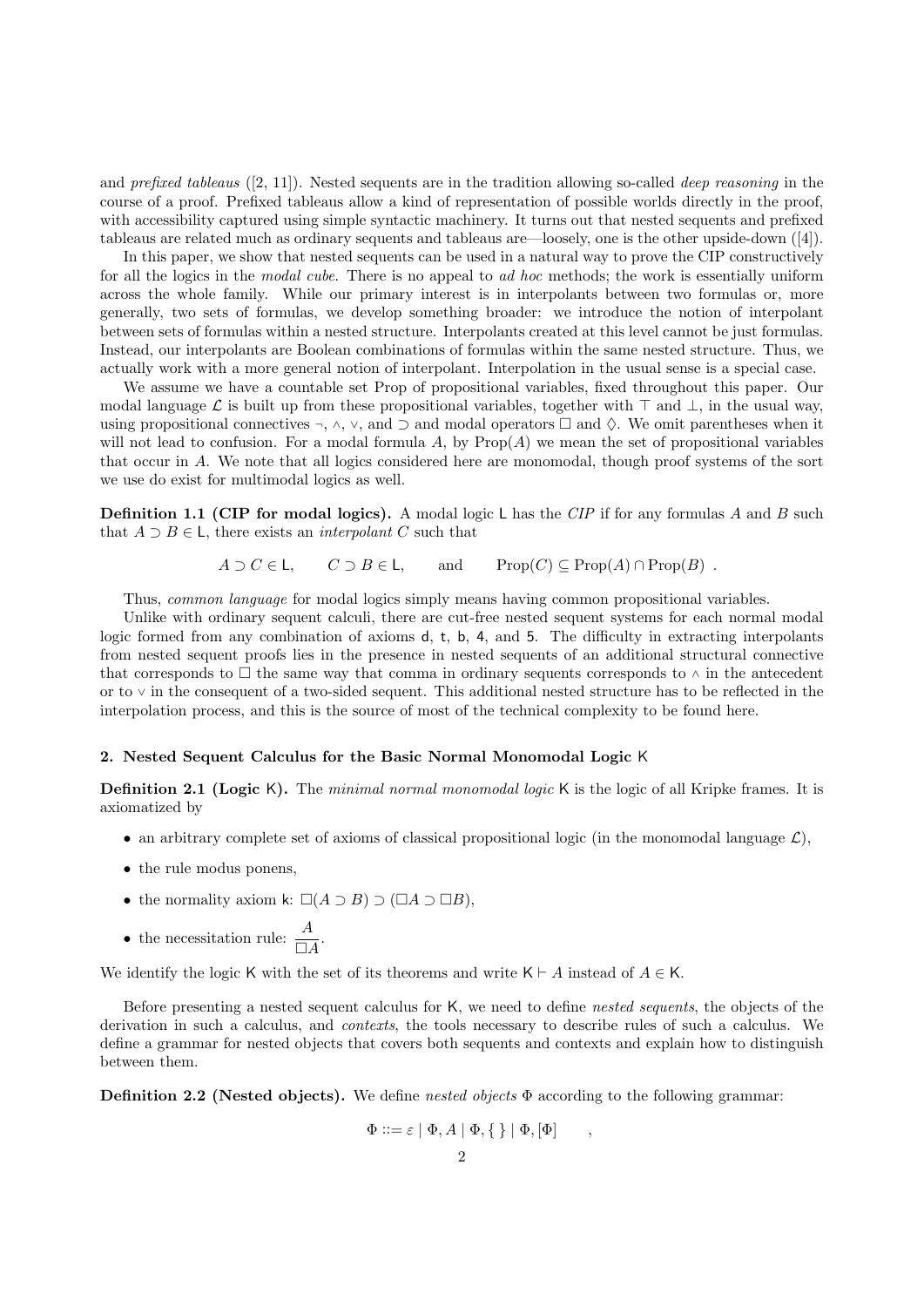and *prefixed tableaus* ([2, 11]). Nested sequents are in the tradition allowing so-called *deep reasoning* in the course of a proof. Prefixed tableaus allow a kind of representation of possible worlds directly in the proof, with accessibility captured using simple syntactic machinery. It turns out that nested sequents and prefixed tableaus are related much as ordinary sequents and tableaus are—loosely, one is the other upside-down ([4]).

In this paper, we show that nested sequents can be used in a natural way to prove the CIP constructively for all the logics in the modal cube. There is no appeal to ad hoc methods; the work is essentially uniform across the whole family. While our primary interest is in interpolants between two formulas or, more generally, two sets of formulas, we develop something broader: we introduce the notion of interpolant between sets of formulas within a nested structure. Interpolants created at this level cannot be just formulas. Instead, our interpolants are Boolean combinations of formulas within the same nested structure. Thus, we actually work with a more general notion of interpolant. Interpolation in the usual sense is a special case.

We assume we have a countable set Prop of propositional variables, fixed throughout this paper. Our modal language L is built up from these propositional variables, together with  $\top$  and  $\bot$ , in the usual way, using propositional connectives  $\neg$ ,  $\wedge$ ,  $\vee$ , and  $\supset$  and modal operators  $\square$  and  $\diamond$ . We omit parentheses when it will not lead to confusion. For a modal formula  $A$ , by  $Prop(A)$  we mean the set of propositional variables that occur in A. We note that all logics considered here are monomodal, though proof systems of the sort we use do exist for multimodal logics as well.

**Definition 1.1 (CIP for modal logics).** A modal logic L has the CIP if for any formulas A and B such that  $A \supset B \in \mathsf{L}$ , there exists an *interpolant* C such that

 $A \supset C \in \mathsf{L}$ ,  $C \supset B \in \mathsf{L}$ , and  $\text{Prop}(C) \subseteq \text{Prop}(A) \cap \text{Prop}(B)$ .

Thus, common language for modal logics simply means having common propositional variables.

Unlike with ordinary sequent calculi, there are cut-free nested sequent systems for each normal modal logic formed from any combination of axioms d, t, b, 4, and 5. The difficulty in extracting interpolants from nested sequent proofs lies in the presence in nested sequents of an additional structural connective that corresponds to  $\Box$  the same way that comma in ordinary sequents corresponds to  $\land$  in the antecedent or to <sup>∨</sup> in the consequent of a two-sided sequent. This additional nested structure has to be reflected in the interpolation process, and this is the source of most of the technical complexity to be found here.

## 2. Nested Sequent Calculus for the Basic Normal Monomodal Logic K

**Definition 2.1 (Logic K).** The minimal normal monomodal logic  $K$  is the logic of all Kripke frames. It is axiomatized by

- an arbitrary complete set of axioms of classical propositional logic (in the monomodal language  $\mathcal{L}$ ),
- the rule modus ponens,
- the normality axiom k:  $\square(A \supset B) \supset (\square A \supset \square B)$ ,
- the necessitation rule:  $\frac{A}{\Box A}$ .

We identify the logic K with the set of its theorems and write K  $\vdash A$  instead of  $A \in \mathsf{K}$ .

Before presenting a nested sequent calculus for K, we need to define nested sequents, the objects of the derivation in such a calculus, and contexts, the tools necessary to describe rules of such a calculus. We define a grammar for nested objects that covers both sequents and contexts and explain how to distinguish between them.

**Definition 2.2 (Nested objects).** We define nested objects  $\Phi$  according to the following grammar:

$$
\Phi ::= \varepsilon \mid \Phi, A \mid \Phi, \{\,\} \mid \Phi, [\Phi] \qquad ,
$$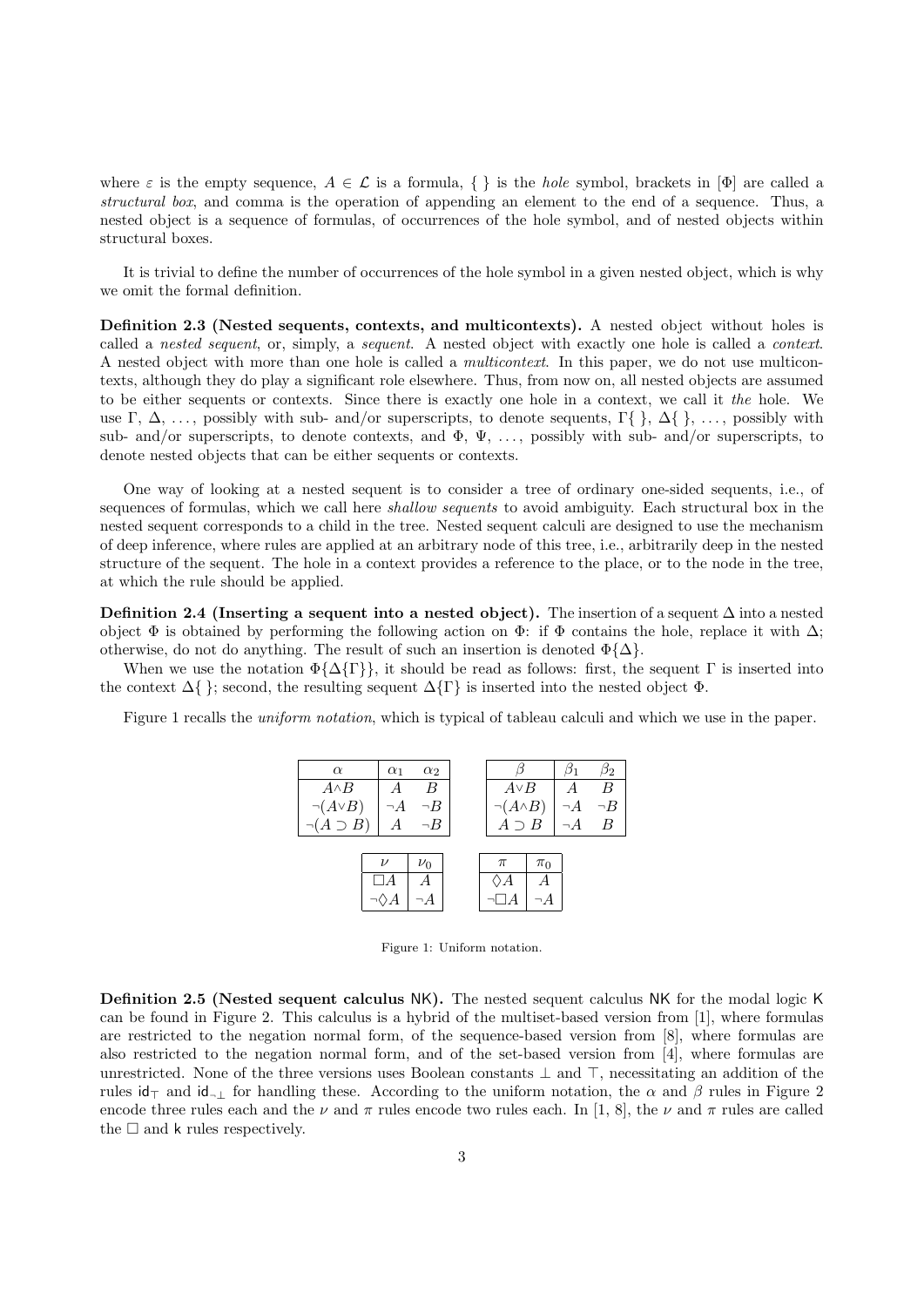where  $\varepsilon$  is the empty sequence,  $A \in \mathcal{L}$  is a formula,  $\{\}\$ is the *hole* symbol, brackets in  $[\Phi]$  are called a structural box, and comma is the operation of appending an element to the end of a sequence. Thus, a nested object is a sequence of formulas, of occurrences of the hole symbol, and of nested objects within structural boxes.

It is trivial to define the number of occurrences of the hole symbol in a given nested object, which is why we omit the formal definition.

Definition 2.3 (Nested sequents, contexts, and multicontexts). A nested object without holes is called a nested sequent, or, simply, a sequent. A nested object with exactly one hole is called a context. A nested object with more than one hole is called a *multicontext*. In this paper, we do not use multicontexts, although they do play a significant role elsewhere. Thus, from now on, all nested objects are assumed to be either sequents or contexts. Since there is exactly one hole in a context, we call it the hole. We use  $\Gamma$ ,  $\Delta$ , ..., possibly with sub- and/or superscripts, to denote sequents,  $\Gamma\{\}\$ ,  $\Delta\{\}\$ , ..., possibly with sub- and/or superscripts, to denote contexts, and  $\Phi$ ,  $\Psi$ , ..., possibly with sub- and/or superscripts, to denote nested objects that can be either sequents or contexts.

One way of looking at a nested sequent is to consider a tree of ordinary one-sided sequents, i.e., of sequences of formulas, which we call here *shallow sequents* to avoid ambiguity. Each structural box in the nested sequent corresponds to a child in the tree. Nested sequent calculi are designed to use the mechanism of deep inference, where rules are applied at an arbitrary node of this tree, i.e., arbitrarily deep in the nested structure of the sequent. The hole in a context provides a reference to the place, or to the node in the tree, at which the rule should be applied.

Definition 2.4 (Inserting a sequent into a nested object). The insertion of a sequent  $\Delta$  into a nested object  $\Phi$  is obtained by performing the following action on  $\Phi$ : if  $\Phi$  contains the hole, replace it with  $\Delta$ ; otherwise, do not do anything. The result of such an insertion is denoted  $\Phi\{\Delta\}$ .

When we use the notation  $\Phi\{\Delta\{\Gamma\}\}\$ , it should be read as follows: first, the sequent  $\Gamma$  is inserted into the context  $\Delta\{\}$ ; second, the resulting sequent  $\Delta\{\Gamma\}$  is inserted into the nested object  $\Phi$ .

Figure 1 recalls the *uniform notation*, which is typical of tableau calculi and which we use in the paper.



Figure 1: Uniform notation.

Definition 2.5 (Nested sequent calculus NK). The nested sequent calculus NK for the modal logic K can be found in Figure 2. This calculus is a hybrid of the multiset-based version from [1], where formulas are restricted to the negation normal form, of the sequence-based version from [8], where formulas are also restricted to the negation normal form, and of the set-based version from [4], where formulas are unrestricted. None of the three versions uses Boolean constants  $\perp$  and  $\perp$ , necessitating an addition of the rules id $\tau$  and id<sub>¬⊥</sub> for handling these. According to the uniform notation, the  $\alpha$  and  $\beta$  rules in Figure 2 encode three rules each and the  $\nu$  and  $\pi$  rules encode two rules each. In [1, 8], the  $\nu$  and  $\pi$  rules are called the  $\square$  and k rules respectively.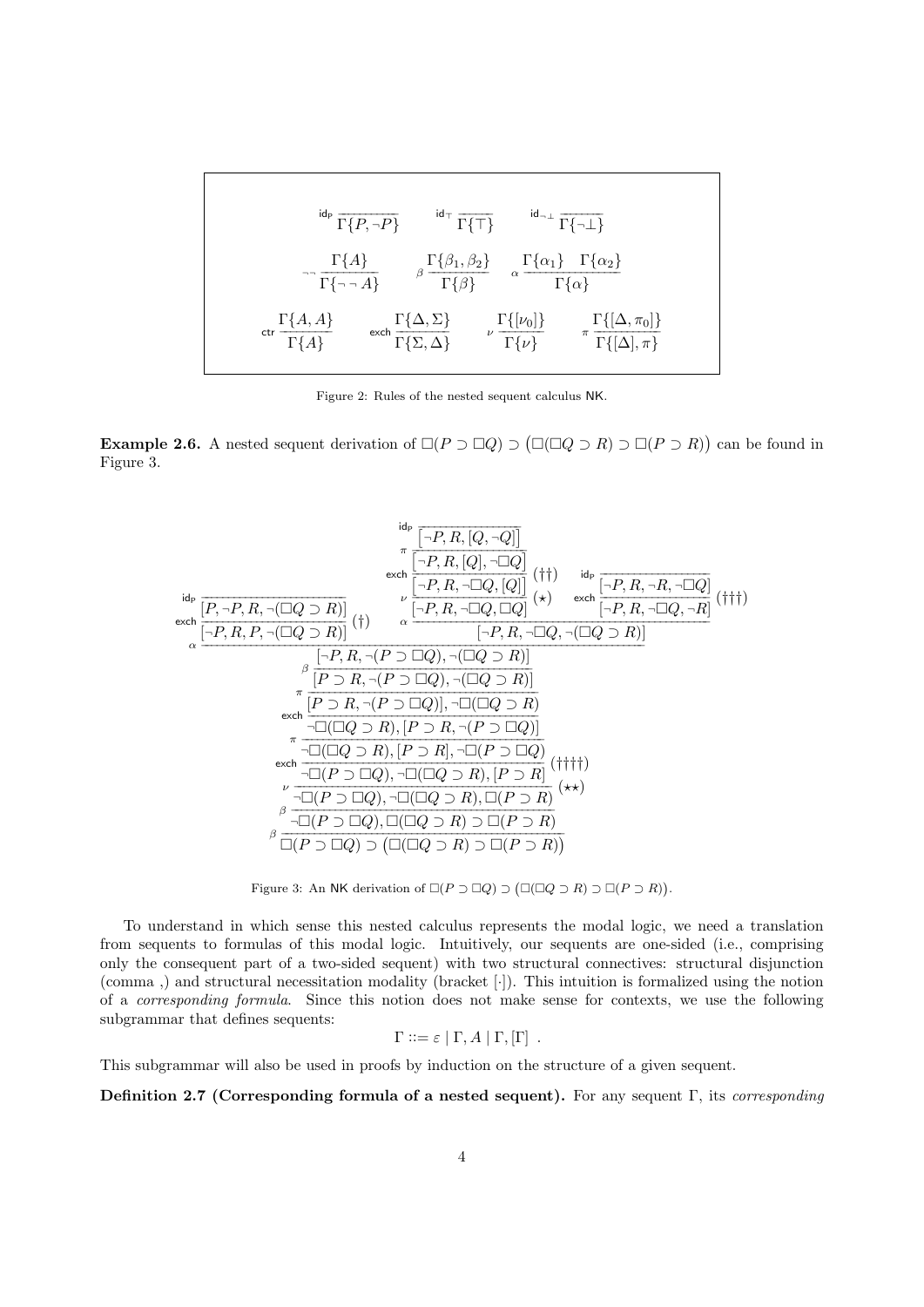$$
\frac{\mathrm{id}_{P}\overline{\Gamma\{P,\neg P\}}}{\Gamma\{P,\neg P\}} \qquad \frac{\mathrm{id}_{\top}\overline{\Gamma\{\top\}}}{\Gamma\{\top\}} \qquad \frac{\mathrm{id}_{\neg\perp}\overline{\Gamma\{\neg\perp\}}}{\Gamma\{\neg\perp\}}
$$
\n
$$
\frac{\Gamma\{A\}}{\Gamma\{\neg\neg A\}} \qquad \beta \frac{\Gamma\{\beta_{1},\beta_{2}\}}{\Gamma\{\beta\}} \qquad \alpha \frac{\Gamma\{\alpha_{1}\}\Gamma\{\alpha_{2}\}}{\Gamma\{\alpha\}}
$$
\n
$$
\frac{\mathrm{d}{\Gamma\{A,A\}}}{\Gamma\{A,A\}} \qquad \text{exch} \frac{\Gamma\{\Delta,\Sigma\}}{\Gamma\{\Sigma,\Delta\}} \qquad \nu \frac{\Gamma\{[\nu_{0}]\}}{\Gamma\{\nu\}} \qquad \pi \frac{\Gamma\{[\Delta,\pi_{0}]\}}{\Gamma\{\Delta],\pi\}}
$$

Figure 2: Rules of the nested sequent calculus NK.

**Example 2.6.** A nested sequent derivation of  $\square (P \supset \square Q) \supset (\square (\square Q \supset R) \supset \square (P \supset R))$  can be found in Figure 3.

id<sup>P</sup> −−−−−−−−−−−−−−−−−−−−−−−−−− [P, <sup>¬</sup>P, R, <sup>¬</sup>(Q ⊃ R)] exch −−−−−−−−−−−−−−−−−−−−−−−−−− (†) [¬P, R, P, <sup>¬</sup>(Q ⊃ R)] id<sup>P</sup> −−−−−−−−−−−−−−−−−− -<sup>¬</sup>P, R, [Q, <sup>¬</sup>Q] <sup>π</sup> −−−−−−−−−−−−−−−−−−−− -<sup>¬</sup>P, R, [Q], <sup>¬</sup>Q exch −−−−−−−−−−−−−−−−−−−− - (††) <sup>¬</sup>P, R, <sup>¬</sup>Q, [Q] ν −−−−−−−−−−−−−−−−−−−− (?) [¬P, R, <sup>¬</sup>Q, Q] id<sup>P</sup> −−−−−−−−−−−−−−−−−−− [¬P, R, <sup>¬</sup>R, <sup>¬</sup>Q] exch −−−−−−−−−−−−−−−−−−− (†††) [¬P, R, <sup>¬</sup>Q, <sup>¬</sup>R] α −−−−−−−−−−−−−−−−−−−−−−−−−−−−−−−−−−−−−−−−−−−−−−−−−−−−− [¬P, R, <sup>¬</sup>Q, <sup>¬</sup>(Q ⊃ R)] α −−−−−−−−−−−−−−−−−−−−−−−−−−−−−−−−−−−−−−−−−−−−−−−−−−−−−−−−−−−−−−−−−−−−−−−−−−−−−−− [¬P, R, <sup>¬</sup>(P ⊃ Q), <sup>¬</sup>(Q ⊃ R)] β −−−−−−−−−−−−−−−−−−−−−−−−−−−−−−−−−−−−−−− [P ⊃ R, <sup>¬</sup>(P ⊃ Q), <sup>¬</sup>(Q ⊃ R)] π −−−−−−−−−−−−−−−−−−−−−−−−−−−−−−−−−−−−−−−−− [P ⊃ R, <sup>¬</sup>(P ⊃ Q)], <sup>¬</sup>(Q ⊃ R) exch −−−−−−−−−−−−−−−−−−−−−−−−−−−−−−−−−−−−−−−−− <sup>¬</sup>(Q ⊃ R), [P ⊃ R, <sup>¬</sup>(P ⊃ Q)] π −−−−−−−−−−−−−−−−−−−−−−−−−−−−−−−−−−−−−−−−−−− <sup>¬</sup>(Q ⊃ R), [P ⊃ R], <sup>¬</sup>(P ⊃ Q) exch −−−−−−−−−−−−−−−−−−−−−−−−−−−−−−−−−−−−−−−−−−− (††††) <sup>¬</sup>(P ⊃ Q), <sup>¬</sup>(Q ⊃ R), [P ⊃ R] ν −−−−−−−−−−−−−−−−−−−−−−−−−−−−−−−−−−−−−−−−−−−−−− (??) <sup>¬</sup>(P ⊃ Q), <sup>¬</sup>(Q ⊃ R), (P ⊃ R) β −−−−−−−−−−−−−−−−−−−−−−−−−−−−−−−−−−−−−−−−−−−−−−− <sup>¬</sup>(P ⊃ Q), (Q ⊃ R) ⊃ (P ⊃ R) β −−−−−−−−−−−−−−−−−−−−−−−−−−−−−−−−−−−−−−−−−−−−−−−−−− (P ⊃ Q) ⊃ (Q ⊃ R) ⊃ (P ⊃ R) 

Figure 3: An NK derivation of  $\square (P \supset \square Q) \supset (\square (\square Q \supset R) \supset \square (P \supset R)).$ 

To understand in which sense this nested calculus represents the modal logic, we need a translation from sequents to formulas of this modal logic. Intuitively, our sequents are one-sided (i.e., comprising only the consequent part of a two-sided sequent) with two structural connectives: structural disjunction (comma ,) and structural necessitation modality (bracket [·]). This intuition is formalized using the notion of a corresponding formula. Since this notion does not make sense for contexts, we use the following subgrammar that defines sequents:

$$
\Gamma ::= \varepsilon | \Gamma, A | \Gamma, [\Gamma] .
$$

This subgrammar will also be used in proofs by induction on the structure of a given sequent.

Definition 2.7 (Corresponding formula of a nested sequent). For any sequent Γ, its corresponding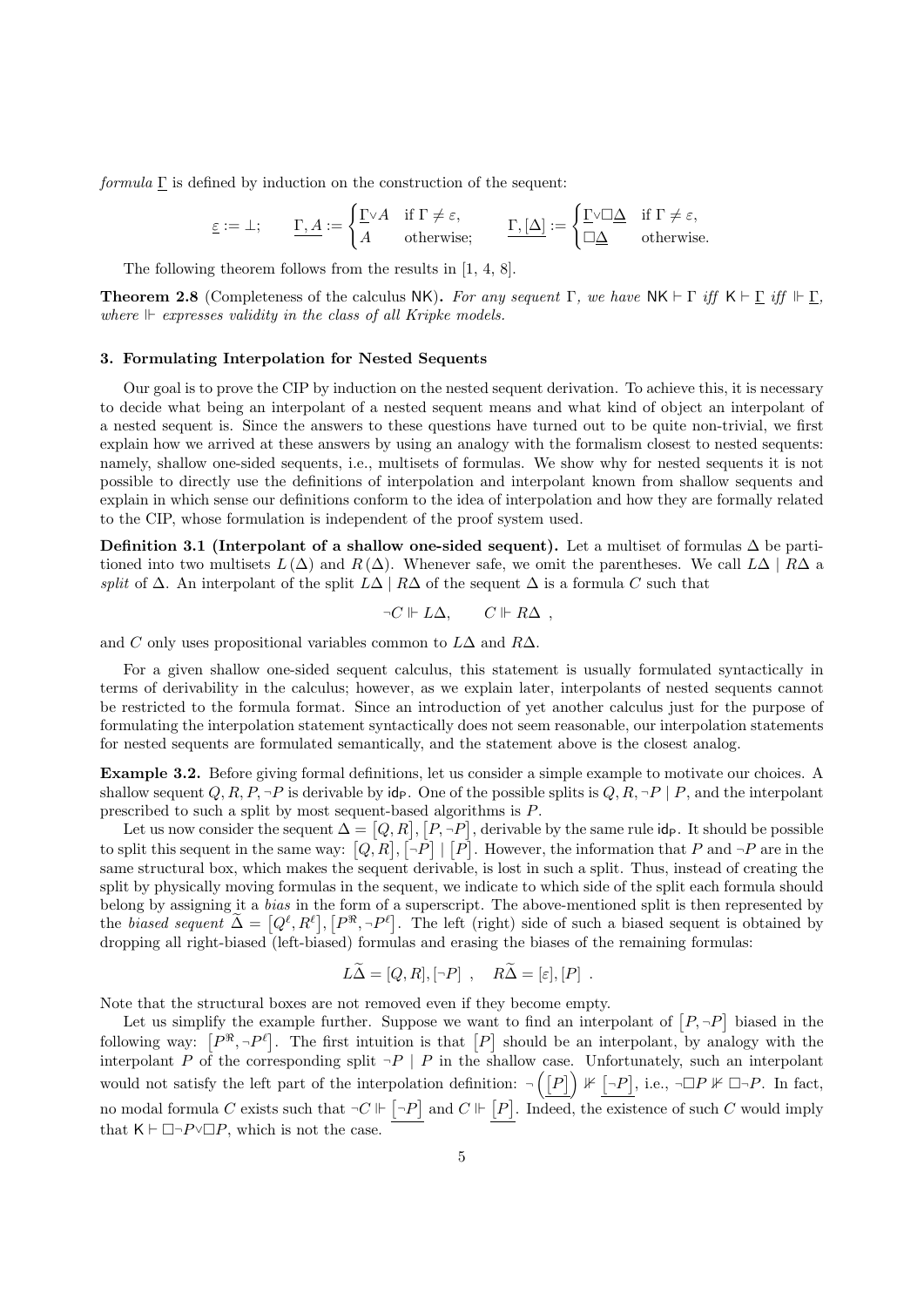$formula \Gamma$  is defined by induction on the construction of the sequent:

$$
\underline{\varepsilon} := \bot; \qquad \underline{\Gamma, A} := \begin{cases} \underline{\Gamma} \vee A & \text{if } \Gamma \neq \varepsilon, \\ A & \text{otherwise}; \end{cases} \qquad \underline{\Gamma, [\Delta]} := \begin{cases} \underline{\Gamma} \vee \Box \underline{\Delta} & \text{if } \Gamma \neq \varepsilon, \\ \Box \underline{\Delta} & \text{otherwise}. \end{cases}
$$

The following theorem follows from the results in [1, 4, 8].

**Theorem 2.8** (Completeness of the calculus NK). For any sequent  $\Gamma$ , we have NK  $\vdash \Gamma$  iff K  $\vdash \Gamma$  iff  $\Vdash \Gamma$ , where  $\mathbb F$  expresses validity in the class of all Kripke models.

### 3. Formulating Interpolation for Nested Sequents

Our goal is to prove the CIP by induction on the nested sequent derivation. To achieve this, it is necessary to decide what being an interpolant of a nested sequent means and what kind of object an interpolant of a nested sequent is. Since the answers to these questions have turned out to be quite non-trivial, we first explain how we arrived at these answers by using an analogy with the formalism closest to nested sequents: namely, shallow one-sided sequents, i.e., multisets of formulas. We show why for nested sequents it is not possible to directly use the definitions of interpolation and interpolant known from shallow sequents and explain in which sense our definitions conform to the idea of interpolation and how they are formally related to the CIP, whose formulation is independent of the proof system used.

Definition 3.1 (Interpolant of a shallow one-sided sequent). Let a multiset of formulas  $\Delta$  be partitioned into two multisets  $L(\Delta)$  and  $R(\Delta)$ . Whenever safe, we omit the parentheses. We call  $L\Delta | R\Delta$  a split of  $\Delta$ . An interpolant of the split  $L\Delta | R\Delta$  of the sequent  $\Delta$  is a formula C such that

$$
\neg C \Vdash L\Delta, \qquad C \Vdash R\Delta ,
$$

and C only uses propositional variables common to  $L\Delta$  and  $R\Delta$ .

For a given shallow one-sided sequent calculus, this statement is usually formulated syntactically in terms of derivability in the calculus; however, as we explain later, interpolants of nested sequents cannot be restricted to the formula format. Since an introduction of yet another calculus just for the purpose of formulating the interpolation statement syntactically does not seem reasonable, our interpolation statements for nested sequents are formulated semantically, and the statement above is the closest analog.

Example 3.2. Before giving formal definitions, let us consider a simple example to motivate our choices. A shallow sequent Q, R, P,  $\neg P$  is derivable by ide. One of the possible splits is Q, R,  $\neg P \mid P$ , and the interpolant prescribed to such a split by most sequent-based algorithms is P.

Let us now consider the sequent  $\Delta = \big[Q,R\big], \big[P,\neg P\big],$  derivable by the same rule id<sub>P</sub>. It should be possible to split this sequent in the same way:  $[Q, R]$ ,  $[\neg P] | [P]$ . However, the information that P and  $\neg P$  are in the same structural box, which makes the sequent derivable, is lost in such a split. Thus, instead of creating the split by physically moving formulas in the sequent, we indicate to which side of the split each formula should belong by assigning it a bias in the form of a superscript. The above-mentioned split is then represented by the *biased sequent*  $\tilde{\Delta} = [Q^{\ell}, R^{\ell}], [P^{\Re}, \neg P^{\ell}].$  The left (right) side of such a biased sequent is obtained by dropping all right-biased (left-biased) formulas and erasing the biases of the remaining formulas:

$$
L\widetilde{\Delta} = [Q, R], [-P] , R\widetilde{\Delta} = [\varepsilon], [P] .
$$

Note that the structural boxes are not removed even if they become empty.

Let us simplify the example further. Suppose we want to find an interpolant of  $[P, \neg P]$  biased in the following way:  $[P^{\Re}, \neg P^{\ell}]$ . The first intuition is that  $[P]$  should be an interpolant, by analogy with the interpolant P of the corresponding split  $\neg P \mid P$  in the shallow case. Unfortunately, such an interpolant would not satisfy the left part of the interpolation definition:  $\neg \left( \begin{bmatrix} P \end{bmatrix} \right) \mathbb{1} \neq \begin{bmatrix} \neg P \end{bmatrix}$ , i.e.,  $\neg \Box P \mathbb{1} \neq \Box \neg P$ . In fact, no modal formula C exists such that  $\neg C \Vdash \neg P$  and  $C \Vdash [P]$ . Indeed, the existence of such C would imply that  $\mathsf{K} \vdash \Box\neg P \lor \Box P$ , which is not the case.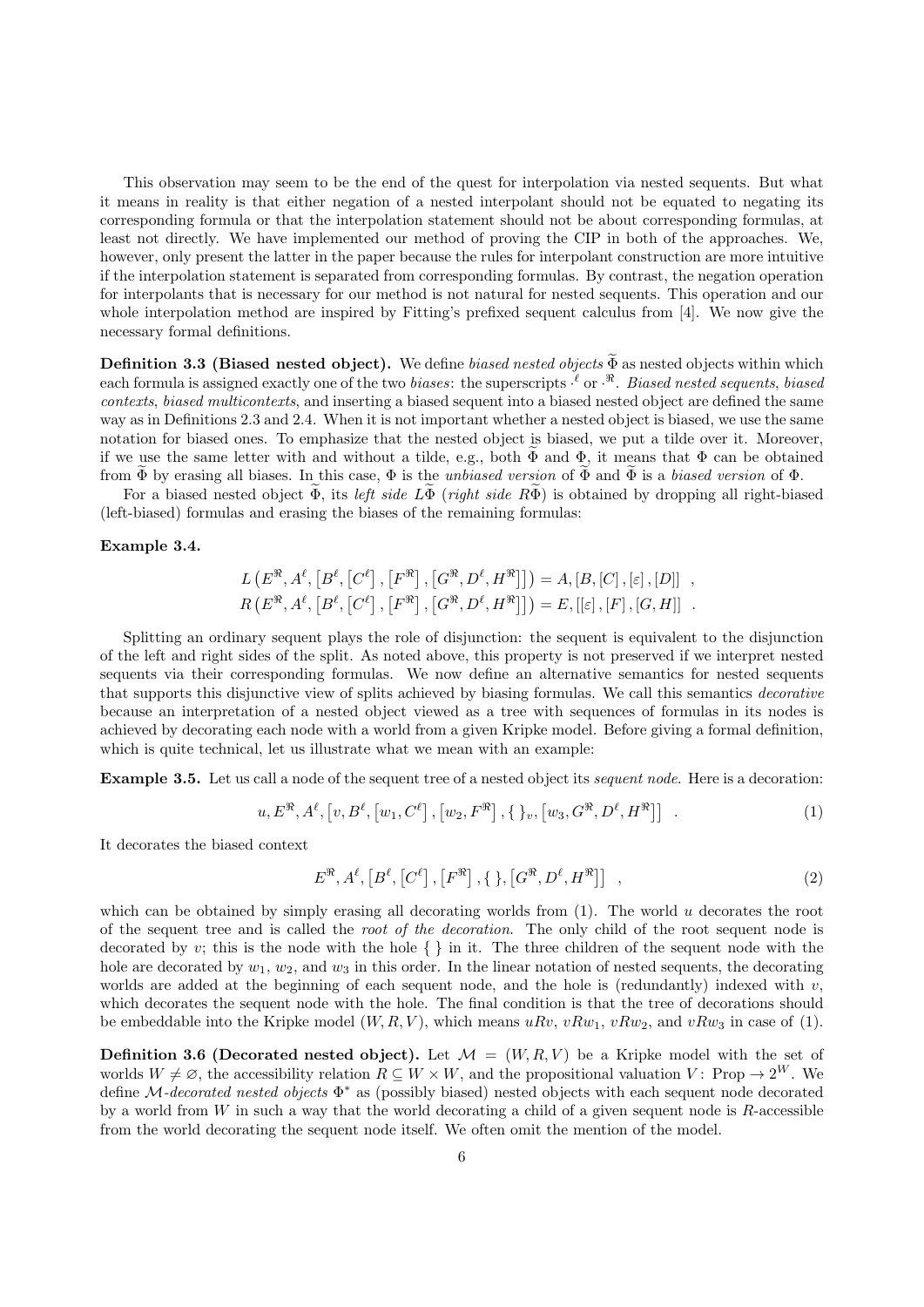This observation may seem to be the end of the quest for interpolation via nested sequents. But what it means in reality is that either negation of a nested interpolant should not be equated to negating its corresponding formula or that the interpolation statement should not be about corresponding formulas, at least not directly. We have implemented our method of proving the CIP in both of the approaches. We, however, only present the latter in the paper because the rules for interpolant construction are more intuitive if the interpolation statement is separated from corresponding formulas. By contrast, the negation operation for interpolants that is necessary for our method is not natural for nested sequents. This operation and our whole interpolation method are inspired by Fitting's prefixed sequent calculus from [4]. We now give the necessary formal definitions.

**Definition 3.3 (Biased nested object).** We define biased nested objects  $\widetilde{\Phi}$  as nested objects within which each formula is assigned exactly one of the two *biases*: the superscripts  $\cdot^{\ell}$  or  $\cdot^{\Re}$ . *Biased nested sequents, biased* contexts, biased multicontexts, and inserting a biased sequent into a biased nested object are defined the same way as in Definitions 2.3 and 2.4. When it is not important whether a nested object is biased, we use the same notation for biased ones. To emphasize that the nested object is biased, we put a tilde over it. Moreover, if we use the same letter with and without a tilde, e.g., both  $\Phi$  and  $\Phi$ , it means that  $\Phi$  can be obtained from  $\tilde{\Phi}$  by erasing all biases. In this case,  $\Phi$  is the *unbiased version* of  $\tilde{\Phi}$  and  $\tilde{\Phi}$  is a *biased version* of  $\Phi$ .

For a biased nested object  $\Phi$ , its left side  $L\Phi$  (right side  $R\Phi$ ) is obtained by dropping all right-biased (left-biased) formulas and erasing the biases of the remaining formulas:

# Example 3.4.

$$
L(E^{\mathcal{R}}, A^{\ell}, [B^{\ell}, [C^{\ell}], [F^{\mathcal{R}}], [G^{\mathcal{R}}, D^{\ell}, H^{\mathcal{R}}]]]) = A, [B, [C], [\varepsilon], [D]] ,
$$
  

$$
R(E^{\mathcal{R}}, A^{\ell}, [B^{\ell}, [C^{\ell}], [F^{\mathcal{R}}], [G^{\mathcal{R}}, D^{\ell}, H^{\mathcal{R}}]]]) = E, [[\varepsilon], [F], [G, H]] .
$$

Splitting an ordinary sequent plays the role of disjunction: the sequent is equivalent to the disjunction of the left and right sides of the split. As noted above, this property is not preserved if we interpret nested sequents via their corresponding formulas. We now define an alternative semantics for nested sequents that supports this disjunctive view of splits achieved by biasing formulas. We call this semantics decorative because an interpretation of a nested object viewed as a tree with sequences of formulas in its nodes is achieved by decorating each node with a world from a given Kripke model. Before giving a formal definition, which is quite technical, let us illustrate what we mean with an example:

Example 3.5. Let us call a node of the sequent tree of a nested object its sequent node. Here is a decoration:

$$
u, E^{\Re}, A^{\ell}, [v, B^{\ell}, [w_1, C^{\ell}], [w_2, F^{\Re}], \{ \}_v, [w_3, G^{\Re}, D^{\ell}, H^{\Re}]] \quad . \tag{1}
$$

It decorates the biased context

$$
E^{\mathfrak{R}}, A^{\ell}, [B^{\ell}, [C^{\ell}], [F^{\mathfrak{R}}], \{ \}, [G^{\mathfrak{R}}, D^{\ell}, H^{\mathfrak{R}}] ] \quad , \tag{2}
$$

which can be obtained by simply erasing all decorating worlds from  $(1)$ . The world u decorates the root of the sequent tree and is called the root of the decoration. The only child of the root sequent node is decorated by v; this is the node with the hole  $\{\,\}$  in it. The three children of the sequent node with the hole are decorated by  $w_1, w_2$ , and  $w_3$  in this order. In the linear notation of nested sequents, the decorating worlds are added at the beginning of each sequent node, and the hole is (redundantly) indexed with  $v$ , which decorates the sequent node with the hole. The final condition is that the tree of decorations should be embeddable into the Kripke model  $(W, R, V)$ , which means  $uRv, vRw_1, vRw_2$ , and  $vRw_3$  in case of (1).

**Definition 3.6 (Decorated nested object).** Let  $\mathcal{M} = (W, R, V)$  be a Kripke model with the set of worlds  $W \neq \emptyset$ , the accessibility relation  $R \subseteq W \times W$ , and the propositional valuation V: Prop  $\rightarrow 2^W$ . We define M-decorated nested objects  $\Phi^*$  as (possibly biased) nested objects with each sequent node decorated by a world from  $W$  in such a way that the world decorating a child of a given sequent node is  $R$ -accessible from the world decorating the sequent node itself. We often omit the mention of the model.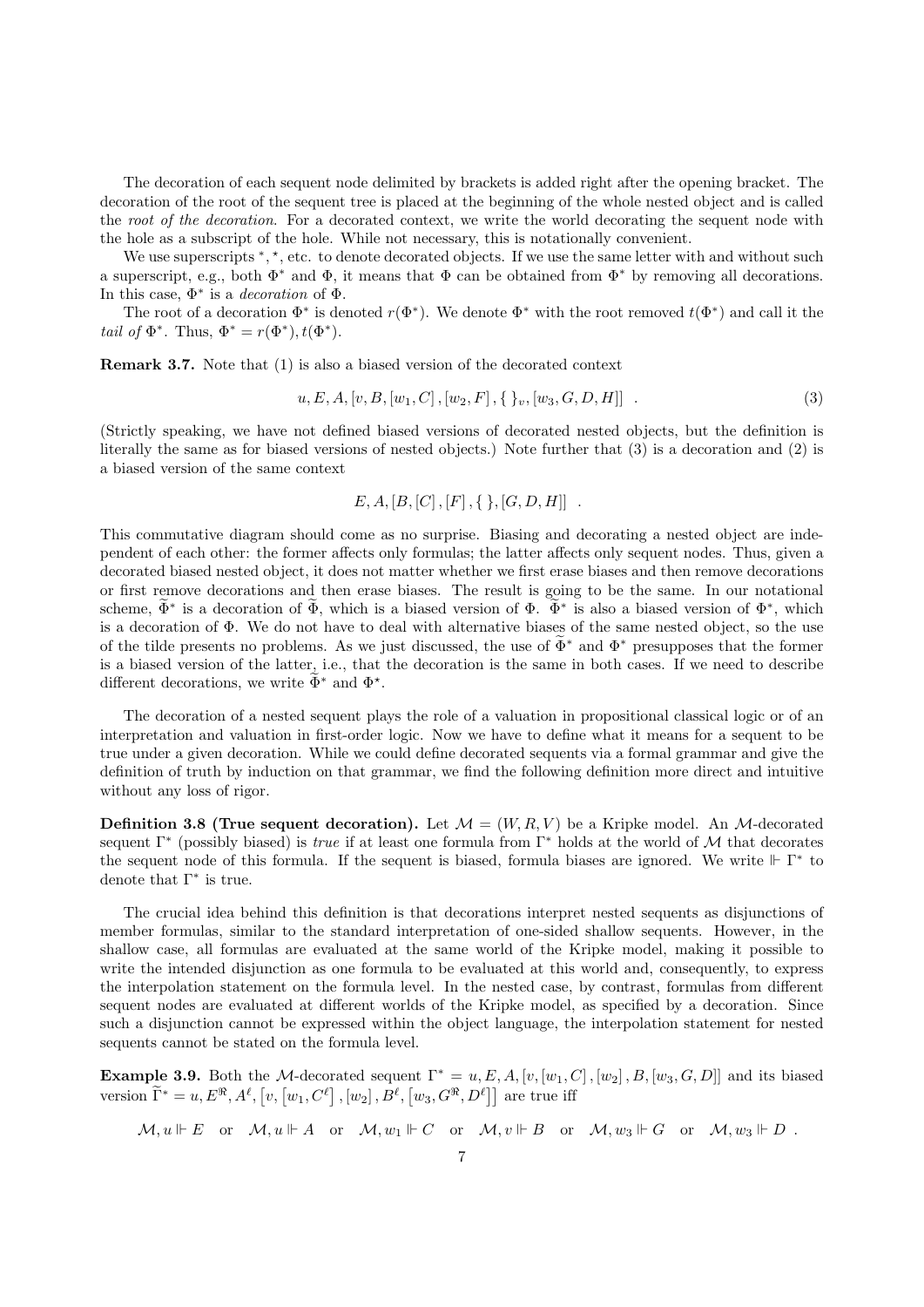The decoration of each sequent node delimited by brackets is added right after the opening bracket. The decoration of the root of the sequent tree is placed at the beginning of the whole nested object and is called the root of the decoration. For a decorated context, we write the world decorating the sequent node with the hole as a subscript of the hole. While not necessary, this is notationally convenient.

We use superscripts \*, \*, etc. to denote decorated objects. If we use the same letter with and without such a superscript, e.g., both  $\Phi^*$  and  $\Phi$ , it means that  $\Phi$  can be obtained from  $\Phi^*$  by removing all decorations. In this case,  $\Phi^*$  is a *decoration* of  $\Phi$ .

The root of a decoration  $\Phi^*$  is denoted  $r(\Phi^*)$ . We denote  $\Phi^*$  with the root removed  $t(\Phi^*)$  and call it the tail of  $\Phi^*$ . Thus,  $\Phi^* = r(\Phi^*)$ ,  $t(\Phi^*)$ .

Remark 3.7. Note that (1) is also a biased version of the decorated context

$$
u, E, A, [v, B, [w_1, C], [w_2, F], \{ \}_v, [w_3, G, D, H]] \quad . \tag{3}
$$

(Strictly speaking, we have not defined biased versions of decorated nested objects, but the definition is literally the same as for biased versions of nested objects.) Note further that (3) is a decoration and (2) is a biased version of the same context

$$
E, A, [B, [C], [F], \{\}, [G, D, H]] .
$$

This commutative diagram should come as no surprise. Biasing and decorating a nested object are independent of each other: the former affects only formulas; the latter affects only sequent nodes. Thus, given a decorated biased nested object, it does not matter whether we first erase biases and then remove decorations or first remove decorations and then erase biases. The result is going to be the same. In our notational scheme,  $\tilde{\Phi}^*$  is a decoration of  $\tilde{\Phi}$ , which is a biased version of  $\Phi^*$ . Which is a biased version of  $\Phi^*$ , which is a decoration of Φ. We do not have to deal with alternative biases of the same nested object, so the use of the tilde presents no problems. As we just discussed, the use of  $\widetilde{\Phi}^*$  and  $\Phi^*$  presupposes that the former is a biased version of the latter, i.e., that the decoration is the same in both cases. If we need to describe different decorations, we write  $\tilde{\Phi}^*$  and  $\Phi^*$ .

The decoration of a nested sequent plays the role of a valuation in propositional classical logic or of an interpretation and valuation in first-order logic. Now we have to define what it means for a sequent to be true under a given decoration. While we could define decorated sequents via a formal grammar and give the definition of truth by induction on that grammar, we find the following definition more direct and intuitive without any loss of rigor.

**Definition 3.8 (True sequent decoration).** Let  $\mathcal{M} = (W, R, V)$  be a Kripke model. An M-decorated sequent  $\Gamma^*$  (possibly biased) is *true* if at least one formula from  $\Gamma^*$  holds at the world of M that decorates the sequent node of this formula. If the sequent is biased, formula biases are ignored. We write  $\mathbb{F} \Gamma^*$  to denote that  $\Gamma^*$  is true.

The crucial idea behind this definition is that decorations interpret nested sequents as disjunctions of member formulas, similar to the standard interpretation of one-sided shallow sequents. However, in the shallow case, all formulas are evaluated at the same world of the Kripke model, making it possible to write the intended disjunction as one formula to be evaluated at this world and, consequently, to express the interpolation statement on the formula level. In the nested case, by contrast, formulas from different sequent nodes are evaluated at different worlds of the Kripke model, as specified by a decoration. Since such a disjunction cannot be expressed within the object language, the interpolation statement for nested sequents cannot be stated on the formula level.

**Example 3.9.** Both the M-decorated sequent  $\Gamma^* = u, E, A, [v, [w_1, C], [w_2], B, [w_3, G, D]]$  and its biased version  $\tilde{\Gamma}^* = u, E^{\Re}, A^{\ell}, [v, [w_1, C^{\ell}], [w_2], B^{\ell}, [w_3, G^{\Re}, D^{\ell}]]$  are true iff

 $\mathcal{M}, u \Vdash E$  or  $\mathcal{M}, u \Vdash A$  or  $\mathcal{M}, w_1 \Vdash C$  or  $\mathcal{M}, v \Vdash B$  or  $\mathcal{M}, w_3 \Vdash G$  or  $\mathcal{M}, w_3 \Vdash D$ .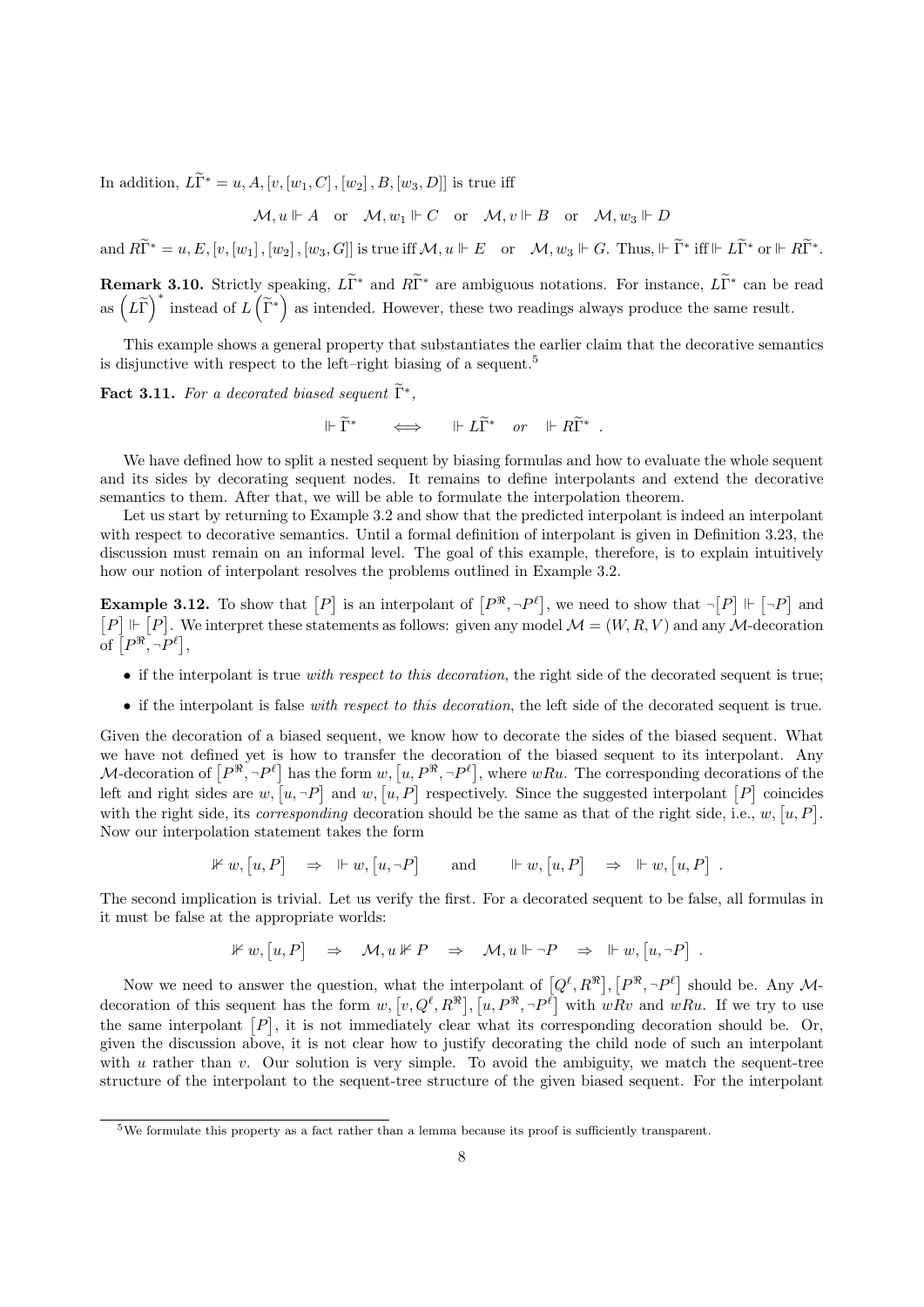In addition,  $L\widetilde{\Gamma}^* = u, A, [v, [w_1, C], [w_2], B, [w_3, D]]$  is true iff

$$
\mathcal{M}, u \Vdash A \quad \text{or} \quad \mathcal{M}, w_1 \Vdash C \quad \text{or} \quad \mathcal{M}, v \Vdash B \quad \text{or} \quad \mathcal{M}, w_3 \Vdash D
$$

and  $R\widetilde{\Gamma}^* = u, E, [v, [w_1], [w_2], [w_3, G]]$  is true iff  $\mathcal{M}, u \Vdash E$  or  $\mathcal{M}, w_3 \Vdash G$ . Thus,  $\Vdash \widetilde{\Gamma}^*$  iff  $\Vdash L\widetilde{\Gamma}^*$  or  $\Vdash R\widetilde{\Gamma}^*$ .

**Remark 3.10.** Strictly speaking,  $L\tilde{\Gamma}^*$  and  $R\tilde{\Gamma}^*$  are ambiguous notations. For instance,  $L\tilde{\Gamma}^*$  can be read as  $(L\tilde{\Gamma})^*$  instead of  $L(\tilde{\Gamma}^*)$  as intended. However, these two readings always produce the same result.

This example shows a general property that substantiates the earlier claim that the decorative semantics is disjunctive with respect to the left–right biasing of a sequent.<sup>5</sup>

**Fact 3.11.** For a decorated biased sequent  $\tilde{\Gamma}^*$ ,

$$
\Vdash \widetilde{\Gamma}^* \qquad \Longleftrightarrow \qquad \Vdash L\widetilde{\Gamma}^* \quad or \quad \Vdash R\widetilde{\Gamma}^* \ .
$$

We have defined how to split a nested sequent by biasing formulas and how to evaluate the whole sequent and its sides by decorating sequent nodes. It remains to define interpolants and extend the decorative semantics to them. After that, we will be able to formulate the interpolation theorem.

Let us start by returning to Example 3.2 and show that the predicted interpolant is indeed an interpolant with respect to decorative semantics. Until a formal definition of interpolant is given in Definition 3.23, the discussion must remain on an informal level. The goal of this example, therefore, is to explain intuitively how our notion of interpolant resolves the problems outlined in Example 3.2.

**Example 3.12.** To show that  $[P]$  is an interpolant of  $[P^{\Re}, \neg P^{\ell}]$ , we need to show that  $\neg [P] \Vdash [\neg P]$  and  $[P] \Vdash [P]$ . We interpret these statements as follows: given any model  $\mathcal{M} = (W, R, V)$  and any  $\mathcal{M}$ -decoration of  $[P^{\Re}, \neg P^{\ell}],$ 

- if the interpolant is true with respect to this decoration, the right side of the decorated sequent is true;
- if the interpolant is false with respect to this decoration, the left side of the decorated sequent is true.

Given the decoration of a biased sequent, we know how to decorate the sides of the biased sequent. What we have not defined yet is how to transfer the decoration of the biased sequent to its interpolant. Any M-decoration of  $[P^{\Re}, \neg P^{\ell}]$  has the form  $w, [u, P^{\Re}, \neg P^{\ell}],$  where  $wRu$ . The corresponding decorations of the left and right sides are  $w, [u, \neg P]$  and  $w, [u, P]$  respectively. Since the suggested interpolant  $[P]$  coincides with the right side, its *corresponding* decoration should be the same as that of the right side, i.e.,  $w$ ,  $[u, P]$ . Now our interpolation statement takes the form

$$
\mathbb{1} \mathbb{1} w, [u, P] \Rightarrow \mathbb{1} \mathbb{1} w, [u, \neg P] \quad \text{and} \quad \mathbb{1} \mathbb{1} w, [u, P] \Rightarrow \mathbb{1} \mathbb{1} w, [u, P] .
$$

The second implication is trivial. Let us verify the first. For a decorated sequent to be false, all formulas in it must be false at the appropriate worlds:

$$
\mathbb{1} \mathbb{1} w, [u, P] \Rightarrow \mathcal{M}, u \mathbb{1} \mathbb{1} P \Rightarrow \mathcal{M}, u \Vdash \neg P \Rightarrow \Vdash w, [u, \neg P] .
$$

Now we need to answer the question, what the interpolant of  $[Q^{\ell}, R^{\mathfrak{R}}], [P^{\mathfrak{R}}, \neg P^{\ell}]$  should be. Any Mdecoration of this sequent has the form  $w, [v, Q^{\ell}, R^{\mathcal{R}}], [u, P^{\mathcal{R}}, \neg P^{\ell}]$  with  $wRv$  and  $wRu$ . If we try to use the same interpolant  $[P]$ , it is not immediately clear what its corresponding decoration should be. Or, given the discussion above, it is not clear how to justify decorating the child node of such an interpolant with u rather than v. Our solution is very simple. To avoid the ambiguity, we match the sequent-tree structure of the interpolant to the sequent-tree structure of the given biased sequent. For the interpolant

<sup>5</sup>We formulate this property as a fact rather than a lemma because its proof is sufficiently transparent.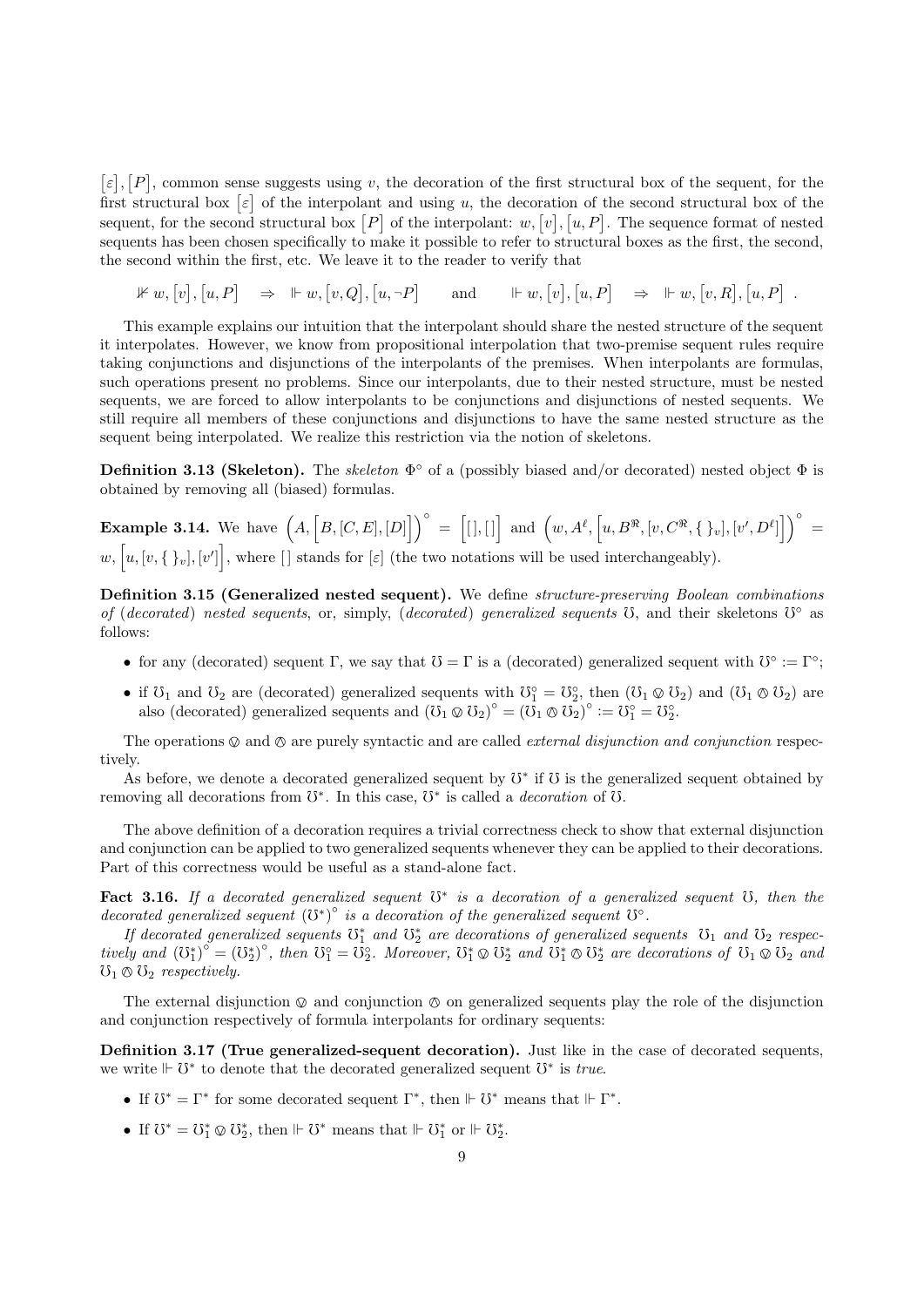$[\varepsilon], [P]$ , common sense suggests using v, the decoration of the first structural box of the sequent, for the first structural box  $\lbrack \varepsilon \rbrack$  of the interpolant and using u, the decoration of the second structural box of the sequent, for the second structural box  $[P]$  of the interpolant:  $w, [v], [u, P]$ . The sequence format of nested sequents has been chosen specifically to make it possible to refer to structural boxes as the first, the second, the second within the first, etc. We leave it to the reader to verify that

 $\mathbb{1} \mathbb{1} \mathbb{1} \mathbb{1} \mathbb{1} \mathbb{1} \mathbb{1} \mathbb{1} \mathbb{1} \mathbb{1} \mathbb{1} \mathbb{1} \mathbb{1} \mathbb{1} \mathbb{1} \mathbb{1} \mathbb{1} \mathbb{1} \mathbb{1} \mathbb{1} \mathbb{1} \mathbb{1} \mathbb{1} \mathbb{1} \mathbb{1} \mathbb{1} \mathbb{1} \mathbb{1} \mathbb{1} \mathbb{1} \mathbb{1} \mathbb{1} \mathbb{1} \mathbb{1} \mathbb{1} \mathbb{1} \mathbb{$ 

This example explains our intuition that the interpolant should share the nested structure of the sequent it interpolates. However, we know from propositional interpolation that two-premise sequent rules require taking conjunctions and disjunctions of the interpolants of the premises. When interpolants are formulas, such operations present no problems. Since our interpolants, due to their nested structure, must be nested sequents, we are forced to allow interpolants to be conjunctions and disjunctions of nested sequents. We still require all members of these conjunctions and disjunctions to have the same nested structure as the sequent being interpolated. We realize this restriction via the notion of skeletons.

**Definition 3.13 (Skeleton).** The skeleton  $\Phi^{\circ}$  of a (possibly biased and/or decorated) nested object  $\Phi$  is obtained by removing all (biased) formulas.

**Example 3.14.** We have  $(A, [B, [C, E], [D]])^\circ = [[], []]$  and  $(w, A^\ell, [u, B^\Re, [v, C^\Re, \{\}_v], [v', D^\ell]])^\circ =$  $w, [u, [v, \{\}v], [v']],$  where [] stands for [ε] (the two notations will be used interchangeably).

Definition 3.15 (Generalized nested sequent). We define structure-preserving Boolean combinations of (decorated) nested sequents, or, simply, (decorated) generalized sequents  $\ddot{o}$ , and their skeletons  $\ddot{o}^{\circ}$  as follows:

- for any (decorated) sequent  $\Gamma$ , we say that  $\mathcal{O} = \Gamma$  is a (decorated) generalized sequent with  $\mathcal{O}^{\circ} := \Gamma^{\circ}$ ;
- if  $\mathcal{O}_1$  and  $\mathcal{O}_2$  are (decorated) generalized sequents with  $\mathcal{O}_1^{\circ} = \mathcal{O}_2^{\circ}$ , then  $(\mathcal{O}_1 \otimes \mathcal{O}_2)$  and  $(\mathcal{O}_1 \otimes \mathcal{O}_2)$  are also (decorated) generalized sequents and  $(\overline{\mathcal{O}}_1 \otimes \overline{\mathcal{O}}_2)^\circ = (\overline{\mathcal{O}}_1 \otimes \overline{\mathcal{O}}_2)^\circ := \overline{\mathcal{O}}_1^\circ = \overline{\mathcal{O}}_2^\circ$ .

The operations  $\otimes$  and  $\otimes$  are purely syntactic and are called *external disjunction and conjunction* respectively.

As before, we denote a decorated generalized sequent by  $\mho^*$  if  $\mho$  is the generalized sequent obtained by removing all decorations from  $\mathbb{S}^*$ . In this case,  $\mathbb{O}^*$  is called a *decoration* of  $\mathbb{O}$ .

The above definition of a decoration requires a trivial correctness check to show that external disjunction and conjunction can be applied to two generalized sequents whenever they can be applied to their decorations. Part of this correctness would be useful as a stand-alone fact.

Fact 3.16. If a decorated generalized sequent  $0^*$  is a decoration of a generalized sequent  $0$ , then the decorated generalized sequent  $(\mho^*)^{\circ}$  is a decoration of the generalized sequent  $\mho^{\circ}$ .

If decorated generalized sequents  $\mathbb{G}_1^*$  and  $\mathbb{G}_2^*$  are decorations of generalized sequents  $\mathbb{G}_1$  and  $\mathbb{G}_2$  respectively and  $(\mathbf{U}_1^*)^{\circ} = (\mathbf{U}_2^*)^{\circ}$ , then  $\mathbf{U}_1^{\circ} = \mathbf{U}_2^{\circ}$ . Moreover,  $\mathbf{U}_1^* \otimes \mathbf{U}_2^*$  and  $\mathbf{U}_1^* \otimes \mathbf{U}_2^*$  are decorations of  $\mathbf{U}_1 \otimes \mathbf{U}_2$  and  $\mathbf{U}_3$ .  $\mho_1 \otimes \mho_2$  respectively.

The external disjunction  $\otimes$  and conjunction  $\otimes$  on generalized sequents play the role of the disjunction and conjunction respectively of formula interpolants for ordinary sequents:

Definition 3.17 (True generalized-sequent decoration). Just like in the case of decorated sequents, we write  $\mathbb{H} \mathcal{V}^*$  to denote that the decorated generalized sequent  $\mathcal{V}^*$  is true.

- If  $\mathbb{S}^* = \Gamma^*$  for some decorated sequent  $\Gamma^*$ , then  $\mathbb{F} \mathbb{S}^*$  means that  $\mathbb{F} \Gamma^*$ .
- If  $\mathbb{U}^* = \mathbb{U}^*_1 \otimes \mathbb{U}^*_2$ , then  $\Vdash \mathbb{U}^*$  means that  $\Vdash \mathbb{U}^*_1$  or  $\Vdash \mathbb{U}^*_2$ .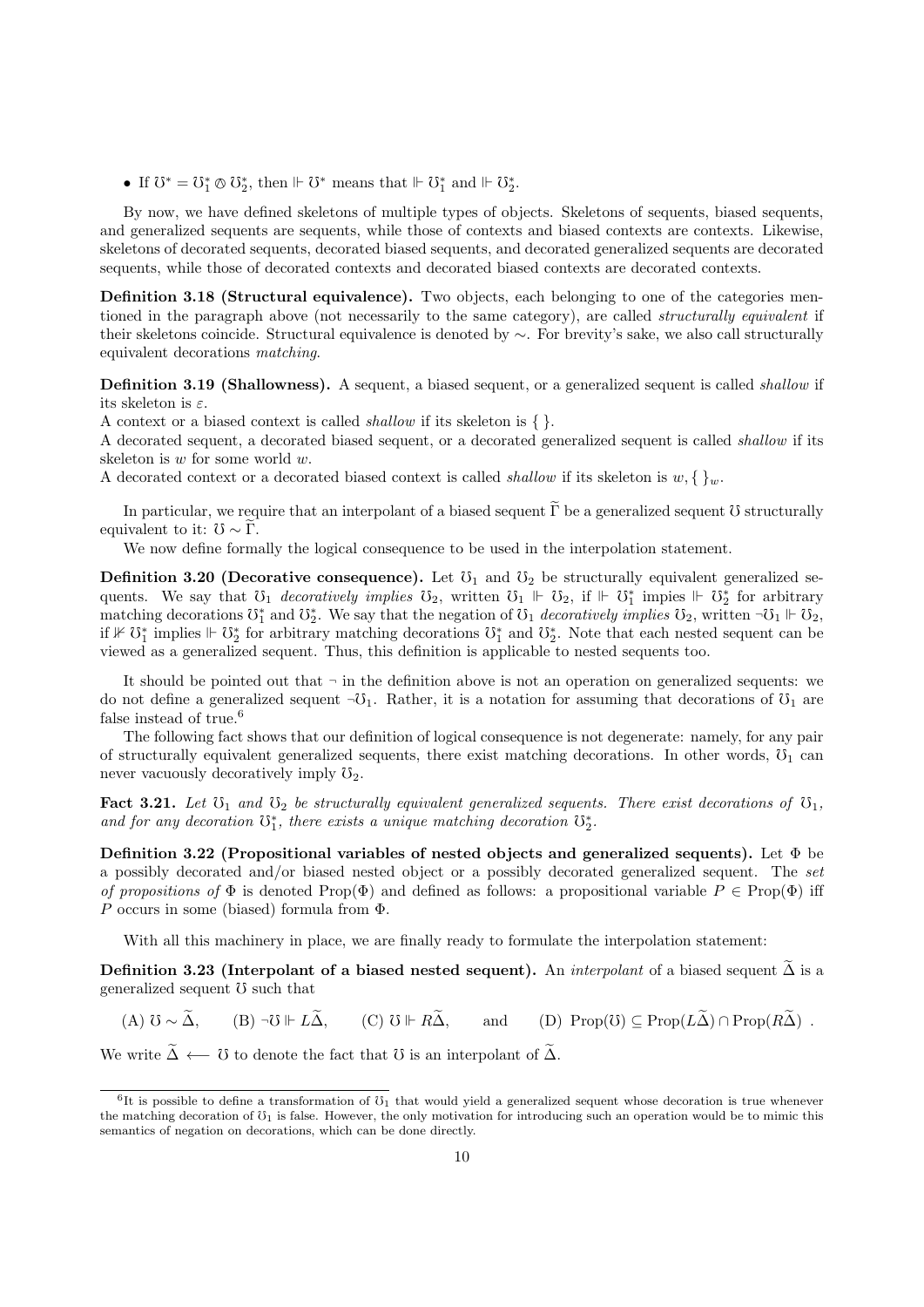• If  $\mathbb{U}^* = \mathbb{U}_1^* \otimes \mathbb{U}_2^*$ , then  $\Vdash \mathbb{U}^*$  means that  $\Vdash \mathbb{U}_1^*$  and  $\Vdash \mathbb{U}_2^*$ .

By now, we have defined skeletons of multiple types of objects. Skeletons of sequents, biased sequents, and generalized sequents are sequents, while those of contexts and biased contexts are contexts. Likewise, skeletons of decorated sequents, decorated biased sequents, and decorated generalized sequents are decorated sequents, while those of decorated contexts and decorated biased contexts are decorated contexts.

Definition 3.18 (Structural equivalence). Two objects, each belonging to one of the categories mentioned in the paragraph above (not necessarily to the same category), are called *structurally equivalent* if their skeletons coincide. Structural equivalence is denoted by ∼. For brevity's sake, we also call structurally equivalent decorations matching.

Definition 3.19 (Shallowness). A sequent, a biased sequent, or a generalized sequent is called *shallow* if its skeleton is  $\varepsilon$ .

A context or a biased context is called shallow if its skeleton is { }.

A decorated sequent, a decorated biased sequent, or a decorated generalized sequent is called shallow if its skeleton is w for some world w.

A decorated context or a decorated biased context is called *shallow* if its skeleton is  $w, \{\}_w$ .

In particular, we require that an interpolant of a biased sequent  $\tilde{\Gamma}$  be a generalized sequent  $\tilde{U}$  structurally equivalent to it:  $\mathcal{V} \sim \Gamma$ .

We now define formally the logical consequence to be used in the interpolation statement.

**Definition 3.20 (Decorative consequence).** Let  $\mathcal{V}_1$  and  $\mathcal{V}_2$  be structurally equivalent generalized sequents. We say that  $\mathcal{O}_1$  decoratively implies  $\mathcal{O}_2$ , written  $\mathcal{O}_1 \Vdash \mathcal{O}_2$ , if  $\Vdash \mathcal{O}_1^*$  impies  $\Vdash \mathcal{O}_2^*$  for arbitrary matching decorations  $\mathbb{O}_1^*$  and  $\mathbb{O}_2^*$ . We say that the negation of  $\mathbb{O}_1$  decoratively implies  $\mathbb{O}_2$ , written  $\neg \mathbb{O}_1 \Vdash \mathbb{O}_2$ , if  $\mathcal{F} \mathcal{D}_1^*$  implies  $\mathcal{F} \uparrow \mathcal{D}_2^*$  for arbitrary matching decorations  $\mathcal{D}_1^*$  and  $\mathcal{D}_2^*$ . Note that each nested sequent can be viewed as a generalized sequent. Thus, this definition is applicable to nested sequents too.

It should be pointed out that  $\neg$  in the definition above is not an operation on generalized sequents: we do not define a generalized sequent  $\neg \mathcal{O}_1$ . Rather, it is a notation for assuming that decorations of  $\mathcal{O}_1$  are false instead of true.<sup>6</sup>

The following fact shows that our definition of logical consequence is not degenerate: namely, for any pair of structurally equivalent generalized sequents, there exist matching decorations. In other words,  $\mathcal{O}_1$  can never vacuously decoratively imply  $\mathcal{O}_2$ .

Fact 3.21. Let  $\mathfrak{O}_1$  and  $\mathfrak{O}_2$  be structurally equivalent generalized sequents. There exist decorations of  $\mathfrak{O}_1$ , and for any decoration  $\mathbb{U}_1^*$ , there exists a unique matching decoration  $\mathbb{U}_2^*$ .

Definition 3.22 (Propositional variables of nested objects and generalized sequents). Let  $\Phi$  be a possibly decorated and/or biased nested object or a possibly decorated generalized sequent. The set of propositions of  $\Phi$  is denoted Prop( $\Phi$ ) and defined as follows: a propositional variable  $P \in \text{Prop}(\Phi)$  iff P occurs in some (biased) formula from  $\Phi$ .

With all this machinery in place, we are finally ready to formulate the interpolation statement:

Definition 3.23 (Interpolant of a biased nested sequent). An *interpolant* of a biased sequent  $\tilde{\Delta}$  is a generalized sequent  $\sigma$  such that

(A)  $\mathcal{O} \sim \tilde{\Delta}$ , (B)  $\neg \mathcal{O} \Vdash L\tilde{\Delta}$ , (C)  $\mathcal{O} \Vdash R\tilde{\Delta}$ , and (D) Prop( $\mathcal{O}$ )  $\subset \text{Prop}(L\tilde{\Delta}) \cap \text{Prop}(R\tilde{\Delta})$ .

We write  $\widetilde{\Delta} \leftarrow \widetilde{\sigma}$  to denote the fact that  $\sigma$  is an interpolant of  $\widetilde{\Delta}$ .

 ${}^{6}$ It is possible to define a transformation of  $\mathfrak{V}_1$  that would yield a generalized sequent whose decoration is true whenever the matching decoration of  $\mathfrak{V}_1$  is false. However, the only motivation for introducing such an operation would be to mimic this semantics of negation on decorations, which can be done directly.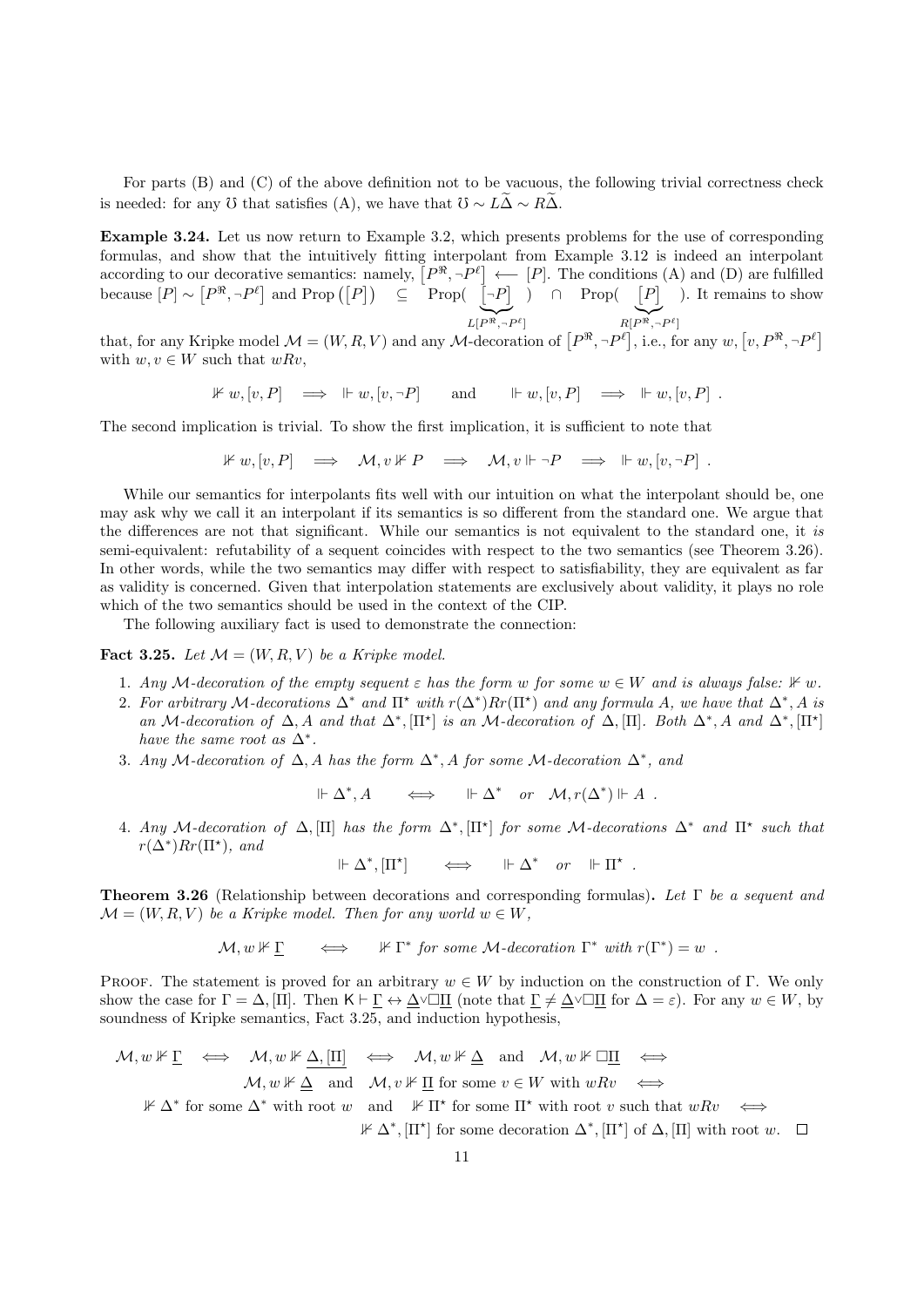For parts  $(B)$  and  $(C)$  of the above definition not to be vacuous, the following trivial correctness check is needed: for any  $\ddot{\text{O}}$  that satisfies (A), we have that  $\ddot{\text{O}} \sim L\widetilde{\Delta} \sim R\widetilde{\Delta}$ .

Example 3.24. Let us now return to Example 3.2, which presents problems for the use of corresponding formulas, and show that the intuitively fitting interpolant from Example 3.12 is indeed an interpolant according to our decorative semantics: namely,  $[P^{\Re}, \neg P^{\ell}] \longleftarrow [P]$ . The conditions (A) and (D) are fulfilled because  $[P] \sim [P^{\Re}, \neg P^{\ell}]$  and Prop  $([P]) \subseteq \text{Prop}([P] \cap P]$  $L[P^{\Re}, \neg P^{\ell}]$ ) ∩ Prop( $[P]$  $R[P^{\Re}, \neg P^{\ell}]$ ). It remains to show

that, for any Kripke model  $\mathcal{M} = (W, R, V)$  and any M-decoration of  $[P^{\Re}, \neg P^{\ell}],$  i.e., for any  $w, [v, P^{\Re}, \neg P^{\ell}]$ with  $w, v \in W$  such that  $wRv$ ,

$$
\mathbb{1} \mathbb{1} \mathbb{1} \mathbb{1} \mathbb{1} \mathbb{1} \mathbb{1} \mathbb{1} \mathbb{1} \mathbb{1} \mathbb{1} \mathbb{1} \mathbb{1} \mathbb{1} \mathbb{1} \mathbb{1} \mathbb{1} \mathbb{1} \mathbb{1} \mathbb{1} \mathbb{1} \mathbb{1} \mathbb{1} \mathbb{1} \mathbb{1} \mathbb{1} \mathbb{1} \mathbb{1} \mathbb{1} \mathbb{1} \mathbb{1} \mathbb{1} \mathbb{1} \mathbb{1} \mathbb{1} \mathbb{1} \mathbb{1} \mathbb{1} \mathbb{1} \mathbb{1} \mathbb{1} \mathbb{1} \mathbb{1} \mathbb{1} \mathbb{1} \mathbb{1} \mathbb{1} \mathbb{1} \mathbb{1} \mathbb{1} \mathbb{1} \mathbb{1} \mathbb{1} \mathbb{1} \mathbb{1} \mathbb{1} \mathbb{1} \mathbb{1} \mathbb{1} \mathbb{1} \mathbb{1} \mathbb{1} \mathbb{1} \mathbb{1} \mathbb{1} \mathbb{1} \mathbb{1} \mathbb{1} \mathbb{1} \mathbb{1} \mathbb{1} \mathbb{1} \mathbb{1} \mathbb{1} \mathbb{1} \mathbb{1} \mathbb{1} \mathbb{1} \mathbb{1} \mathbb{1} \mathbb{1} \mathbb{1} \mathbb{1} \mathbb{1} \mathbb{1} \mathbb{1} \mathbb{1} \mathbb{1} \mathbb{1} \mathbb{1} \mathbb{1} \mathbb{1} \mathbb{1} \mathbb{1} \mathbb{1} \mathbb{1} \mathbb{1} \mathbb{1} \mathbb{1} \mathbb{1} \mathbb{1} \mathbb{1} \mathbb{1} \mathbb{1} \mathbb{1} \mathbb{1} \mathbb{1} \mathbb{1} \mathbb{1} \mathbb{1} \mathbb{1} \mathbb{1} \mathbb{1} \mathbb{1} \mathbb{1} \mathbb{1} \mathbb{1} \mathbb{1} \mathbb{1} \mathbb{1} \mathbb{1} \mathbb{1} \mathbb{1} \mathbb{1} \mathbb{1} \mathbb{1} \mathbb{
$$

The second implication is trivial. To show the first implication, it is sufficient to note that

$$
\mathbb{1} \mathbb{1} w, [v, P] \quad \Longrightarrow \quad \mathcal{M}, v \mathrel{\mathbb{1}} \mathbb{1} P \quad \Longrightarrow \quad \mathcal{M}, v \Vdash \neg P \quad \Longrightarrow \quad \mathrel{\mathbb{I}} \mathbb{1} w, [v, \neg P] \ .
$$

While our semantics for interpolants fits well with our intuition on what the interpolant should be, one may ask why we call it an interpolant if its semantics is so different from the standard one. We argue that the differences are not that significant. While our semantics is not equivalent to the standard one, it is semi-equivalent: refutability of a sequent coincides with respect to the two semantics (see Theorem 3.26). In other words, while the two semantics may differ with respect to satisfiability, they are equivalent as far as validity is concerned. Given that interpolation statements are exclusively about validity, it plays no role which of the two semantics should be used in the context of the CIP.

The following auxiliary fact is used to demonstrate the connection:

**Fact 3.25.** Let  $\mathcal{M} = (W, R, V)$  be a Kripke model.

- 1. Any M-decoration of the empty sequent  $\varepsilon$  has the form w for some  $w \in W$  and is always false:  $\mathbb{1} \times w$ .
- 2. For arbitrary M-decorations  $\Delta^*$  and  $\Pi^*$  with  $r(\Delta^*)Rr(\Pi^*)$  and any formula A, we have that  $\Delta^*, A$  is an M-decoration of  $\Delta$ , A and that  $\Delta^*, [\Pi^*]$  is an M-decoration of  $\Delta, [\Pi]$ . Both  $\Delta^*, A$  and  $\Delta^*, [\Pi^*]$ have the same root as  $\Delta^*$ .
- 3. Any M-decoration of  $\Delta$ , A has the form  $\Delta^*$ , A for some M-decoration  $\Delta^*$ , and

 $\Vdash \Delta^*, A \iff \models \Delta^* \text{ or } \mathcal{M}, r(\Delta^*) \Vdash A$ .

4. Any M-decoration of  $\Delta$ , [II] has the form  $\Delta^*$ , [II<sup>\*</sup>] for some M-decorations  $\Delta^*$  and  $\Pi^*$  such that  $r(\Delta^*)Rr(\Pi^*)$ , and

 $\Vdash \Delta^*, [\Pi^*] \qquad \Longleftrightarrow \qquad \Vdash \Delta^* \quad or \quad \Vdash \Pi^*$ .

Theorem 3.26 (Relationship between decorations and corresponding formulas). Let Γ be a sequent and  $\mathcal{M} = (W, R, V)$  be a Kripke model. Then for any world  $w \in W$ ,

$$
\mathcal{M}, w \nVdash \underline{\Gamma} \qquad \Longleftrightarrow \qquad \nVdash \Gamma^* \text{ for some } \mathcal{M}\text{-decoration } \Gamma^* \text{ with } r(\Gamma^*) = w \enspace .
$$

PROOF. The statement is proved for an arbitrary  $w \in W$  by induction on the construction of Γ. We only show the case for  $\Gamma = \Delta$ , [Π]. Then  $\mathsf{K} \vdash \Gamma \leftrightarrow \Delta \lor \Box \Pi$  (note that  $\Gamma \neq \Delta \lor \Box \Pi$  for  $\Delta = \varepsilon$ ). For any  $w \in W$ , by soundness of Kripke semantics, Fact 3.25, and induction hypothesis,

$$
\mathcal{M}, w \nVdash \underline{\Gamma} \iff \mathcal{M}, w \nVdash \underline{\Delta}, [\underline{\Pi}] \iff \mathcal{M}, w \nVdash \underline{\Delta} \text{ and } \mathcal{M}, w \nVdash \Box \underline{\Pi} \iff \mathcal{M}, w \nVdash \underline{\Delta} \text{ and } \mathcal{M}, v \nVdash \underline{\Pi} \text{ for some } v \in W \text{ with } wRv \iff
$$

 $\mathbb{F} \Delta^*$  for some  $\Delta^*$  with root w and  $\mathbb{F} \Pi^*$  for some  $\Pi^*$  with root v such that  $wRv \iff$ 

 $\mathbb{F} \Delta^*, [\Pi^*]$  for some decoration  $\Delta^*, [\Pi^*]$  of  $\Delta, [\Pi]$  with root w.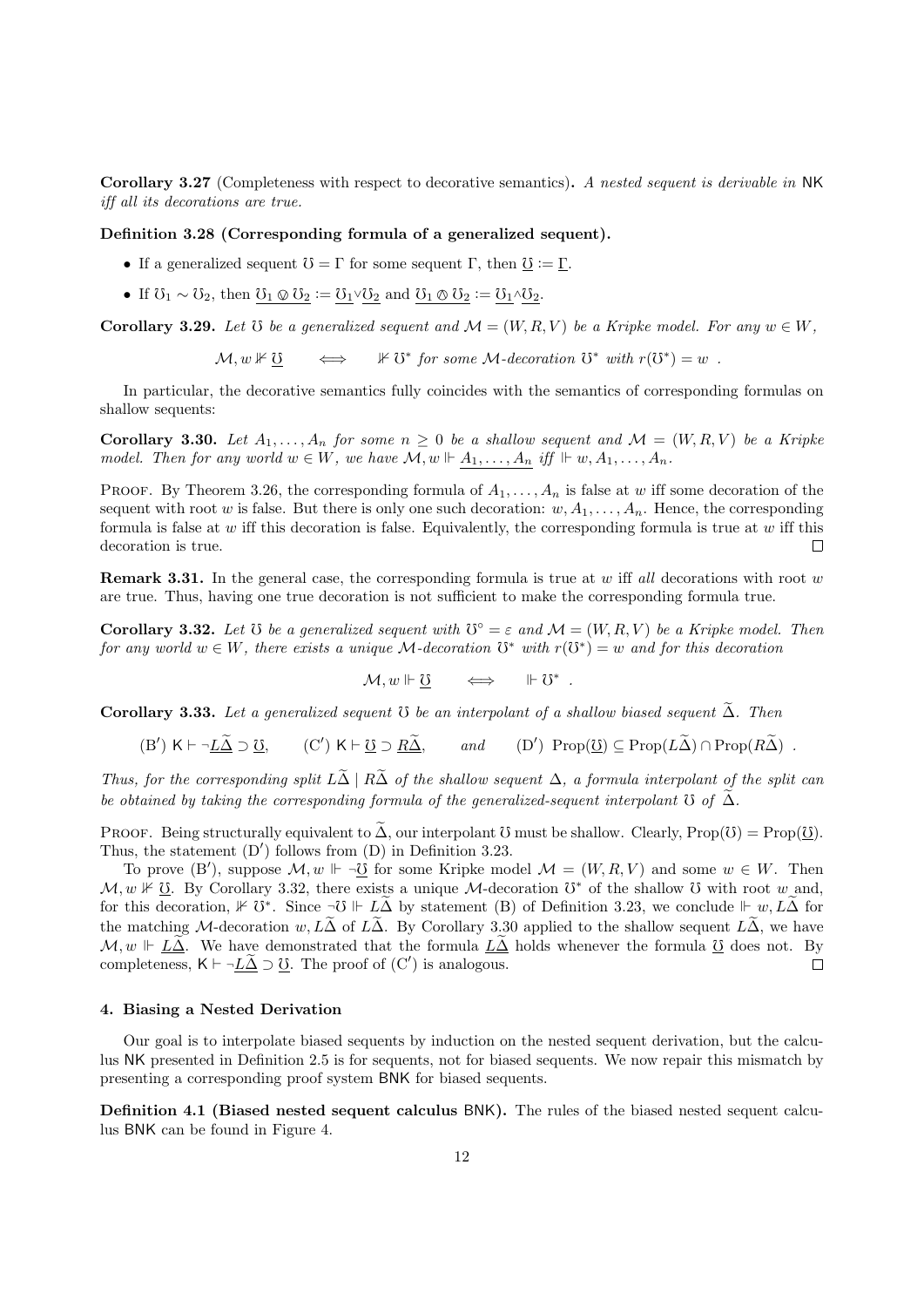Corollary 3.27 (Completeness with respect to decorative semantics). A nested sequent is derivable in NK iff all its decorations are true.

## Definition 3.28 (Corresponding formula of a generalized sequent).

- If a generalized sequent  $\mathcal{O} = \Gamma$  for some sequent  $\Gamma$ , then  $\underline{\mathcal{O}} := \Gamma$ .
- If  $\mathcal{U}_1 \sim \mathcal{U}_2$ , then  $\mathcal{U}_1 \otimes \mathcal{U}_2 := \mathcal{U}_1 \vee \mathcal{U}_2$  and  $\mathcal{U}_1 \otimes \mathcal{U}_2 := \mathcal{U}_1 \wedge \mathcal{U}_2$ .

Corollary 3.29. Let  $\mathfrak V$  be a generalized sequent and  $\mathcal M = (W, R, V)$  be a Kripke model. For any  $w \in W$ ,

 $\mathcal{M}, w \not\models \mho$ for some  $\mathcal{M}\text{-}deconation$   $\mathfrak{O}^*$  with  $r(\mathfrak{O}^*) = w$ .

In particular, the decorative semantics fully coincides with the semantics of corresponding formulas on shallow sequents:

Corollary 3.30. Let  $A_1, \ldots, A_n$  for some  $n \geq 0$  be a shallow sequent and  $\mathcal{M} = (W, R, V)$  be a Kripke model. Then for any world  $w \in W$ , we have  $\mathcal{M}, w \Vdash A_1, \ldots, A_n$  iff  $Vdash w, A_1, \ldots, A_n$ .

PROOF. By Theorem 3.26, the corresponding formula of  $A_1, \ldots, A_n$  is false at w iff some decoration of the sequent with root w is false. But there is only one such decoration:  $w, A_1, \ldots, A_n$ . Hence, the corresponding formula is false at  $w$  iff this decoration is false. Equivalently, the corresponding formula is true at  $w$  iff this decoration is true. П

**Remark 3.31.** In the general case, the corresponding formula is true at w iff all decorations with root w are true. Thus, having one true decoration is not sufficient to make the corresponding formula true.

**Corollary 3.32.** Let  $\Im$  be a generalized sequent with  $\Im$ <sup>°</sup> =  $\varepsilon$  and  $\mathcal{M} = (W, R, V)$  be a Kripke model. Then for any world  $w \in W$ , there exists a unique M-decoration  $\mathbb{S}^*$  with  $r(\mathbb{S}^*) = w$  and for this decoration

 $\mathcal{M}, w \Vdash \underline{\mho} \quad \iff \quad \Vdash \mho^*$ .

Corollary 3.33. Let a generalized sequent  $\mathfrak G$  be an interpolant of a shallow biased sequent  $\widetilde{\Delta}$ . Then

 $(B') K \vdash \neg \underline{L\tilde{\Delta}} \supset \underline{0}, \qquad (C') K \vdash \underline{0} \supset \underline{R\tilde{\Delta}}, \qquad \text{and} \qquad (D')$  $(D')$  Prop $(\overline{U}) \subset \text{Prop}(L\widetilde{\Delta}) \cap \text{Prop}(R\widetilde{\Delta})$ .

Thus, for the corresponding split  $L\tilde{\Delta} \mid R\tilde{\Delta}$  of the shallow sequent  $\Delta$ , a formula interpolant of the split can be obtained by taking the corresponding formula of the generalized-sequent interpolant  $\mathfrak V$  of  $\tilde \Delta$ .

PROOF. Being structurally equivalent to  $\tilde{\Delta}$ , our interpolant  $\tilde{\sigma}$  must be shallow. Clearly, Prop( $\tilde{\sigma}$ ) = Prop( $\underline{\tilde{\sigma}}$ ). Thus, the statement  $(D')$  follows from  $(D)$  in Definition 3.23.

To prove  $(B')$ , suppose  $\mathcal{M}, w \Vdash \neg \underline{0}$  for some Kripke model  $\mathcal{M} = (W, R, V)$  and some  $w \in W$ . Then  $\mathcal{M}, w \not\Vdash \underline{v}$ . By Corollary 3.32, there exists a unique  $\mathcal{M}$ -decoration  $\overline{v}^*$  of the shallow  $\overline{v}$  with root w and, for this decoration,  $\mathbb{1} \times \mathbb{C}^*$ . Since  $\neg \mathbb{0} \Vdash L\widetilde{\Delta}$  by statement (B) of Definition 3.23, we conclude  $\Vdash w, L\widetilde{\Delta}$  for the matching M-decoration w,  $L\tilde{\Delta}$  of  $L\tilde{\Delta}$ . By Corollary 3.30 applied to the shallow sequent  $L\tilde{\Delta}$ , we have  $\mathcal{M}, w \Vdash \underline{L\Delta}$ . We have demonstrated that the formula  $\underline{L\Delta}$  holds whenever the formula  $\underline{U}$  does not. By completeness,  $\mathsf{K} \vdash \neg L\widetilde{\Delta} \supset \mho$ . The proof of  $(\mathsf{C}')$  is analogous. completeness,  $K \vdash \neg \underline{L\tilde{\Delta}} \supset \underline{\mathcal{V}}$ . The proof of  $(C')$  is analogous.

# 4. Biasing a Nested Derivation

Our goal is to interpolate biased sequents by induction on the nested sequent derivation, but the calculus NK presented in Definition 2.5 is for sequents, not for biased sequents. We now repair this mismatch by presenting a corresponding proof system BNK for biased sequents.

Definition 4.1 (Biased nested sequent calculus BNK). The rules of the biased nested sequent calculus BNK can be found in Figure 4.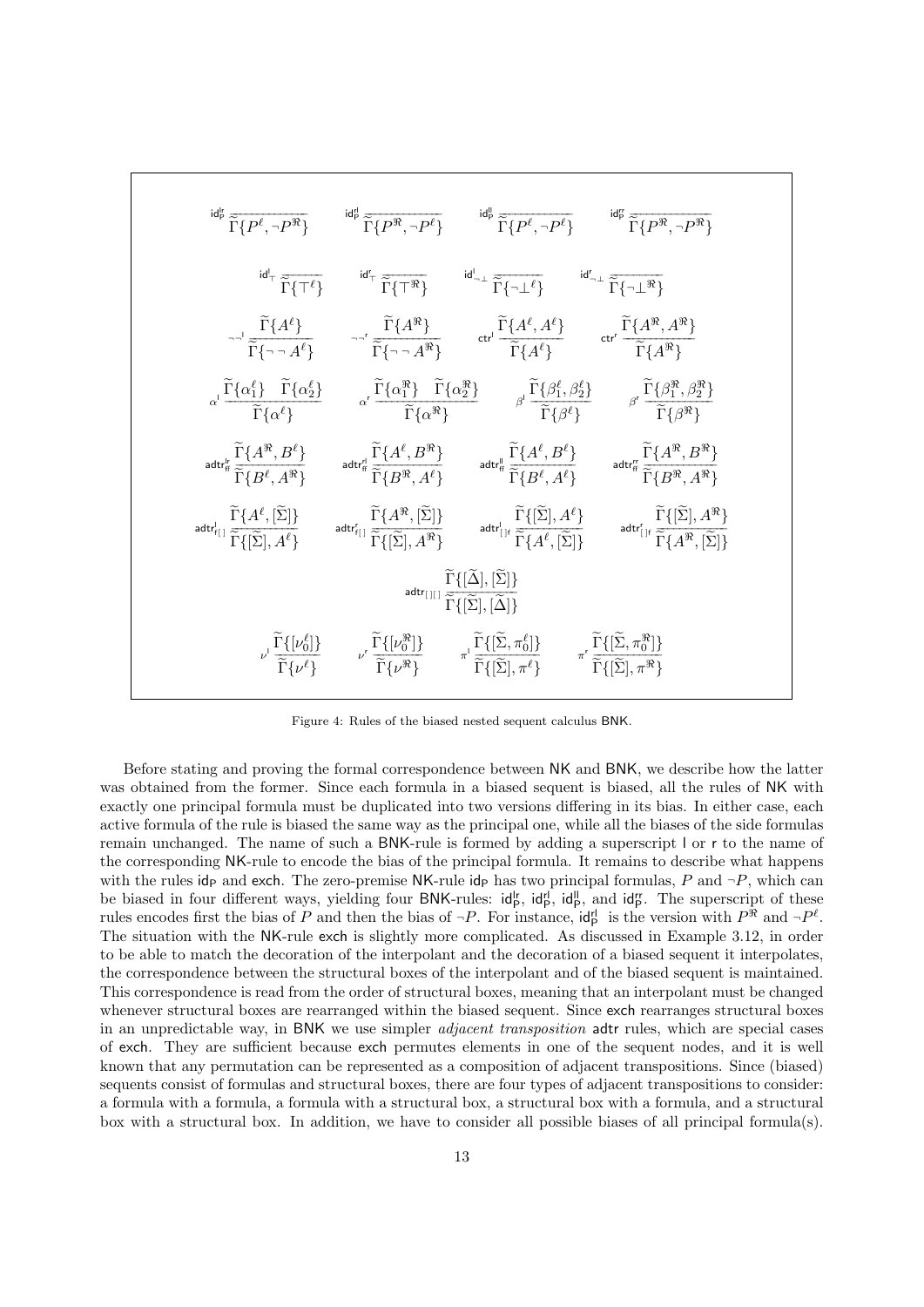

Figure 4: Rules of the biased nested sequent calculus BNK.

Before stating and proving the formal correspondence between NK and BNK, we describe how the latter was obtained from the former. Since each formula in a biased sequent is biased, all the rules of NK with exactly one principal formula must be duplicated into two versions differing in its bias. In either case, each active formula of the rule is biased the same way as the principal one, while all the biases of the side formulas remain unchanged. The name of such a BNK-rule is formed by adding a superscript l or r to the name of the corresponding NK-rule to encode the bias of the principal formula. It remains to describe what happens with the rules idp and exch. The zero-premise NK-rule idp has two principal formulas, P and  $\neg P$ , which can be biased in four different ways, yielding four BNK-rules:  $\mathsf{id}_{\mathsf{P}}^{\mathsf{lr}}$ ,  $\mathsf{id}_{\mathsf{P}}^{\mathsf{lr}}$ , and  $\mathsf{id}_{\mathsf{P}}^{\mathsf{lr}}$ . The superscript of these rules encodes first the bias of P and then the bias of  $\neg P$ . For instance,  $\mathsf{id}_P^{\mathsf{r}}$  is the version with  $P^{\mathcal{R}}$  and  $\neg P^{\ell}$ . The situation with the NK-rule exch is slightly more complicated. As discussed in Example 3.12, in order to be able to match the decoration of the interpolant and the decoration of a biased sequent it interpolates, the correspondence between the structural boxes of the interpolant and of the biased sequent is maintained. This correspondence is read from the order of structural boxes, meaning that an interpolant must be changed whenever structural boxes are rearranged within the biased sequent. Since exch rearranges structural boxes in an unpredictable way, in BNK we use simpler *adjacent transposition* adtr rules, which are special cases of exch. They are sufficient because exch permutes elements in one of the sequent nodes, and it is well known that any permutation can be represented as a composition of adjacent transpositions. Since (biased) sequents consist of formulas and structural boxes, there are four types of adjacent transpositions to consider: a formula with a formula, a formula with a structural box, a structural box with a formula, and a structural box with a structural box. In addition, we have to consider all possible biases of all principal formula(s).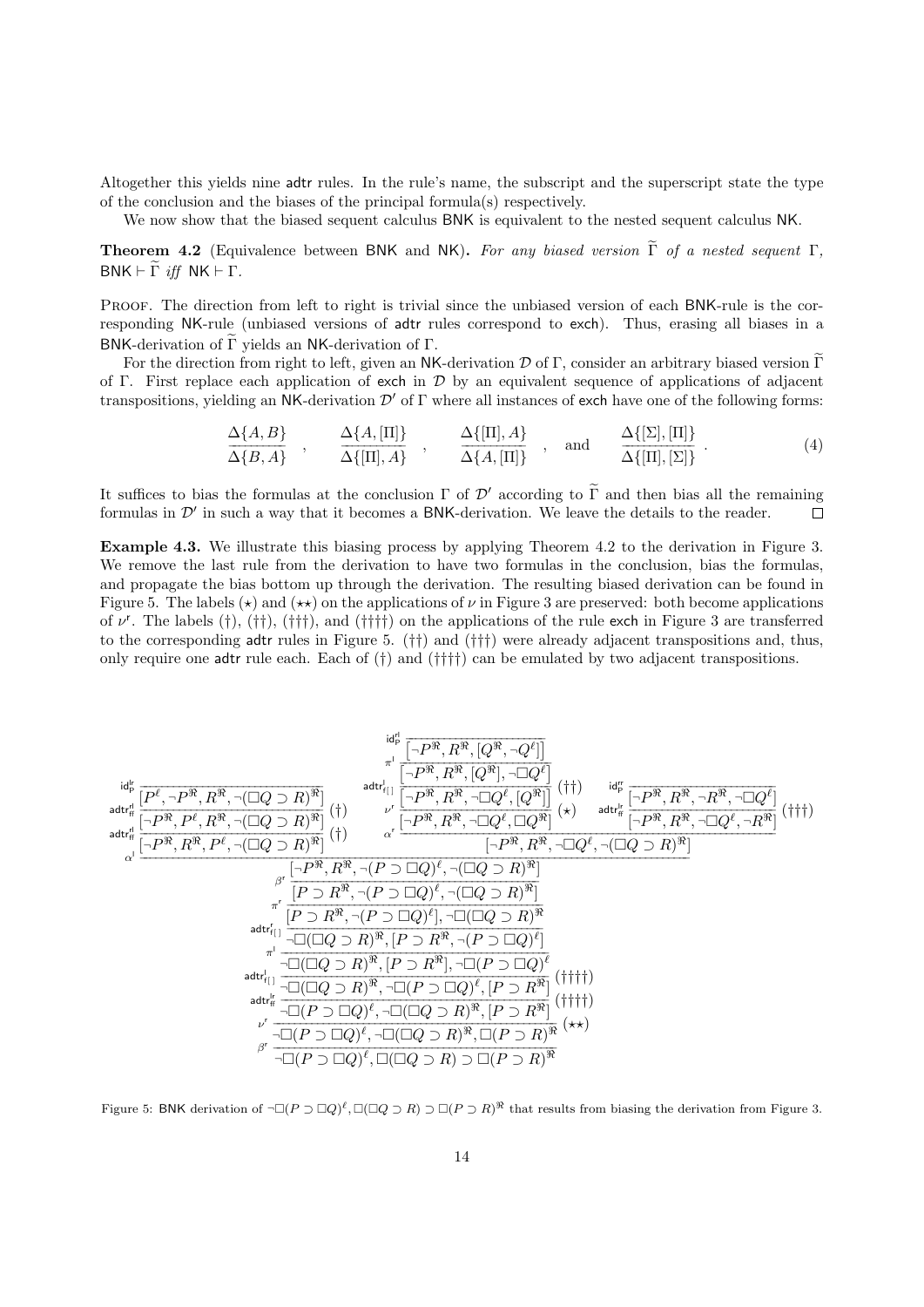Altogether this yields nine adtr rules. In the rule's name, the subscript and the superscript state the type of the conclusion and the biases of the principal formula(s) respectively.

We now show that the biased sequent calculus BNK is equivalent to the nested sequent calculus NK.

**Theorem 4.2** (Equivalence between BNK and NK). For any biased version  $\tilde{\Gamma}$  of a nested sequent  $\Gamma$ ,  $BNK \vdash \Gamma \text{ iff } NK \vdash \Gamma.$ 

PROOF. The direction from left to right is trivial since the unbiased version of each BNK-rule is the corresponding NK-rule (unbiased versions of adtr rules correspond to exch). Thus, erasing all biases in a BNK-derivation of  $\Gamma$  yields an NK-derivation of  $\Gamma$ .

For the direction from right to left, given an NK-derivation  $D$  of Γ, consider an arbitrary biased version  $\widetilde{\Gamma}$ of Γ. First replace each application of exch in  $\mathcal D$  by an equivalent sequence of applications of adjacent transpositions, yielding an NK-derivation  $\mathcal{D}'$  of Γ where all instances of exch have one of the following forms:

$$
\frac{\Delta\{A,B\}}{\Delta\{B,A\}}, \quad \frac{\Delta\{A,[\Pi]\}}{\Delta\{[\Pi],A\}}, \quad \frac{\Delta\{[\Pi],A\}}{\Delta\{A,[\Pi]\}}, \quad \text{and} \quad \frac{\Delta\{[\Sigma],[\Pi]\}}{\Delta\{[\Pi],[\Sigma]\}}.
$$
\n(4)

It suffices to bias the formulas at the conclusion  $\Gamma$  of  $\mathcal{D}'$  according to  $\tilde{\Gamma}$  and then bias all the remaining formulas in  $\mathcal{D}'$  in such a way that it becomes a BNK-derivation. We leave the details to the re formulas in  $\mathcal{D}'$  in such a way that it becomes a BNK-derivation. We leave the details to the reader.

Example 4.3. We illustrate this biasing process by applying Theorem 4.2 to the derivation in Figure 3. We remove the last rule from the derivation to have two formulas in the conclusion, bias the formulas, and propagate the bias bottom up through the derivation. The resulting biased derivation can be found in Figure 5. The labels ( $\star$ ) and ( $\star\star$ ) on the applications of  $\nu$  in Figure 3 are preserved: both become applications of  $\nu^r$ . The labels (†), (††), (†††), and (††††) on the applications of the rule exch in Figure 3 are transferred to the corresponding adtr rules in Figure 5. (††) and (†††) were already adjacent transpositions and, thus, only require one adtr rule each. Each of (†) and (††††) can be emulated by two adjacent transpositions.

$$
\begin{array}{c}\n\text{Id}_{p}^{\text{H}}\n\frac{\text{Id}_{p}^{\text{H}}\n\left[\overline{P^{B}},\overline{R^{B}},\overline{[Q^{B}},\overline{Q^{B}}]\right]}{\text{Id}t_{n}^{\text{H}}\n\left[\overline{P^{B}},\overline{P^{B}},\overline{R^{B}},\overline{[Q^{B}],\overline{Q^{B}}]}\right]^{4}\n\text{Id}t_{n}^{\text{H}}\n\left[\overline{P^{B}},\overline{P^{B}},\overline{R^{B}},\overline{[Q^{B}],\overline{[Q^{B}}]}\right](\dagger)\n\end{array}
$$
\n
$$
\begin{array}{c}\n\text{Id}_{q}^{\text{H}}\n\frac{\text{Id}_{q}^{\text{H}}\n\left[\overline{P^{B}},\overline{P^{B}},\overline{R^{B}},\overline{[Q\cup R]^{B}}\right]}{\left[\overline{P^{B}},\overline{R^{B}},\overline{P^{B}},\overline{[Q\cup R]^{B}}\right]}(\dagger)\n\end{array}
$$
\n
$$
\begin{array}{c}\n\text{Id}_{q}^{\text{H}}\n\frac{\left[\overline{P^{B}},\overline{P^{B}},\overline{R^{B}},\overline{[Q\cup Q]\cup R]^{B}}\right]}{\left[\overline{P^{B}},\overline{R^{B}},\overline{[Q\cup Q]\cup R]^{B}}\right]}(\dagger\n\end{array}
$$
\n
$$
\begin{array}{c}\n\text{Id}_{q}^{\text{H}}\n\frac{\left[\overline{P^{B}},\overline{R^{B}},\overline{[Q\cup Q]\cup R]^{B}}\right]}{\left[\overline{P^{B}},\overline{R^{B}},\overline{[Q\cup Q]\cup R]^{B}}\right]}(\dagger\n\end{array}
$$
\n
$$
\begin{array}{c}\n\text{Id}_{q}^{\text{H}}\n\frac{\left[\overline{P^{B}},\overline{R^{B}},\overline{[Q\cup Q]\cup R]^{B}}\right]}{\left[\overline{P^{B}},\overline{R^{B}},\overline{[Q\cup Q]\cup R]^{B}}\right]}(\dagger\n\end{array}
$$
\n
$$
\begin{array}{c}\n\text{Id}_{q}^{\text{H}}\n\frac{\left[\overline{P^{
$$

Figure 5: BNK derivation of  $\neg\Box(P \supset \Box Q)^{\ell}, \Box(\Box Q \supset R) \supset \Box(P \supset R)^{\Re}$  that results from biasing the derivation from Figure 3.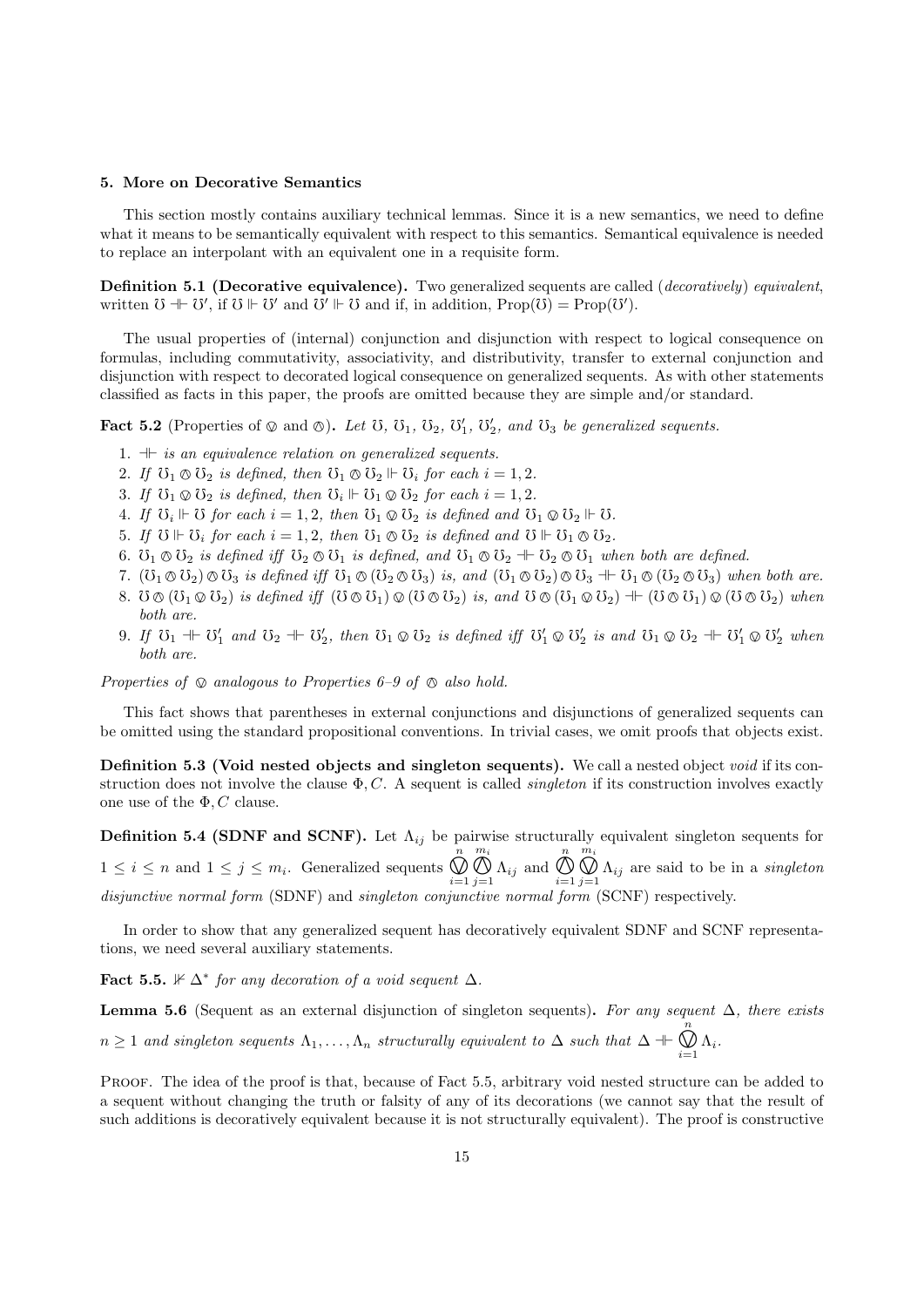# 5. More on Decorative Semantics

This section mostly contains auxiliary technical lemmas. Since it is a new semantics, we need to define what it means to be semantically equivalent with respect to this semantics. Semantical equivalence is needed to replace an interpolant with an equivalent one in a requisite form.

Definition 5.1 (Decorative equivalence). Two generalized sequents are called (*decoratively*) equivalent, written  $\mathcal{O} \dashv \mathcal{O}'$ , if  $\mathcal{O} \Vdash \mathcal{O}'$  and  $\mathcal{O}' \Vdash \mathcal{O}$  and if, in addition,  $\text{Prop}(\mathcal{O}) = \text{Prop}(\mathcal{O}')$ .

The usual properties of (internal) conjunction and disjunction with respect to logical consequence on formulas, including commutativity, associativity, and distributivity, transfer to external conjunction and disjunction with respect to decorated logical consequence on generalized sequents. As with other statements classified as facts in this paper, the proofs are omitted because they are simple and/or standard.

**Fact 5.2** (Properties of  $\otimes$  and  $\otimes$ ). Let U, U<sub>1</sub>, U<sub>2</sub>, U<sub>1</sub><sup>'</sup>, U<sub>2</sub><sup>'</sup>, and U<sub>3</sub> be generalized sequents.

- 1.  $\pm$  is an equivalence relation on generalized sequents.
- 2. If  $\mathcal{O}_1 \otimes \mathcal{O}_2$  is defined, then  $\mathcal{O}_1 \otimes \mathcal{O}_2 \Vdash \mathcal{O}_i$  for each  $i = 1, 2$ .
- 3. If  $\mathcal{O}_1 \otimes \mathcal{O}_2$  is defined, then  $\mathcal{O}_i \Vdash \mathcal{O}_1 \otimes \mathcal{O}_2$  for each  $i = 1, 2$ .
- 4. If  $\mathcal{O}_i \Vdash \mathcal{O}$  for each  $i = 1, 2$ , then  $\mathcal{O}_1 \otimes \mathcal{O}_2$  is defined and  $\mathcal{O}_1 \otimes \mathcal{O}_2 \Vdash \mathcal{O}$ .
- 5. If  $\mathcal{O} \Vdash \mathcal{O}_i$  for each  $i = 1, 2$ , then  $\mathcal{O}_1 \otimes \mathcal{O}_2$  is defined and  $\mathcal{O} \Vdash \mathcal{O}_1 \otimes \mathcal{O}_2$ .
- 6.  $\mathcal{O}_1 \otimes \mathcal{O}_2$  is defined iff  $\mathcal{O}_2 \otimes \mathcal{O}_1$  is defined, and  $\mathcal{O}_1 \otimes \mathcal{O}_2 + \mathcal{O}_2 \otimes \mathcal{O}_1$  when both are defined.
- 7.  $(\mho_1 \otimes \mho_2) \otimes \mho_3$  is defined iff  $\mho_1 \otimes (\mho_2 \otimes \mho_3)$  is, and  $(\mho_1 \otimes \mho_2) \otimes \mho_3 + \mho_1 \otimes (\mho_2 \otimes \mho_3)$  when both are.
- 8.  $\mathcal{O} \otimes (\mathcal{O}_1 \otimes \mathcal{O}_2)$  is defined iff  $(\mathcal{O} \otimes \mathcal{O}_1) \otimes (\mathcal{O} \otimes \mathcal{O}_2)$  is, and  $\mathcal{O} \otimes (\mathcal{O}_1 \otimes \mathcal{O}_2) + (\mathcal{O} \otimes \mathcal{O}_1) \otimes (\mathcal{O} \otimes \mathcal{O}_2)$  when both are.
- 9. If  $\mathcal{O}_1 \twoheadrightarrow \mathcal{O}'_1$  and  $\mathcal{O}_2 \twoheadrightarrow \mathcal{O}'_2$ , then  $\mathcal{O}_1 \otimes \mathcal{O}_2$  is defined iff  $\mathcal{O}'_1 \otimes \mathcal{O}'_2$  is and  $\mathcal{O}_1 \otimes \mathcal{O}_2 \twoheadrightarrow \mathcal{O}'_1 \otimes \mathcal{O}'_2$  when both are.

Properties of  $\otimes$  analogous to Properties 6–9 of  $\otimes$  also hold.

This fact shows that parentheses in external conjunctions and disjunctions of generalized sequents can be omitted using the standard propositional conventions. In trivial cases, we omit proofs that objects exist.

Definition 5.3 (Void nested objects and singleton sequents). We call a nested object void if its construction does not involve the clause  $\Phi, C$ . A sequent is called *singleton* if its construction involves exactly one use of the  $\Phi$ , C clause.

**Definition 5.4 (SDNF and SCNF).** Let  $\Lambda_{ij}$  be pairwise structurally equivalent singleton sequents for  $1 \leq i \leq n$  and  $1 \leq j \leq m_i$ . Generalized sequents n  $\sum_{i=1}^{\infty}$  $m_i$  $\bigoplus_{j=1}^{\infty} \Lambda_{ij}$  and n  $i=1$  $m_i$  $\bigcup_{j=1}^{\infty} \Lambda_{ij}$  are said to be in a *singleton*<br>m (SCNE) respectively disjunctive normal form (SDNF) and singleton conjunctive normal form (SCNF) respectively.

In order to show that any generalized sequent has decoratively equivalent SDNF and SCNF representations, we need several auxiliary statements.

Fact 5.5.  $\mathbb{K} \Delta^*$  for any decoration of a void sequent  $\Delta$ .

**Lemma 5.6** (Sequent as an external disjunction of singleton sequents). For any sequent  $\Delta$ , there exists  $n \geq 1$  and singleton sequents  $\Lambda_1, \ldots, \Lambda_n$  structurally equivalent to  $\Delta$  such that  $\Delta \dashv \vdash$ n  $\bigcup_{i=1}^{\infty} \Lambda_i.$ 

PROOF. The idea of the proof is that, because of Fact 5.5, arbitrary void nested structure can be added to a sequent without changing the truth or falsity of any of its decorations (we cannot say that the result of such additions is decoratively equivalent because it is not structurally equivalent). The proof is constructive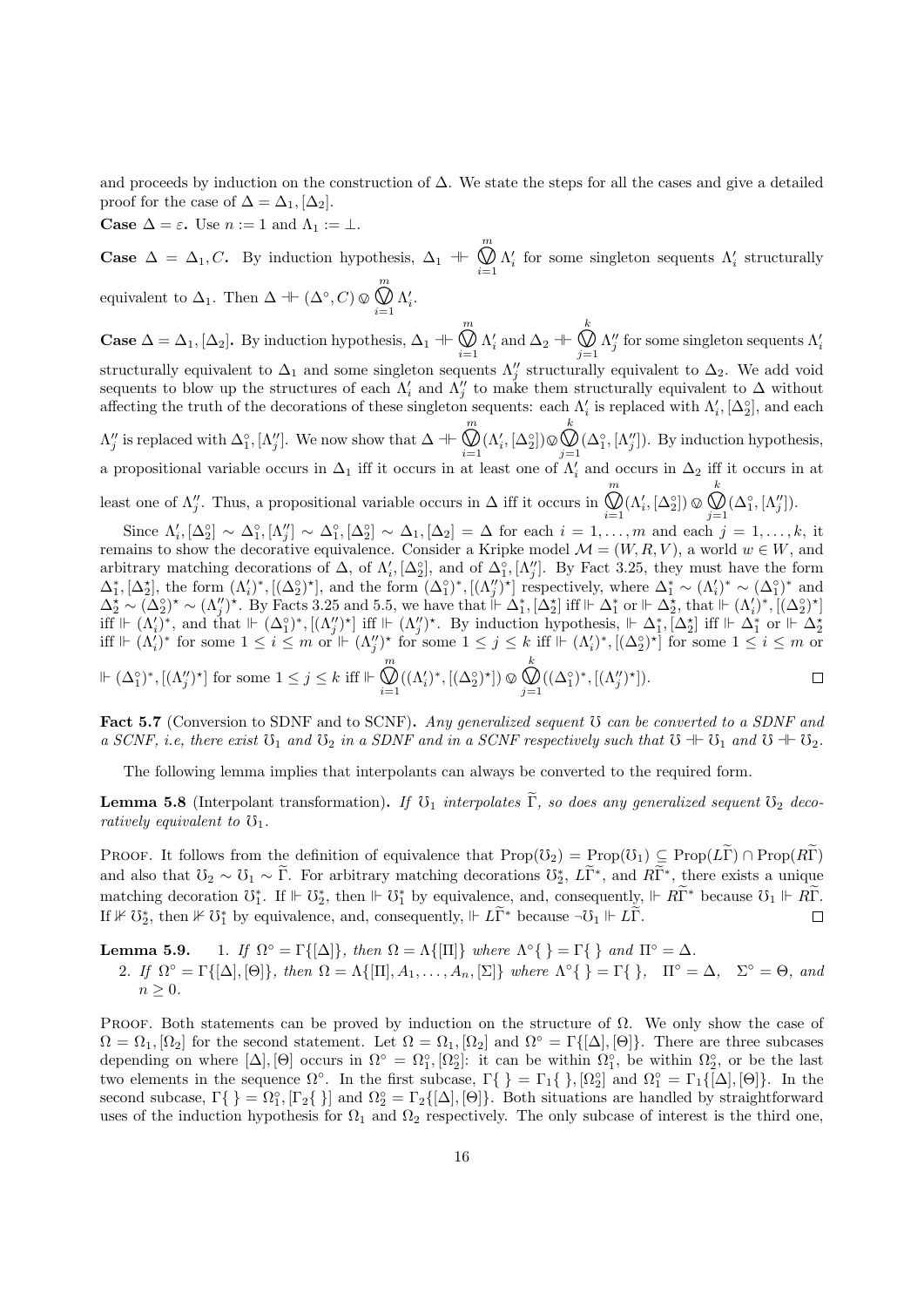and proceeds by induction on the construction of ∆. We state the steps for all the cases and give a detailed proof for the case of  $\Delta = \Delta_1$ ,  $[\Delta_2]$ .

**Case**  $\Delta = \varepsilon$ . Use  $n := 1$  and  $\Lambda_1 := \bot$ .

**Case**  $\Delta = \Delta_1, C$ . By induction hypothesis,  $\Delta_1$  + m  $\bigotimes_{i=1} \Lambda'_i$  for some singleton sequents  $\Lambda'_i$  structurally equivalent to  $\Delta_1$ . Then  $\Delta \dashv \vdash (\Delta^{\circ}, C) \otimes$ m  $\bigotimes_{i=1} \Lambda'_i.$ 

**Case**  $\Delta = \Delta_1$ ,  $[\Delta_2]$ . By induction hypothesis,  $\Delta_1$  + m  $\bigotimes_{i=1} \Lambda'_i$  and  $\Delta_2 \dashv \vdash$ k  $\bigotimes_{j=1}^N \Lambda''_j$  for some singleton sequents  $\Lambda'_i$ <br>relly conjugate to  $\Lambda$ . We add void structurally equivalent to  $\Delta_1$  and some singleton sequents  $\Lambda''_j$  structurally equivalent to  $\Delta_2$ . We add void sequents to blow up the structures of each  $\Lambda_i'$  and  $\Lambda_j''$  to make them structurally equivalent to  $\Delta$  without affecting the truth of the decorations of these singleton sequents: each  $\Lambda'_i$  is replaced with  $\Lambda'_i$ ,  $[\Delta_2^{\circ}]$ , and each  $\Lambda''_j$  is replaced with  $\Delta_1^{\circ}$ ,  $[\Lambda''_j]$ . We now show that  $\Delta \dashv \vdash$ m  $\bigotimes_{i=1}^{\infty} (\Lambda_i', [\Delta_2^{\circ}]) \otimes$ <br>at least one of k  $\bigotimes_{j=1}^{\infty} (\Delta_1^{\circ}, [\Lambda_j''])$ . By induction hypothesis,<br> $\Lambda_j'$  and occurs in  $\Lambda_j$  iff it occurs in at

a propositional variable occurs in  $\Delta_1$  iff it occurs in at least one of  $\Lambda'_i$  and occurs in  $\Delta_2$  iff it occurs in at least one of  $\Lambda''_j$ . Thus, a propositional variable occurs in  $\Delta$  iff it occurs in m  $\bigotimes_{i=1}^{\infty} (\Lambda_i', [\Delta_2^{\circ}]) \otimes$ <br>m and one k  $\bigotimes_{j=1}^{\infty} (\Delta_1^{\circ}, [\Lambda_j''])$ .<br>  $\vdots$  = 1

Since  $\Lambda'_i$ ,  $[\Delta_2^{\circ}] \sim \Delta_1^{\circ}$ ,  $[\Lambda''_j] \sim \Delta_1^{\circ}$ ,  $[\Delta_2^{\circ}] \sim \Delta_1$ ,  $[\Delta_2] = \Delta$  for each  $i = 1, \ldots, m$  and each  $j = 1, \ldots, k$ , it remains to show the decorative equivalence. Consider a Kripke model  $\mathcal{M} = (W, R, V)$ , a world  $w \in W$ , and arbitrary matching decorations of  $\Delta$ , of  $\Lambda'_i$ ,  $[\Delta_2^{\circ}]$ , and of  $\Delta_1^{\circ}$ ,  $[\Lambda''_j]$ . By Fact 3.25, they must have the form  $\Delta_1^*, [\Delta_2^*],$  the form  $(\Lambda_i')^*, [(\Delta_2^{\circ})^*],$  and the form  $(\Delta_1^{\circ})^*, [(\Lambda_j'')^*]$  respectively, where  $\Delta_1^* \sim (\Lambda_i')^* \sim (\Delta_1^{\circ})^*$  and  $\Delta_2^{\star} \sim (\Delta_2^{\circ})^{\star} \sim (\Lambda_j'')^{\star}$ . By Facts 3.25 and 5.5, we have that  $\mathbb{H} \Delta_1^{\star}$ ,  $[\Delta_2^{\star}]$  iff  $\mathbb{H} \Delta_1^{\star}$  or  $\mathbb{H} \Delta_2^{\star}$ , that  $\mathbb{H} \left(\Lambda_i'\right)^{\star}$ ,  $[(\Delta_2^{\circ})^{\star}]$ iff  $\Vdash (\Lambda'_i)^*$ , and that  $\Vdash (\Delta_1^c)^*$ ,  $[(\Lambda''_j)^*]$  iff  $\Vdash (\Lambda''_j)^*$ . By induction hypothesis,  $\Vdash \Delta_1^*, [\Delta_2^*]$  iff  $\Vdash \Delta_1^*$  or  $\Vdash \Delta_2^*$ <br>iff  $\Vdash (\Lambda'_i)^*$  for some  $1 \leq i \leq m$  or  $\Vdash (\Lambda''_j)^*$  for some  $1 \leq j \leq k$  i  $\Vdash (\Delta_1^{\circ})^*, [(\Lambda_j'')^*]$  for some  $1 \leq j \leq k$  iff  $\Vdash \bigotimes^m$ k  $\bigcup_{i=1}^{\infty} (({\Lambda_i'})^*, [({\Delta_2^{\circ}})^\star]) \otimes$  $\bigcup_{j=1}^{\infty} ((\Delta_1^{\circ})^*, [(\Lambda_j^{\prime\prime})^{\star}]).$  $\Box$ 

Fact 5.7 (Conversion to SDNF and to SCNF). Any generalized sequent  $\mathfrak V$  can be converted to a SDNF and a SCNF, i.e, there exist  $\mathfrak{O}_1$  and  $\mathfrak{O}_2$  in a SDNF and in a SCNF respectively such that  $\mathfrak{O} + \mathfrak{O}_1$  and  $\mathfrak{O} + \mathfrak{O}_2$ .

The following lemma implies that interpolants can always be converted to the required form.

**Lemma 5.8** (Interpolant transformation). If  $\mathcal{V}_1$  interpolates  $\widetilde{\Gamma}$ , so does any generalized sequent  $\mathcal{V}_2$  decoratively equivalent to  $\mathfrak{V}_1$ .

PROOF. It follows from the definition of equivalence that  $\text{Prop}(\mathcal{O}_2) = \text{Prop}(\mathcal{O}_1) \subseteq \text{Prop}(L\widetilde{\Gamma}) \cap \text{Prop}(R\widetilde{\Gamma})$ and also that  $\mathcal{O}_2 \sim \mathcal{O}_1 \sim \widetilde{\Gamma}$ . For arbitrary matching decorations  $\mathcal{O}_2^*$ ,  $L\widetilde{\Gamma}^*$ , and  $R\widetilde{\Gamma}^*$ , there exists a unique matching decoration  $\mathbb{O}_1^*$ . If  $\Vdash \mathbb{O}_2^*$ , then  $\Vdash \mathbb{O}_1^*$  by equivalence, and, consequently,  $\Vdash R\widetilde{\Gamma}^*$  because  $\mathbb{O}_1 \Vdash R\widetilde{\Gamma}$ . If  $\mathcal{F} \cup \mathcal{D}_2^*$ , then  $\mathcal{F} \cup \mathcal{D}_1^*$  by equivalence, and, consequently,  $\mathcal{F} \cup \widetilde{\Gamma}^*$  because  $\neg \mathcal{D}_1 \Vdash L\widetilde{\Gamma}$ .

Lemma 5.9.  $\mathcal{O} = \Gamma\{[\Delta]\},\$  then  $\Omega = \Lambda\{[\Pi]\}\$  where  $\Lambda^{\circ}\{\} = \Gamma\{\}\$  and  $\Pi^{\circ} = \Delta$ . 2. If  $\Omega^{\circ} = \Gamma\{[\Delta], [\Theta]\},$  then  $\Omega = \Lambda\{[\Pi], A_1, \ldots, A_n, [\Sigma]\}$  where  $\Lambda^{\circ}\{\} = \Gamma\{\}, \quad \Pi^{\circ} = \Delta, \quad \Sigma^{\circ} = \Theta,$  and  $n \geq 0$ .

PROOF. Both statements can be proved by induction on the structure of  $\Omega$ . We only show the case of  $\Omega = \Omega_1, [\Omega_2]$  for the second statement. Let  $\Omega = \Omega_1, [\Omega_2]$  and  $\Omega^\circ = \Gamma\{[\Delta], [\Theta]\}\$ . There are three subcases depending on where  $[\Delta], [\Theta]$  occurs in  $\Omega^{\circ} = \Omega_1^{\circ}, [\Omega_2^{\circ}]$ : it can be within  $\Omega_1^{\circ}$ , be within  $\Omega_2^{\circ}$ , or be the last two elements in the sequence  $\Omega^{\circ}$ . In the first subcase,  $\Gamma\{\} = \Gamma_1\{\}, [\Omega_2^{\circ}]$  and  $\Omega_1^{\circ} = \Gamma_1\{[\Delta], [\Theta]\}\$ . In the second subcase,  $\Gamma\{\} = \Omega_1^{\circ}, [\Gamma_2\{\}]$  and  $\Omega_2^{\circ} = \Gamma_2\{[\Delta], [\Theta]\}.$  Both situations are handled by straightforward uses of the induction hypothesis for  $\Omega_1$  and  $\Omega_2$  respectively. The only subcase of interest is the third one,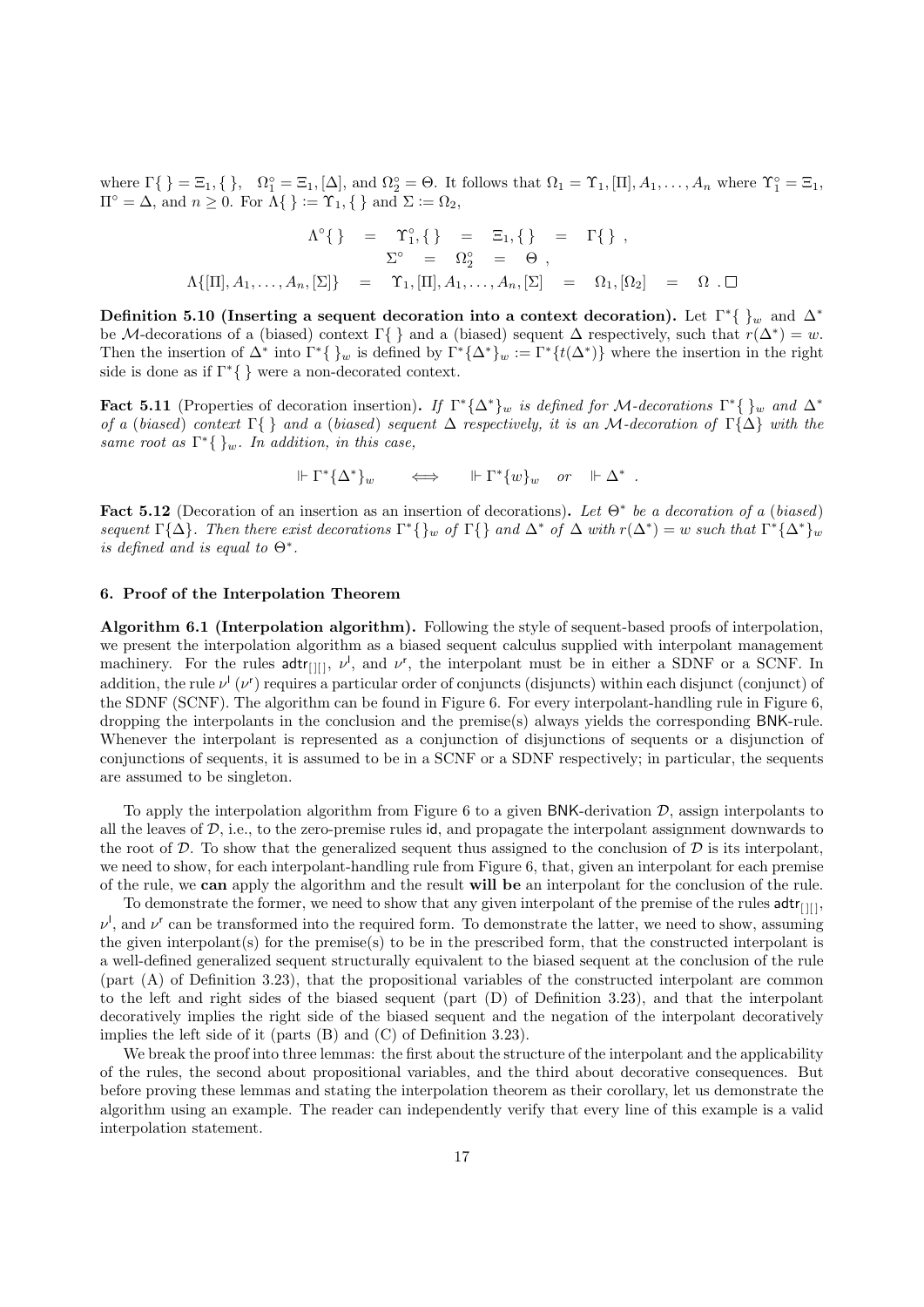where  $\Gamma\{\} = \Xi_1, \{\}, \quad \Omega_1^\circ = \Xi_1, [\Delta], \text{ and } \Omega_2^\circ = \Theta.$  It follows that  $\Omega_1 = \Upsilon_1, [\Pi], A_1, \ldots, A_n$  where  $\Upsilon_1^\circ = \Xi_1$ ,  $\Pi^{\circ} = \Delta$ , and  $n \geq 0$ . For  $\Lambda\{\} := \Upsilon_1, \{\}$  and  $\Sigma := \Omega_2$ ,

$$
\Lambda^{\circ}\{\} = \Upsilon_1^{\circ}, \{\} = \Xi_1, \{\} = \Gamma\{\},
$$
  

$$
\Sigma^{\circ} = \Omega_2^{\circ} = \Theta,
$$
  

$$
\Lambda\{[\Pi], A_1, \dots, A_n, [\Sigma]\} = \Upsilon_1, [\Pi], A_1, \dots, A_n, [\Sigma] = \Omega_1, [\Omega_2] = \Omega \ . \Box
$$

Definition 5.10 (Inserting a sequent decoration into a context decoration). Let  $\Gamma^*\{\}_w$  and  $\Delta^*$ be M-decorations of a (biased) context  $\Gamma\{\}\$  and a (biased) sequent  $\Delta$  respectively, such that  $r(\Delta^*) = w$ . Then the insertion of  $\Delta^*$  into  $\Gamma^*\{\}_w$  is defined by  $\Gamma^*\{\Delta^*\}_w := \Gamma^*\{t(\Delta^*)\}$  where the insertion in the right side is done as if  $\Gamma^*\{\,\}$  were a non-decorated context.

Fact 5.11 (Properties of decoration insertion). If  $\Gamma^*\{\Delta^*\}_w$  is defined for M-decorations  $\Gamma^*\{\}_w$  and  $\Delta^*$ of a (biased) context Γ{ } and a (biased) sequent  $\Delta$  respectively, it is an M-decoration of Γ{ $\Delta$ } with the same root as  $\Gamma^*\{\}_w$ . In addition, in this case,

 $\Vdash \Gamma^*\{\Delta^*\}_w \quad \iff \quad \Vdash \Gamma^*\{w\}_w \quad \text{or} \quad \Vdash \Delta^* \; .$ 

Fact 5.12 (Decoration of an insertion as an insertion of decorations). Let  $\Theta^*$  be a decoration of a (biased) sequent  $\Gamma{\{\Delta\}}$ . Then there exist decorations  $\Gamma^*\{\}_w$  of  $\Gamma\{\}$  and  $\Delta^*$  of  $\Delta$  with  $r(\Delta^*)=w$  such that  $\Gamma^*\{\Delta^*\}_w$ is defined and is equal to  $\Theta^*$ .

# 6. Proof of the Interpolation Theorem

Algorithm 6.1 (Interpolation algorithm). Following the style of sequent-based proofs of interpolation, we present the interpolation algorithm as a biased sequent calculus supplied with interpolant management machinery. For the rules  $\text{adtr}_{\text{[II]}}$ ,  $\nu^{\text{I}}$ , and  $\nu^{\text{r}}$ , the interpolant must be in either a SDNF or a SCNF. In addition, the rule  $\nu^{\dagger}(\nu^{\dagger})$  requires a particular order of conjuncts (disjuncts) within each disjunct (conjunct) of the SDNF (SCNF). The algorithm can be found in Figure 6. For every interpolant-handling rule in Figure 6, dropping the interpolants in the conclusion and the premise(s) always yields the corresponding BNK-rule. Whenever the interpolant is represented as a conjunction of disjunctions of sequents or a disjunction of conjunctions of sequents, it is assumed to be in a SCNF or a SDNF respectively; in particular, the sequents are assumed to be singleton.

To apply the interpolation algorithm from Figure 6 to a given BNK-derivation  $\mathcal{D}$ , assign interpolants to all the leaves of  $D$ , i.e., to the zero-premise rules id, and propagate the interpolant assignment downwards to the root of D. To show that the generalized sequent thus assigned to the conclusion of D is its interpolant, we need to show, for each interpolant-handling rule from Figure 6, that, given an interpolant for each premise of the rule, we can apply the algorithm and the result will be an interpolant for the conclusion of the rule.

To demonstrate the former, we need to show that any given interpolant of the premise of the rules  $adtr_{[1]}\$ ,  $\nu^l$ , and  $\nu^r$  can be transformed into the required form. To demonstrate the latter, we need to show, assuming the given interpolant(s) for the premise(s) to be in the prescribed form, that the constructed interpolant is a well-defined generalized sequent structurally equivalent to the biased sequent at the conclusion of the rule (part (A) of Definition 3.23), that the propositional variables of the constructed interpolant are common to the left and right sides of the biased sequent (part (D) of Definition 3.23), and that the interpolant decoratively implies the right side of the biased sequent and the negation of the interpolant decoratively implies the left side of it (parts (B) and (C) of Definition 3.23).

We break the proof into three lemmas: the first about the structure of the interpolant and the applicability of the rules, the second about propositional variables, and the third about decorative consequences. But before proving these lemmas and stating the interpolation theorem as their corollary, let us demonstrate the algorithm using an example. The reader can independently verify that every line of this example is a valid interpolation statement.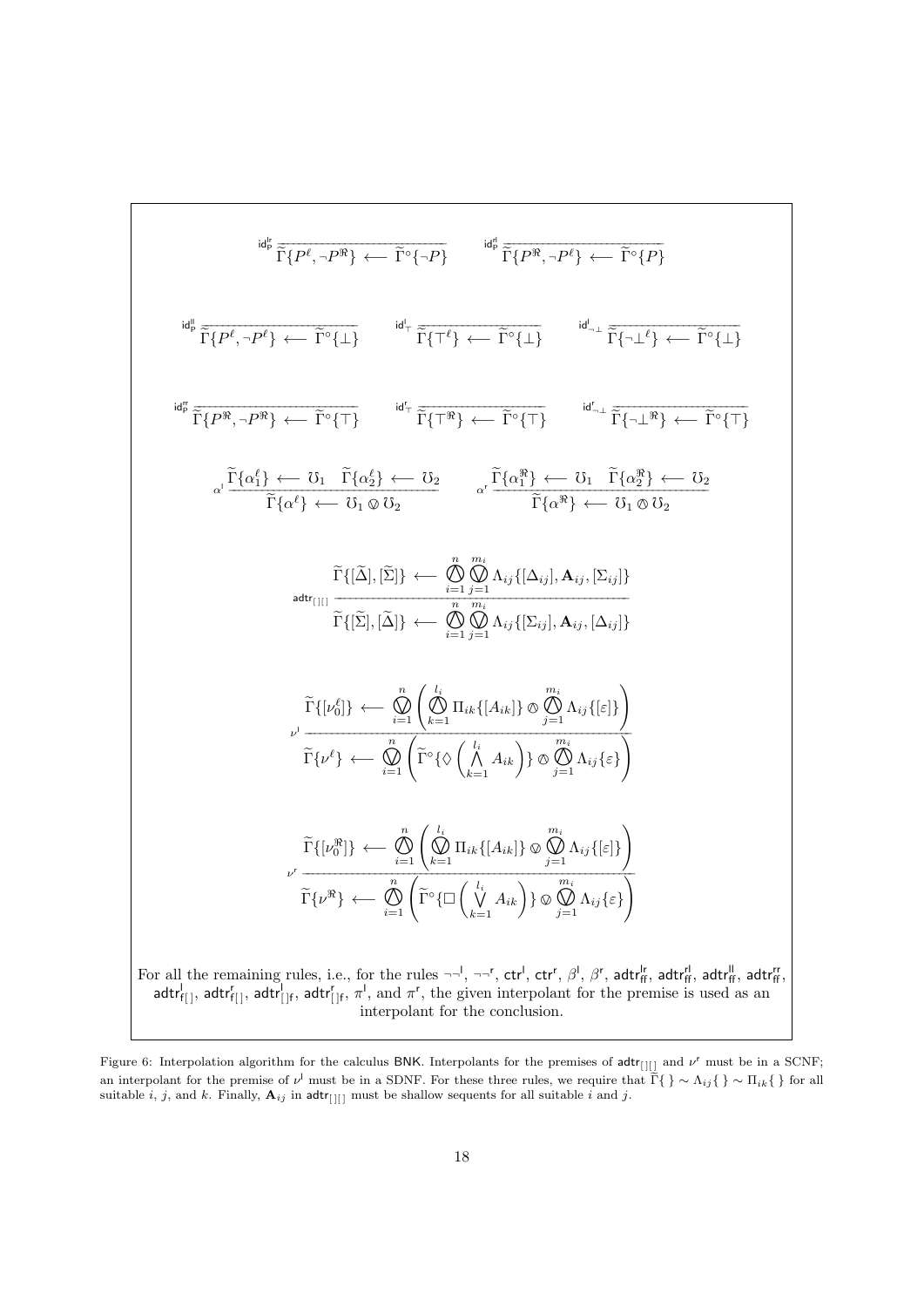$$
\mathbf{H}_{\mathbf{p}}^{\mathbf{g}}\widetilde{\Gamma}\{P^{\ell},\neg P^{\mathbf{R}}\} \leftarrow \widetilde{\Gamma}^{\circ}\{\neg P\}
$$
\n
$$
\mathbf{H}_{\mathbf{p}}^{\mathbf{g}}\widetilde{\Gamma}\{P^{\mathbf{R}},\neg P^{\ell}\} \leftarrow \widetilde{\Gamma}^{\circ}\{P\}
$$
\n
$$
\mathbf{H}_{\mathbf{p}}^{\mathbf{g}}\widetilde{\Gamma}\{P^{\mathbf{R}},\neg P^{\ell}\} \leftarrow \widetilde{\Gamma}^{\circ}\{\bot\}
$$
\n
$$
\mathbf{H}_{\mathbf{p}}^{\mathbf{g}}\widetilde{\Gamma}\{P^{\mathbf{R}},\neg P^{\mathbf{R}}\} \leftarrow \widetilde{\Gamma}^{\circ}\{\top\}
$$
\n
$$
\mathbf{H}_{\mathbf{p}}^{\mathbf{g}}\widetilde{\Gamma}\{\overline{P}^{\mathbf{R}},\neg P^{\mathbf{R}}\} \leftarrow \widetilde{\Gamma}^{\circ}\{\top\}
$$
\n
$$
\mathbf{H}_{\mathbf{p}}^{\mathbf{g}}\widetilde{\Gamma}\{\overline{P}^{\mathbf{R}},\neg P^{\mathbf{R}}\} \leftarrow \widetilde{\Gamma}^{\circ}\{\top\}
$$
\n
$$
\mathbf{H}_{\mathbf{p}}^{\mathbf{g}}\widetilde{\Gamma}\{\overline{P}^{\mathbf{R}},\neg P^{\mathbf{R}}\} \leftarrow \widetilde{\Gamma}^{\circ}\{\top\}
$$
\n
$$
\mathbf{H}_{\mathbf{p}}^{\mathbf{g}}\widetilde{\Gamma}\{\alpha_{1}^{\ell}\} \leftarrow \widetilde{\sigma}_{1} \alpha_{2} \widetilde{\sigma}_{2} \qquad \alpha' \frac{\widetilde{\Gamma}(\alpha_{1}^{\ell})}{\widetilde{\Gamma}(\alpha_{1}^{\ell})\} \leftarrow \widetilde{\sigma}_{1} \widetilde{\sigma}_{2} \widetilde{\sigma}_{2} \right)
$$
\n
$$
\mathbf{H}_{\mathbf{p}}^{\mathbf{g}}\leftarrow \widetilde{\sigma}_{1} \widetilde{\sigma}_{1} \widetilde{\sigma}_{1} \widetilde{\sigma}_{1} \widetilde{\sigma}_{1} \widetilde{\sigma}_{1} \widetilde{\sigma}_{1} \widetilde{\sigma}_{1} \widetilde{\sigma}_{
$$

For all the remaining rules, i.e., for the rules  $\neg$ ,  $\neg$ ,  $\neg$ ,  $\mathsf{ctr}'$ ,  $\mathsf{ctr}'$ ,  $\beta$ ,  $\beta$ ,  $\beta$ ,  $\mathsf{attr}'_{\mathsf{ff}}$ ,  $\mathsf{attr}'_{\mathsf{ff}}$ ,  $\mathsf{attr}'_{\mathsf{ff}}$ ,  $\mathsf{attr}'_{\mathsf{ff}}$  $adtr_{f[}$ ,  $adtr_{[}$ ,  $adtr_{[}$ ,  $adtr_{[}$ ,  $\pi$ <sup>t</sup>, and  $\pi$ <sup>r</sup>, the given interpolant for the premise is used as an interpolant for the conclusion.

Figure 6: Interpolation algorithm for the calculus BNK. Interpolants for the premises of  $adtr_{[1][}$  and  $\nu^r$  must be in a SCNF; an interpolant for the premise of  $\nu^l$  must be in a SDNF. For these three rules, we require that  $\tilde{\Gamma}\{\}\sim \Lambda_{ij}\{\}\sim \Pi_{ik}\{\}\$  for all suitable *i*, *j*, and *k*. Finally,  $\mathbf{A}_{ij}$  in adtr<sub>[][]</sub> must be shallow sequents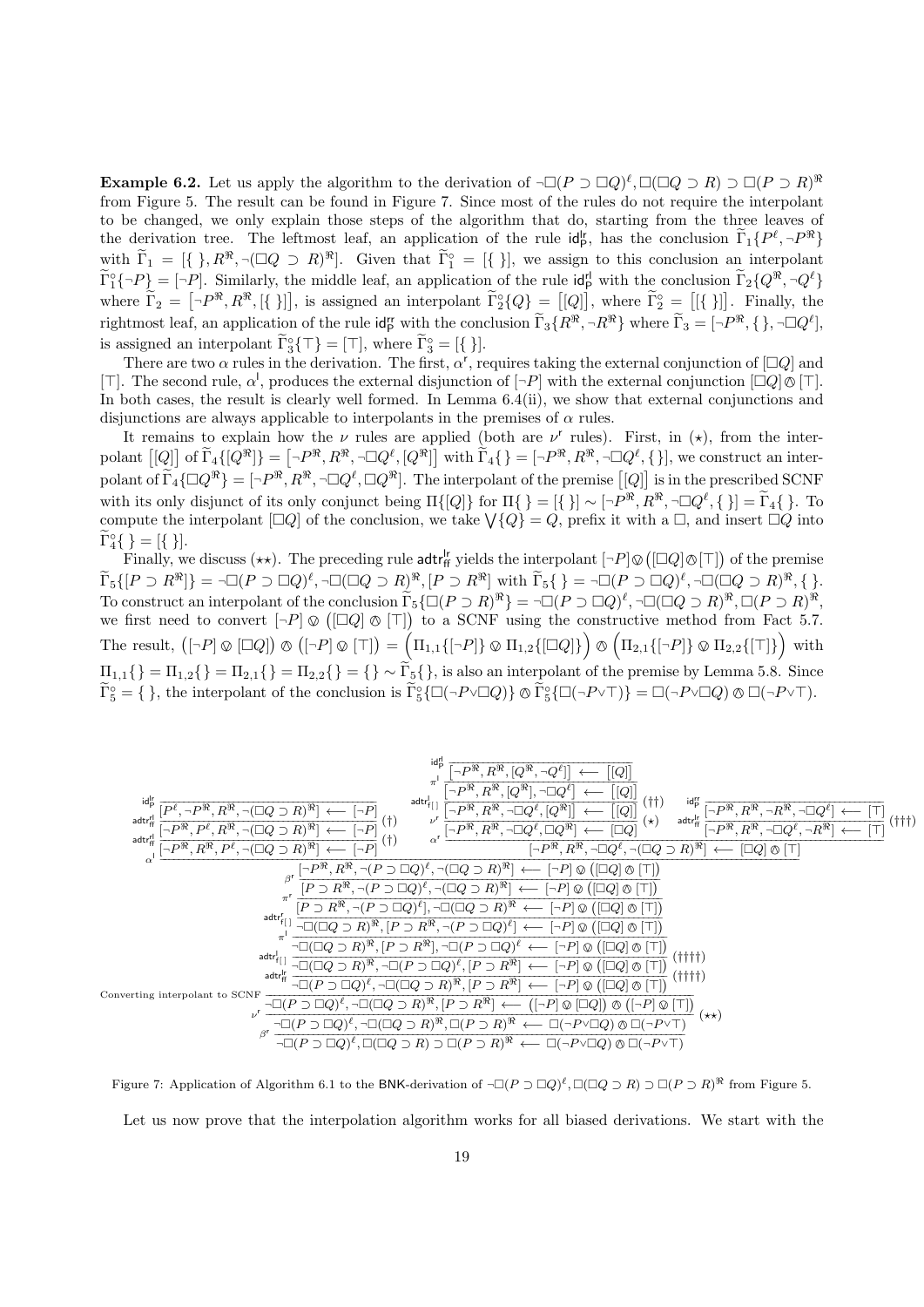**Example 6.2.** Let us apply the algorithm to the derivation of  $\neg\Box(P \supset \Box Q)^{\ell}, \Box(\Box Q \supset R) \supset \Box(P \supset R)^{\Re}$ from Figure 5. The result can be found in Figure 7. Since most of the rules do not require the interpolant to be changed, we only explain those steps of the algorithm that do, starting from the three leaves of the derivation tree. The leftmost leaf, an application of the rule  $\mathrm{id}_P^{\mid r}$ , has the conclusion  $\widetilde{\Gamma}_1\{P^\ell, \neg P^\Re\}$ with  $\widetilde{\Gamma}_1 = [{}, R^{\mathcal{R}}, \neg (\Box Q \supset R)^{\mathcal{R}}]$ . Given that  $\widetilde{\Gamma}_1^{\circ} = [{}, {\}$ , we assign to this conclusion an interpolant  $\widetilde{\Gamma}_1^{\circ} \{-P\} = [-P]$ . Similarly, the middle leaf, an application of the rule  $\det_{P}^{\mathsf{H}}$  with the conclusion  $\widetilde{\Gamma}_2 \{Q^{\mathfrak{R}}, \neg Q^{\ell}\}$ where  $\tilde{\Gamma}_2 = [-P^{\Re}, R^{\Re}, [\{\}]$ , is assigned an interpolant  $\tilde{\Gamma}_2^{\circ} \{Q\} = [[Q]],$  where  $\tilde{\Gamma}_2^{\circ} = [[\{\}]$ . Finally, the rightmost leaf, an application of the rule  $\mathsf{id}_{\mathsf{P}}^{\mathsf{r}}$  with the conclusion  $\widetilde{\Gamma}_3\{R^\mathfrak{R},\neg R^\mathfrak{R}\}\$  where  $\widetilde{\Gamma}_3 = [\neg P^\mathfrak{R}, \{\}, \neg \Box Q^\ell],$ is assigned an interpolant  $\widetilde{\Gamma}_3^{\circ} \{ \top \} = [\top]$ , where  $\widetilde{\Gamma}_3^{\circ} = [\{\}]$ .

There are two  $\alpha$  rules in the derivation. The first,  $\alpha'$ , requires taking the external conjunction of  $\Box Q$  and [T]. The second rule,  $\alpha^l$ , produces the external disjunction of  $[-P]$  with the external conjunction  $[\Box Q]\&[\top]$ .<br>In both excess the result is clearly well formed. In Lemma 6.4(ii), we show that external conjunctions and In both cases, the result is clearly well formed. In Lemma 6.4(ii), we show that external conjunctions and disjunctions are always applicable to interpolants in the premises of  $\alpha$  rules.

It remains to explain how the  $\nu$  rules are applied (both are  $\nu^r$  rules). First, in  $(\star)$ , from the interpolant  $[[Q]]$  of  $\widetilde{\Gamma}_4\{[Q^{\Re}]\} = [-P^{\Re}, R^{\Re}, \neg \Box Q^{\ell}, [Q^{\Re}]]$  with  $\widetilde{\Gamma}_4\{\} = [-P^{\Re}, R^{\Re}, \neg \Box Q^{\ell}, \{\}]$ , we construct an interpolant of  $\widetilde{\Gamma}_4\{\Box Q^{\Re}\} = [-P^{\Re}, R^{\Re}, \neg \Box Q^{\ell}, \Box Q^{\Re}]$ . The interpolant of the premise  $[[Q]]$  is in the prescribed SCNF with its only disjunct of its only conjunct being  $\Pi\{[Q]\}$  for  $\Pi\{\} = [\{\}] \sim [\neg P^{\Re}, R^{\Re}, \neg \Box Q^{\ell}, \{\}] = \widetilde{\Gamma}_4\{\}$ . To compute the interpolant  $[\Box Q]$  of the conclusion, we take  $\bigvee \{Q\} = Q$ , prefix it with a  $\Box$ , and insert  $\Box Q$  into  $\widetilde{\Gamma}_4^{\circ} \{\} = [\{\}\].$ 

Finally, we discuss  $(\star \star)$ . The preceding rule adtr<sup>l</sup>r yields the interpolant  $[\neg P] \otimes ([\Box Q] \otimes [\top])$  of the premise  $\widetilde{\Gamma}_5\{[P\supset R^{\Re}]\} = \neg \Box (P\supset \Box Q)^{\ell}, \neg \Box (\Box Q\supset R)^{\Re}, [P\supset R^{\Re}] \text{ with } \widetilde{\Gamma}_5\{\} = \neg \Box (P\supset \Box Q)^{\ell}, \neg \Box (\Box Q\supset R)^{\Re}, \{\}.$ To construct an interpolant of the conclusion  $\widetilde{\Gamma}_5\{\Box(P \supset R)^{\Re}\} = \neg \Box(P \supset \Box Q)^{\ell}, \neg \Box(\Box Q \supset R)^{\Re}, \Box(P \supset R)^{\Re},$ we first need to convert  $[-P] \otimes ([\Box Q] \otimes [\top])$  to a SCNF using the constructive method from Fact 5.7. The result,  $\left( \left[ \neg P \right] \otimes \left[ \Box Q \right] \right) \otimes \left( \left[ \neg P \right] \otimes \left[ \top \right] \right) = \left( \Pi_{1,1} \{ \left[ \neg P \right] \} \otimes \Pi_{1,2} \{ \left[ \Box Q \right] \} \right)$  $\ddot{\phantom{0}}$  $(\Pi_{2,1}\{\lceil \neg P \rceil\} \otimes \Pi_{2,2}\{\lceil \top \rceil\})$  with  $\Pi_{1,1}\{\} = \Pi_{1,2}\{\} = \Pi_{2,1}\{\} = \Pi_{2,2}\{\} = \{\}\sim \widetilde{\Gamma}_5\{\},\$ is also an interpolant of the premise by Lemma 5.8. Since  $\widetilde{\Gamma}_5^{\circ} = \{ \}$ , the interpolant of the conclusion is  $\widetilde{\Gamma}_5^{\circ} \{ \Box (\neg P \lor \Box Q) \} \otimes \widetilde{\Gamma}_5^{\circ} \{ \Box (\neg P \lor \top) \} = \Box (\neg P \lor \Box Q) \otimes \Box (\neg P \lor \top)$ .



Figure 7: Application of Algorithm 6.1 to the BNK-derivation of  $\neg\Box(P \supset \Box Q)^{\ell}, \Box(\Box Q \supset R) \supset \Box(P \supset R)^{\Re}$  from Figure 5. Let us now prove that the interpolation algorithm works for all biased derivations. We start with the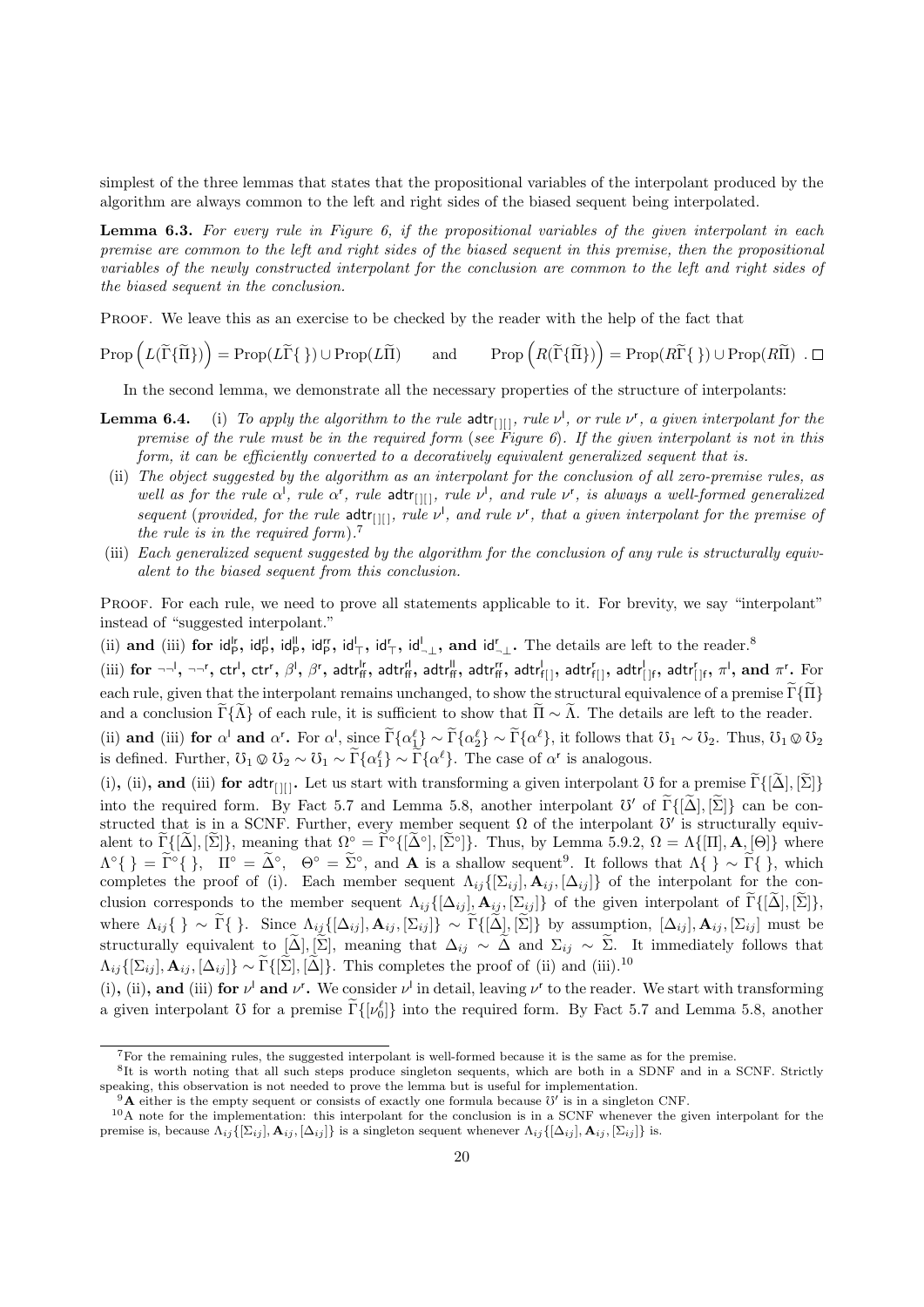simplest of the three lemmas that states that the propositional variables of the interpolant produced by the algorithm are always common to the left and right sides of the biased sequent being interpolated.

Lemma 6.3. For every rule in Figure 6, if the propositional variables of the given interpolant in each premise are common to the left and right sides of the biased sequent in this premise, then the propositional variables of the newly constructed interpolant for the conclusion are common to the left and right sides of the biased sequent in the conclusion.

PROOF. We leave this as an exercise to be checked by the reader with the help of the fact that

 $\text{Prop}\left(L(\widetilde{\Gamma}\{\widetilde{\Pi}\})\right) = \text{Prop}(L\widetilde{\Gamma}\{\}) \cup \text{Prop}(L\widetilde{\Pi})$  and  $\text{Prop}\left(R(\widetilde{\Gamma}\{\widetilde{\Pi}\})\right) = \text{Prop}(R\widetilde{\Gamma}\{\}) \cup \text{Prop}(R\widetilde{\Pi})$ .

In the second lemma, we demonstrate all the necessary properties of the structure of interpolants:

- **Lemma 6.4.** (i) To apply the algorithm to the rule  $\text{adtr}_{[1]]}$ , rule  $\nu^1$ , or rule  $\nu^r$ , a given interpolant for the premise of the rule must be in the required form (see Figure 6). If the given interpolant is not in this form, it can be efficiently converted to a decoratively equivalent generalized sequent that is.
- (ii) The object suggested by the algorithm as an interpolant for the conclusion of all zero-premise rules, as well as for the rule  $\alpha^l$ , rule  $\alpha^r$ , rule adtr<sub>[[[]</sub>, rule  $\nu^l$ , and rule  $\nu^r$ , is always a well-formed generalized sequent (provided, for the rule  $\text{adtr}_{\text{[II]}},$  rule  $\nu^{\text{I}},$  and rule  $\nu^{\text{r}},$  that a given interpolant for the premise of the rule is in the required form). 7
- (iii) Each generalized sequent suggested by the algorithm for the conclusion of any rule is structurally equivalent to the biased sequent from this conclusion.

PROOF. For each rule, we need to prove all statements applicable to it. For brevity, we say "interpolant" instead of "suggested interpolant."

(ii) and (iii) for  $\mathsf{id}_{\mathsf{P}}^{\mathsf{lr}}$ ,  $\mathsf{id}_{\mathsf{P}}^{\mathsf{lr}}$ ,  $\mathsf{id}_{\mathsf{T}}^{\mathsf{lr}}$ ,  $\mathsf{id}_{\mathsf{T}}^{\mathsf{lr}}$ ,  $\mathsf{id}_{\mathsf{T}}^{\mathsf{lr}}$ ,  $\mathsf{id}_{\mathsf{T}}^{\mathsf{lr}}$ , and  $\mathsf{id}_{\mathsf{T}}^{\mathsf{lr}}$ . The details are left to the reader.<sup>8</sup>

(iii) for  $\neg\neg', \neg\neg^r$ , ctr<sup>1</sup>, ctr<sup>r</sup>,  $\beta^l$ ,  $\beta^r$ , adtr $\eta_f^l$ , adtr $\eta_f^l$ , adtr $\eta_f^r$ , adtr $\eta_f^r$ , adtr $\eta_f^r$ , adtr $\eta_f^r$ , adtr $\eta_f^r$ , and  $\pi^r$ . For each rule, given that the interpolant remains unchanged, to show the structural equivalence of a premise  $\tilde{\Gamma}\{\tilde{\Pi}\}$ and a conclusion  $\Gamma\{\hat{\Lambda}\}\$  of each rule, it is sufficient to show that  $\tilde{\Pi} \sim \tilde{\Lambda}$ . The details are left to the reader.

(ii) and (iii) for  $\alpha^I$  and  $\alpha^r$ . For  $\alpha^I$ , since  $\tilde{\Gamma}\{\alpha_1^{\ell}\}\sim \tilde{\Gamma}\{\alpha_2^{\ell}\}\sim \tilde{\Gamma}\{\alpha^{\ell}\}\,$ , it follows that  $\tilde{U}_1 \sim U_2$ . Thus,  $\tilde{U}_1 \otimes U_2$ is defined. Further,  $\mathcal{O}_1 \otimes \mathcal{O}_2 \sim \mathcal{O}_1 \sim \widetilde{\Gamma}\{\alpha_1^{\ell}\} \sim \widetilde{\Gamma}\{\alpha^{\ell}\}\.$  The case of  $\alpha^{\ell}$  is analogous.

(i), (ii), and (iii) for adtr<sub>[1]</sub>. Let us start with transforming a given interpolant U for a premise  $\tilde{\Gamma}\{|\tilde{\Delta}|, |\tilde{\Sigma}|\}$ into the required form. By Fact 5.7 and Lemma 5.8, another interpolant  $\mathcal{V}'$  of  $\widetilde{\Gamma} \{[\widetilde{\Delta}], [\widetilde{\Sigma}]\}$  can be constructed that is in a SCNF. Further, every member sequent  $\Omega$  of the interpolant  $\mathcal{V}'$  is structurally equivalent to  $\widetilde{\Gamma}([\widetilde{\Delta}], [\widetilde{\Sigma}])$ , meaning that  $\Omega^{\circ} = \widetilde{\Gamma}^{\circ}([\widetilde{\Delta}^{\circ}], [\widetilde{\Sigma}^{\circ}])$ . Thus, by Lemma 5.9.2,  $\Omega = \Lambda\{[\Pi], \mathbf{A}, [\Theta]\}$  where  $\Lambda^{\circ} \{ \} = \tilde{\Gamma}^{\circ} \{ \}$ ,  $\Pi^{\circ} = \tilde{\Delta}^{\circ}$ ,  $\Theta^{\circ} = \tilde{\Sigma}^{\circ}$ , and **A** is a shallow sequent<sup>9</sup>. It follows that  $\Lambda \{ \} \sim \tilde{\Gamma} \{ \}$ , which completes the proof of (i). Each member sequent  $\Lambda_{ij}\{[\Sigma_{ij}],\mathbf{A}_{ij},[\Delta_{ij}]\}$  of the interpolant for the conclusion corresponds to the member sequent  $\Lambda_{ij}([\Delta_{ij}], \mathbf{A}_{ij}, [\Sigma_{ij}])$  of the given interpolant of  $\tilde{\Gamma}([\tilde{\Delta}], [\tilde{\Sigma}])$ , where  $\Lambda_{ij} \{\}\sim \tilde{\Gamma} \{\}\.$  Since  $\Lambda_{ij} \{[\Delta_{ij}], \mathbf{A}_{ij}, [\Sigma_{ij}]\}\sim \tilde{\Gamma} \{[\tilde{\Delta}], [\tilde{\Sigma}]\}\$  by assumption,  $[\Delta_{ij}], \mathbf{A}_{ij}, [\Sigma_{ij}]$  must be structurally equivalent to  $[\tilde{\Delta}], [\tilde{\Sigma}],$  meaning that  $\Delta_{ij} \sim \tilde{\Delta}$  and  $\Sigma_{ij} \sim \tilde{\Sigma}$ . It immediately follows that  $\Lambda_{ij}\{[\Sigma_{ij}],\mathbf{A}_{ij},[\Delta_{ij}]\}\sim \widetilde{\Gamma}\{[\widetilde{\Sigma}],[\widetilde{\Delta}]\}\.$  This completes the proof of (ii) and (iii).<sup>10</sup>

(i), (ii), and (iii) for  $\nu^l$  and  $\nu^r$ . We consider  $\nu^l$  in detail, leaving  $\nu^r$  to the reader. We start with transforming a given interpolant U for a premise  $\tilde{\Gamma}\{[\nu_0^{\ell}]\}\$  into the required form. By Fact 5.7 and Lemma 5.8, another

<sup>7</sup>For the remaining rules, the suggested interpolant is well-formed because it is the same as for the premise.

<sup>8</sup> It is worth noting that all such steps produce singleton sequents, which are both in a SDNF and in a SCNF. Strictly speaking, this observation is not needed to prove the lemma but is useful for implementation.

<sup>&</sup>lt;sup>9</sup>**A** either is the empty sequent or consists of exactly one formula because  $0'$  is in a singleton CNF.

 $10A$  note for the implementation: this interpolant for the conclusion is in a SCNF whenever the given interpolant for the premise is, because  $\Lambda_{ij}(\Sigma_{ij}], \mathbf{A}_{ij}, [\Delta_{ij}]\}$  is a singleton sequent whenever  $\Lambda_{ij}\{[\Delta_{ij}], \mathbf{A}_{ij}, [\Sigma_{ij}]\}$  is.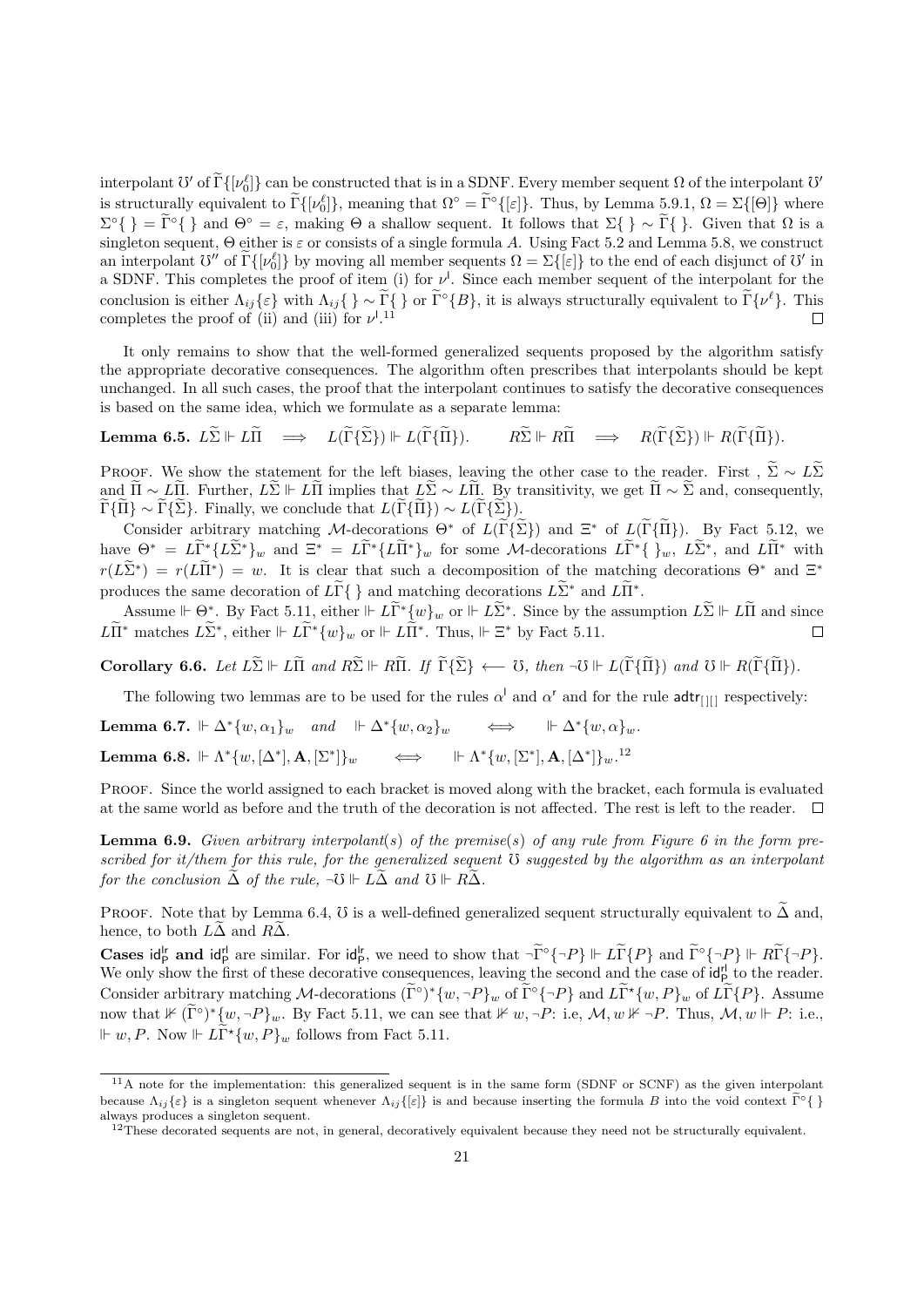interpolant  $\mathcal{O}'$  of  $\widetilde{\Gamma} \{[\nu_0^{\ell}]\}$  can be constructed that is in a SDNF. Every member sequent  $\Omega$  of the interpolant  $\mathcal{O}'$ is structurally equivalent to  $\Gamma\{[\nu_0^{\ell}]\}\$ , meaning that  $\Omega^{\circ} = \Gamma^{\circ}\{[\varepsilon]\}\$ . Thus, by Lemma 5.9.1,  $\Omega = \Sigma\{[\Theta]\}\$  where  $\Sigma^{\circ} \{ \} = \tilde{\Gamma}^{\circ} \{ \}$  and  $\Theta^{\circ} = \varepsilon$ , making  $\Theta$  a shallow sequent. It follows that  $\Sigma \{ \} \sim \tilde{\Gamma} \{ \}$ . Given that  $\Omega$  is a singleton sequent,  $\Theta$  either is  $\varepsilon$  or consists of a single formula A. Using Fact 5.2 and Lemma 5.8, we construct an interpolant  $\mathcal{O}''$  of  $\widetilde{\Gamma}\{[\nu_0^{\ell}]\}$  by moving all member sequents  $\Omega = \Sigma\{[\varepsilon]\}$  to the end of each disjunct of  $\mathcal{O}'$  in a SDNF. This completes the proof of item (i) for  $\nu^l$ . Since each member sequent of the interpolant for the conclusion is either  $\Lambda_{ij}\{\varepsilon\}$  with  $\Lambda_{ij}\{\} \sim \tilde{\Gamma}\{\}$  or  $\tilde{\Gamma}^{\circ}\{B\}$ , it is always structurally equivalent to  $\tilde{\Gamma}\{\nu^{\ell}\}$ . This completes the proof of (ii) and (iii) for  $\nu^{1,11}$  $\Box$ 

It only remains to show that the well-formed generalized sequents proposed by the algorithm satisfy the appropriate decorative consequences. The algorithm often prescribes that interpolants should be kept unchanged. In all such cases, the proof that the interpolant continues to satisfy the decorative consequences is based on the same idea, which we formulate as a separate lemma:

Lemma 6.5.  $L\widetilde{\Sigma} \Vdash L\widetilde{\Pi} \implies L(\widetilde{\Gamma}\{\widetilde{\Sigma}\}) \Vdash L(\widetilde{\Gamma}\{\widetilde{\Pi}\}). \qquad R\widetilde{\Sigma} \Vdash R\widetilde{\Pi} \implies R(\widetilde{\Gamma}\{\widetilde{\Sigma}\}) \Vdash R(\widetilde{\Gamma}\{\widetilde{\Pi}\}).$ 

PROOF. We show the statement for the left biases, leaving the other case to the reader. First,  $\tilde{\Sigma} \sim L\tilde{\Sigma}$ and  $\tilde{\Pi} \sim L\tilde{\Pi}$ . Further,  $L\tilde{\Sigma} \vdash L\tilde{\Pi}$  implies that  $L\tilde{\Sigma} \sim L\tilde{\Pi}$ . By transitivity, we get  $\tilde{\Pi} \sim \tilde{\Sigma}$  and, consequently,  $\Gamma\{\Pi\}$  ∼ Γ $\{\Sigma\}$ . Finally, we conclude that  $L(\Gamma\{\Pi\})$  ∼  $L(\Gamma\{\Sigma\})$ .

Consider arbitrary matching M-decorations  $\Theta^*$  of  $L(\widetilde{\Gamma} {\{\widetilde{\Sigma}\}})$  and  $\Xi^*$  of  $L(\widetilde{\Gamma} {\{\widetilde{\Pi}\}})$ . By Fact 5.12, we have  $\Theta^* = L\tilde{\Gamma}^* \{L\tilde{\Sigma}^*\}_w$  and  $\Xi^* = L\tilde{\Gamma}^* \{L\tilde{\Pi}^*\}_w$  for some M-decorations  $L\tilde{\Gamma}^* \{ \}_w$ ,  $L\tilde{\Sigma}^*$ , and  $L\tilde{\Pi}^*$  with  $r(L\tilde{\Sigma}^*) = r(L\tilde{\Pi}^*) = w$ . It is clear that such a decomposition of the matching decorations  $\Theta^*$  and  $\Xi^*$ produces the same decoration of  $L\widetilde{\Gamma} \{\}$  and matching decorations  $L\widetilde{\Sigma}^*$  and  $L\widetilde{\Pi}^*$ .

Assume  $\Vdash \Theta^*$ . By Fact 5.11, either  $\Vdash L\widetilde{\Gamma}^*\{w\}_w$  or  $\Vdash L\widetilde{\Sigma}^*$ . Since by the assumption  $L\widetilde{\Sigma} \Vdash L\widetilde{\Pi}$  and since  $L\widetilde{\Pi}^*$  matches  $L\widetilde{\Sigma}^*$ , either  $\mathbb{H} L\widetilde{\Pi}^*$  or  $\mathbb{H} L\widetilde{\Pi}^*$ . Thus,  $\mathbb{H} \Xi^*$  by Fact 5.11.

Corollary 6.6. Let  $L\widetilde{\Sigma} \Vdash L\widetilde{\Pi}$  and  $R\widetilde{\Sigma} \Vdash R\widetilde{\Pi}$ . If  $\widetilde{\Gamma}\{\widetilde{\Sigma}\} \leftarrow \mathcal{O}$ , then  $\neg \mathcal{O} \Vdash L(\widetilde{\Gamma}\{\widetilde{\Pi}\})$  and  $\mathcal{O} \Vdash R(\widetilde{\Gamma}\{\widetilde{\Pi}\}).$ 

The following two lemmas are to be used for the rules  $\alpha^l$  and  $\alpha^r$  and for the rule adtr<sub>[[[]</sub> respectively:

Lemma 6.7.  $\Vdash \Delta^* \{w, \alpha_1\}_w$  and  $\Vdash \Delta^* \{w, \alpha_2\}_w$   $\iff$   $\Vdash \Delta^* \{w, \alpha\}_w$ . Lemma 6.8.  $\Vdash \Lambda^*\{w, [\Delta^*], \mathbf{A}, [\Sigma^*]$  $]\}_w$   $\iff$   $\mathbb{H} \Lambda^* \{w, [\Sigma^*], \mathbf{A}, [\Delta^*] \}_w.$ <sup>12</sup>

PROOF. Since the world assigned to each bracket is moved along with the bracket, each formula is evaluated at the same world as before and the truth of the decoration is not affected. The rest is left to the reader.  $\Box$ 

**Lemma 6.9.** Given arbitrary interpolant(s) of the premise(s) of any rule from Figure 6 in the form prescribed for it/them for this rule, for the generalized sequent  $\mathcal{V}$  suggested by the algorithm as an interpolant for the conclusion  $\widetilde{\Delta}$  of the rule,  $\neg \mathfrak{V} \Vdash L \widetilde{\Delta}$  and  $\mathfrak{V} \Vdash R \widetilde{\Delta}$ .

PROOF. Note that by Lemma 6.4,  $\sigma$  is a well-defined generalized sequent structurally equivalent to  $\Delta$  and, hence, to both  $L\Delta$  and  $R\Delta$ .

Cases  $\mathsf{id}_{\mathsf{P}}^{\mathsf{lr}}$  and  $\mathsf{id}_{\mathsf{P}}^{\mathsf{rl}}$  are similar. For  $\mathsf{id}_{\mathsf{P}}^{\mathsf{lr}}$ , we need to show that  $\neg \widetilde{\Gamma}^{\circ}\{\neg P\} \Vdash \widetilde{\Gamma}\{P\}$  and  $\widetilde{\Gamma}^{\circ}\{\neg P\} \Vdash \widetilde{\Gamma}\{\neg P\}$ . We only show the first of these decorative consequences, leaving the second and the case of  $\mathsf{id}_{\mathsf{P}}^{\mathsf{rl}}$  to the reader. Consider arbitrary matching M-decorations  $(\tilde{\Gamma}^{\circ})^*\{w, \neg P\}_w$  of  $\tilde{\Gamma}^{\circ}\{\neg P\}$  and  $L\tilde{\Gamma}^*\{w, P\}_w$  of  $L\tilde{\Gamma}\{P\}$ . Assume now that  $\not\vdash (\widetilde{\Gamma}^{\circ})^* \{w, \neg P\}_w$ . By Fact 5.11, we can see that  $\nvdash w, \neg P$ : i.e,  $\mathcal{M}, w \nvDash \neg P$ . Thus,  $\mathcal{M}, w \Vdash P$ : i.e.,  $\Vdash w, P$ . Now  $\Vdash \tilde{L} \tilde{\Gamma}^* \{w, P\}_w$  follows from Fact 5.11.

<sup>&</sup>lt;sup>11</sup>A note for the implementation: this generalized sequent is in the same form (SDNF or SCNF) as the given interpolant because  $\Lambda_{ij}\{\varepsilon\}$  is a singleton sequent whenever  $\Lambda_{ij}\{\varepsilon\}$  is and because inserting the formula B into the void context  $\tilde{\Gamma}^{\circ}\{\}$ always produces a singleton sequent.

 $12$ These decorated sequents are not, in general, decoratively equivalent because they need not be structurally equivalent.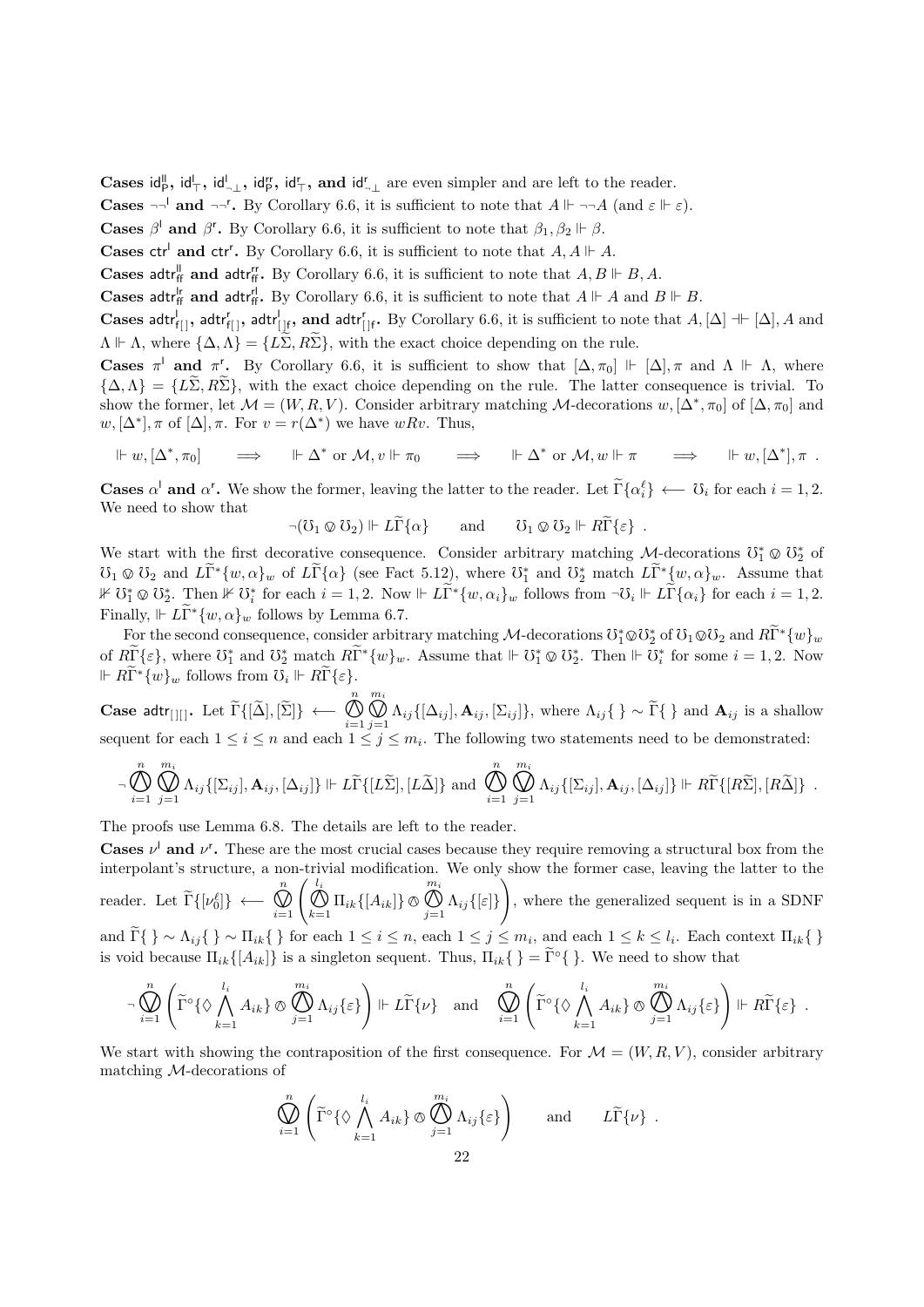Cases  $\mathsf{id}_{\mathsf{P}}^{\mathsf{II}}, \mathsf{id}_{\mathsf{T}}^{\mathsf{II}}, \mathsf{id}_{\mathsf{T}}^{\mathsf{I}\mathsf{I}}, \mathsf{id}_{\mathsf{T}}^{\mathsf{I}\mathsf{I}}, \mathsf{and} \mathsf{id}_{\mathsf{T}}^{\mathsf{I}}$  are even simpler and are left to the reader.

**Cases**  $\neg \neg'$  and  $\neg \neg'$ . By Corollary 6.6, it is sufficient to note that  $A \Vdash \neg \neg A$  (and  $\varepsilon \Vdash \varepsilon$ ).

**Cases**  $\beta^l$  and  $\beta^r$ . By Corollary 6.6, it is sufficient to note that  $\beta_1, \beta_2 \Vdash \beta$ .

**Cases ctr<sup>l</sup> and ctr<sup>r</sup>.** By Corollary 6.6, it is sufficient to note that  $A, A \Vdash A$ .

**Cases adtr**<sup>*i*</sup><sub>ff</sub> and adtr<sup>*i*</sup><sub>ff</sub>. By Corollary 6.6, it is sufficient to note that  $A, B \Vdash B, A$ .

**Cases adtr**<sup> $r$ </sup><sub>ff</sub> and adtr<sup><sup>*r*</sup><sub>ff</sub>. By Corollary 6.6, it is sufficient to note that  $A \Vdash A$  and  $B \Vdash B$ .</sup>

Cases adtr $f_{\{|\}}$ , adtr $f_{\{|\}}$ , adtr $f_{\{|\}}$ , and adtr $f_{\{|\}}$ . By Corollary 6.6, it is sufficient to note that  $A$ ,  $[\Delta] \dashv [ \Delta ]$ , A and  $\Lambda \Vdash \Lambda$ , where  $\{\Delta, \Lambda\} = \{L\Sigma, R\Sigma\}$ , with the exact choice depending on the rule.

Cases  $\pi^{\perp}$  and  $\pi^{\prime}$ . By Corollary 6.6, it is sufficient to show that  $[\Delta, \pi_0] \Vdash [\Delta], \pi$  and  $\Lambda \Vdash \Lambda$ , where  ${\{\Delta,\Lambda\}} = {\{\tilde{L\Sigma},R\tilde{\Sigma}\}}$ , with the exact choice depending on the rule. The latter consequence is trivial. To show the former, let  $\mathcal{M} = (W, R, V)$ . Consider arbitrary matching  $\mathcal{M}$ -decorations  $w, [\Delta^*, \pi_0]$  of  $[\Delta, \pi_0]$  and  $w, [\Delta^*], \pi$  of  $[\Delta], \pi$ . For  $v = r(\Delta^*)$  we have  $wRv$ . Thus,

$$
\Vdash w, [\Delta^*, \pi_0] \qquad \Longrightarrow \qquad \Vdash \Delta^* \text{ or } \mathcal{M}, v \Vdash \pi_0 \qquad \Longrightarrow \qquad \Vdash \Delta^* \text{ or } \mathcal{M}, w \Vdash \pi \qquad \Longrightarrow \qquad \Vdash w, [\Delta^*], \pi \; .
$$

**Cases**  $\alpha^i$  **and**  $\alpha^r$ . We show the former, leaving the latter to the reader. Let  $\tilde{\Gamma}\{\alpha_i^{\ell}\} \leftarrow \tilde{U}_i$  for each  $i = 1, 2$ . We need to show that

$$
\neg(\mho_1 \otimes \mho_2) \Vdash L\widetilde{\Gamma}\{\alpha\} \quad \text{and} \quad \mho_1 \otimes \mho_2 \Vdash R\widetilde{\Gamma}\{\varepsilon\} .
$$

We start with the first decorative consequence. Consider arbitrary matching  $\mathcal{M}$ -decorations  $\mathbb{O}_1^* \otimes \mathbb{O}_2^*$  of  $\mathbb{R}^*$  or  $\mathbb{R}^*$  and  $\mathbb{R}^*$  and  $\mathbb{R}^*$  and  $\mathbb{R}^*$  (i.e.  $\mathbb{R}^*$  and  $\mathbb{R$  $\mathcal{O}_1 \otimes \mathcal{O}_2$  and  $L\widetilde{\Gamma}^*(w, \alpha)_w$  of  $L\widetilde{\Gamma}\{\alpha\}$  (see Fact 5.12), where  $\mathcal{O}_1^*$  and  $\mathcal{O}_2^*$  match  $L\widetilde{\Gamma}^*(w, \alpha)_w$ . Assume that  $\mathbb{R}^{n \times n}$  and  $\mathbb{R}^{n \times n}$  and  $\mathbb{R}^{n \times n}$  and  $\mathbb{R}^{n \times n}$  $\mathcal{F} \circ \mathcal{F}^*_{\mathcal{F}} \circ \mathcal{F}^*_{\mathcal{F}}$  for each  $i = 1, 2$ . Now  $\mathcal{F} \circ \mathcal{F}^*_{\mathcal{F}} \{w, \alpha_i\}_w$  follows from  $\neg \mathcal{F}_i \Vdash L\widetilde{\Gamma}\{\alpha_i\}$  for each  $i = 1, 2$ . Finally,  $\mathbb{E} \mathbb{E} \mathbb{E} \{w, \alpha\}_w$  follows by Lemma 6.7.

For the second consequence, consider arbitrary matching  $\mathcal{M}$ -decorations  $\mathbb{O}_1^* \otimes \mathbb{O}_2^*$  of  $\mathbb{O}_1 \otimes \mathbb{O}_2$  and  $R\widetilde{\Gamma}^* \{w\}_w$ of  $R\widetilde{\Gamma} \{\varepsilon\}$ , where  $\mathbb{U}_1^*$  and  $\mathbb{U}_2^*$  match  $R\widetilde{\Gamma}^*\{w\}_w$ . Assume that  $\Vdash \mathbb{U}_1^* \otimes \mathbb{U}_2^*$ . Then  $\Vdash \mathbb{U}_i^*$  for some  $i = 1, 2$ . Now  $\mathbb{R} \widetilde{\Gamma}^* \{w\}_w$  follows from  $\mathcal{O}_i \Vdash R\widetilde{\Gamma} \{\varepsilon\}.$ 

Case adtr<sub>[][]</sub>. Let  $\Gamma\{[\Delta], [\Sigma]\}\ \longleftarrow$ n  $i=1$ <br> $\overline{1}$  $m_i$  $\bigcup_{j=1} \Lambda_{ij} \{[\Delta_{ij}], \mathbf{A}_{ij}, [\Sigma_{ij}]\},$  where  $\Lambda_{ij} \{ \} \sim \Gamma \{ \}$  and  $\mathbf{A}_{ij}$  is a shallow<br>  $\{S \} \sim \Gamma$  and  $\mathbf{A}_{ij}$  is a shallow sequent for each  $1 \leq i \leq n$  and each  $1 \leq j \leq m_i$ . The following two statements need to be demonstrated:

$$
\neg \bigotimes_{i=1}^{n} \bigotimes_{j=1}^{m_i} \Lambda_{ij} \{ [\Sigma_{ij}], \mathbf{A}_{ij}, [\Delta_{ij}] \} \Vdash L\widetilde{\Gamma} \{ [L\widetilde{\Sigma}], [L\widetilde{\Delta}] \} \text{ and } \bigotimes_{i=1}^{n} \bigotimes_{j=1}^{m_i} \Lambda_{ij} \{ [\Sigma_{ij}], \mathbf{A}_{ij}, [\Delta_{ij}] \} \Vdash R\widetilde{\Gamma} \{ [R\widetilde{\Sigma}], [R\widetilde{\Delta}] \} .
$$

The proofs use Lemma 6.8. The details are left to the reader.

**Cases**  $\nu^{\dagger}$  and  $\nu^{\dagger}$ . These are the most crucial cases because they require removing a structural box from the interpolant's structure, a non-trivial modification. We only show the former case, leaving the latter to the

reader. Let  $\tilde{\Gamma}\{[\nu_0^{\ell}]\}\leftarrow$ n  $\bigotimes_{i=1}^n \left( \bigotimes_{k=1}^{l_i} \Pi_{ik} \{ [A_{ik}] \} \right)$  $m_i$  $\bigcup_{j=1}^N \Lambda_{ij} \{[\varepsilon]\}\$  $\setminus$ , where the generalized sequent is in a SDNF

and  $\Gamma\{\}\sim \Lambda_{ij}\{\}\sim \Pi_{ik}\{\}\$ for each  $1\leq i\leq n$ , each  $1\leq j\leq m_i$ , and each  $1\leq k\leq l_i$ . Each context  $\Pi_{ik}\{\}\$ is void because  $\Pi_{ik}\{A_{ik}\}\$ is a singleton sequent. Thus,  $\Pi_{ik}\{\} = \widetilde{\Gamma} \circ \{\}$ . We need to show that

$$
\neg \bigotimes_{i=1}^{n} \left( \widetilde{\Gamma}^{\circ} \{ \Diamond \bigwedge_{k=1}^{l_{i}} A_{ik} \} \otimes \bigotimes_{j=1}^{m_{i}} \Lambda_{ij} \{ \varepsilon \} \right) \Vdash L \widetilde{\Gamma} \{ \nu \} \text{ and } \bigotimes_{i=1}^{n} \left( \widetilde{\Gamma}^{\circ} \{ \Diamond \bigwedge_{k=1}^{l_{i}} A_{ik} \} \otimes \bigotimes_{j=1}^{m_{i}} \Lambda_{ij} \{ \varepsilon \} \right) \Vdash R \widetilde{\Gamma} \{ \varepsilon \} .
$$

We start with showing the contraposition of the first consequence. For  $\mathcal{M} = (W, R, V)$ , consider arbitrary matching M-decorations of

$$
\bigotimes_{i=1}^{n} \left( \widetilde{\Gamma}^{\circ} \{ \Diamond \bigwedge_{k=1}^{l_i} A_{ik} \} \otimes \bigotimes_{j=1}^{m_i} \Lambda_{ij} \{ \varepsilon \} \right) \quad \text{and} \quad L\widetilde{\Gamma} \{ \nu \} .
$$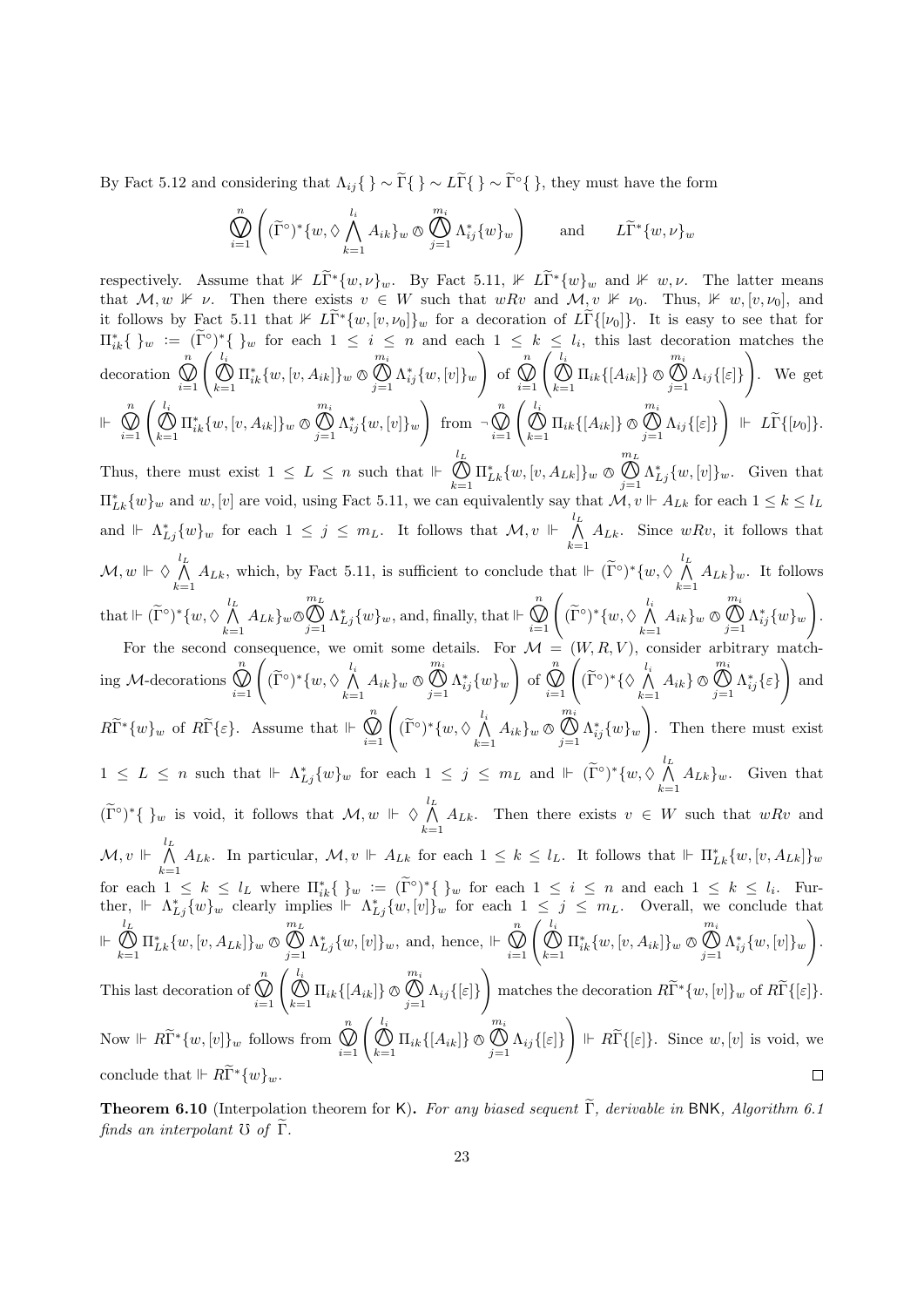By Fact 5.12 and considering that  $\Lambda_{ij} \{ \} \sim \widetilde{\Gamma} \{ \} \sim L\widetilde{\Gamma} \{ \} \sim \widetilde{\Gamma}^{\circ} \{ \}$ , they must have the form

$$
\bigotimes_{i=1}^{n} \left( (\widetilde{\Gamma}^{\circ})^* \{w, \Diamond \bigwedge_{k=1}^{l_i} A_{ik}\}_w \otimes \bigotimes_{j=1}^{m_i} \Lambda_{ij}^* \{w\}_w \right) \quad \text{and} \quad L\widetilde{\Gamma}^* \{w, \nu\}_w
$$

respectively. Assume that  $\mathbb{1} \mathbb{E} \tilde{\Gamma}^* \{w, \nu\}_w$ . By Fact 5.11,  $\mathbb{1} \mathbb{E} \tilde{\Gamma}^* \{w\}_w$  and  $\mathbb{1} \mathbb{E} \mathbb{E} \mathbb{E} \mathbb{E} \mathbb{E} \mathbb{E} \mathbb{E} \mathbb{E} \mathbb{E} \mathbb{E} \mathbb{E} \mathbb{E} \mathbb{E} \mathbb{E} \mathbb{E} \mathbb{E} \mathbb{E} \mathbb{E}$ that  $M, w \not\vDash \nu$ . Then there exists  $v \in W$  such that  $wRv$  and  $\mathcal{M}, v \not\vDash \nu_0$ . Thus,  $\nvdash w, [v, \nu_0]$ , and it follows by Fact 5.11 that  $\mathbb{1} \mathbb{I}^* \{w, [v, \nu_0]\}_w$  for a decoration of  $L\widetilde{\Gamma} \{[\nu_0]\}$ . It is easy to see that for  $\prod_{i=1}^k {\}w := (\tilde{\Gamma}^{\circ})^*{\}w$  for each  $1 \leq i \leq n$  and each  $1 \leq k \leq l_i$ , this last decoration matches the  $\bigotimes_{i=1}^{n} \left( \bigotimes_{k=1}^{l_i} \Pi_{ik}^* \{w, [v, A_{ik}]\}_w \otimes \right)$ n  $m_i$  $\setminus$  $\bigotimes_{i=1}^n \left( \bigotimes_{k=1}^{l_i} \Pi_{ik} \{ [A_{ik}] \} \otimes \right)$ n  $m_i$  $\setminus$  $\bigoplus_{j=1} \Lambda_{ij}^*\{w,[v]\}_w$ decoration of  $\bigcup_{j=1}^N \Lambda_{ij} \{[\varepsilon]\}$ . We get  $\bigotimes_{i=1}^{n} \left( \bigotimes_{k=1}^{l_i} \Pi_{ik}^* \{w, [v, A_{ik}]\}_w \otimes \right)$  $\setminus$  $\bigotimes_{i=1}^n \left( \bigotimes_{k=1}^{l_i} \Pi_{ik} \{ [A_{ik}] \} \right)$  $\Big\} \ \Vdash\ L\widetilde{\Gamma}\{[\nu_0]\}.$  $\mathbb{R}^n$  $m_i$ n  $m_i$  $\bigoplus_{j=1} \Lambda_{ij}^* \{w, [v]\}_w$ from ¬  $\bigcup_{j=1}^N \Lambda_{ij} \{[\varepsilon]\}\$ Thus, there must exist  $1 \leq L \leq n$  such that  $\mathcal{F} \subset \mathcal{L}$  $m<sub>L</sub>$  $\bigotimes_{k=1} \Pi_{Lk}^* \{w, [v, A_{Lk}]\}_w$   $\otimes$  $\bigotimes_{j=1}^{\infty} \Lambda_{Lj}^{*} \{w, [v]\}_w$ . Given that  $\Pi_{Lk}^*[w]_w$  and  $w, [v]$  are void, using Fact 5.11, we can equivalently say that  $\mathcal{M}, v \Vdash A_{Lk}$  for each  $1 \leq k \leq l_L$ and  $\Vdash \Lambda_{Lj}^* \{w\}_w$  for each  $1 \leq j \leq m_L$ . It follows that  $\mathcal{M}, v \Vdash \bigwedge^{l_L}$  $\bigwedge_{k=1} A_{Lk}$ . Since  $wRv$ , it follows that  $\mathcal{M},w\Vdash\Diamond\stackrel{l_L}{\textstyle\bigwedge}$  $\bigwedge_{k=1}^{l_L} A_{Lk}$ , which, by Fact 5.11, is sufficient to conclude that  $\Vdash (\widetilde{\Gamma}^{\circ})^*\{w, \Diamond \bigwedge_{k=1}^{l_L} A_{Lk}\}$  $\bigwedge_{k=1} A_{Lk} \}$ <sub>*w*</sub>. It follows  $\bigotimes_{j=1}^{m_L} \Lambda_{Lj}^* \{w\}_w$ , and, finally, that  $\Vdash \bigotimes_{i=1}^n$  $m<sub>L</sub>$  $\bigotimes_{i=1}^n \left( (\widetilde{\Gamma}^\circ)^* \{w, \Diamond \bigwedge_{k=1}^{l_i} \right)$  $m_i$  $\setminus$ that  $\Vdash (\widetilde{\Gamma}^{\circ})^*\{w, \Diamond \bigwedge^{l_L}_{k_{\square}}$  $\bigwedge_{k=1} A_{Lk} \}_w \otimes$  $\bigwedge_{k=1} A_{ik} \}_w \otimes$  $\bigoplus_{j=1}^{\infty} \Lambda^*_{ij} \{w\}_w$ . For the second consequence, we omit some details. For  $\mathcal{M} =$  $\bigotimes_{i=1}^n \left( (\widetilde{\Gamma}^\circ)^* \{w, \Diamond \bigwedge_{k=1}^{l_i} \right)$ n  $m_i$  $\setminus$  $\bigotimes_{i=1}^n \left( (\widetilde{\Gamma}^\circ)^* \{ \Diamond \bigwedge_{k=1}^{l_i} \right)$ n  $m_i$  $\setminus$  $\bigoplus_{j=1} \Lambda_{ij}^*\{w\}_w$  $\bigoplus_{j=1}^{\infty} \Lambda^*_{ij} {\varepsilon}$ ing M-decorations  $\bigwedge_{k=1} A_{ik} \}_w \otimes$ of  $\bigwedge_{k=1} A_{ik} \$   $\circledcirc$ and  $R\widetilde{\Gamma}^*\{w\}_w$  of  $R\widetilde{\Gamma}\{\varepsilon\}$ . Assume that  $\Vdash \bigotimes_{i=1}^n$  $\bigotimes_{i=1}^n \left( (\widetilde{\Gamma}^\circ)^* \{w, \Diamond \bigwedge_{k=1}^{l_i} \right)$  $m_i$  $\setminus$  $\bigoplus_{j=1} \Lambda_{ij}^*\{w\}_w$  $\bigwedge_{k=1} A_{ik} \}_w \otimes$ . Then there must exist  $1 \leq L \leq n$  such that  $\mathbb{H} \Lambda_{Lj}^* \{w\}_w$  for each  $1 \leq j \leq m_L$  and  $\mathbb{H} \left( \widetilde{\Gamma}^{\circ} \right)^\ast \{w, \Diamond \bigwedge_{k=1}^{l_L} \{w\}_k \}$  $\bigwedge_{k=1} A_{Lk} \}_w$ . Given that  $(\widetilde{\Gamma}^{\circ})^*\{\ \}_w$  is void, it follows that  $\mathcal{M}, w \Vdash \Diamond \bigwedge_{k=1}^{l_L}$  $\bigwedge_{k=1} A_{L_k}$ . Then there exists  $v \in W$  such that  $wRv$  and  $\mathcal{M},v \ \Vdash \ \bigwedge^{l_L}$  $\bigwedge_{k=1}^{\infty} A_{Lk}$ . In particular,  $\mathcal{M}, v \Vdash A_{Lk}$  for each  $1 \leq k \leq l_L$ . It follows that  $\Vdash \Pi_{Lk}^* \{w, [v, A_{Lk}]\}_w$ for each  $1 \leq k \leq l_L$  where  $\prod_{i=1}^k {\}w := (\tilde{\Gamma}^{\circ})^* {\}w$  for each  $1 \leq i \leq n$  and each  $1 \leq k \leq l_i$ . Further,  $\|\cdot\|_{L_j}\{w\}$  clearly implies  $\|\cdot\|_{L_j}\{w,[v]\}_w$  for each  $1 \leq j \leq m_L$ . Overall, we conclude that  $\mathrel{\Vdash} \overset{l_L}{\mathcal{N}}$  $\bigotimes_{j=1}^{m_L} \Lambda_{Lj}^* \{w, [v]\}_w$ , and, hence,  $\Vdash \bigotimes_{i=1}^n$  $m<sub>L</sub>$  $\bigotimes_{i=1}^{n} \left( \bigotimes_{k=1}^{l_i} \Pi_{ik}^* \{w, [v, A_{ik}]\}_w \otimes \right)$ m<sup>i</sup>  $\setminus$  $\bigoplus_{k=1} \Pi_{Lk}^* \{w, [v, A_{Lk}]\}_w \otimes$  $\bigoplus_{j=1} \Lambda_{ij}^* \{w, [v]\}_w$ .  $\bigotimes_{i=1}^n \left( \bigotimes_{k=1}^{l_i} \Pi_{ik} \{ [A_{ik}] \} \otimes \right)$ n  $m_i$  $\setminus$ matches the decoration  $R\tilde{\Gamma}^*\{w,[v]\}_w$  of  $R\tilde{\Gamma}\{\lbrack \varepsilon]\}.$ This last decoration of  $\bigcup_{j=1}^N \Lambda_{ij} \{[\varepsilon]\}\$ Now  $\mathbb{R} \widetilde{\Gamma}^* \{w, [v]\}_w$  follows from  $\bigotimes_{i=1}^n$  $\bigotimes_{i=1}^n \left( \bigotimes_{k=1}^{l_i} \Pi_{ik} \{ [A_{ik}] \} \right)$  $m_i$  $\Bigg) \Vdash R\widetilde{\Gamma} \{[\varepsilon]\}.$  Since  $w, [v]$  is void, we  $\bigcup_{j=1}^N \Lambda_{ij} \{[\varepsilon]\}\$ conclude that  $\mathbb{E} \mathbb{E} \tilde{\mathbb{E}}^* \{w\}_w$ .  $\Box$ 

**Theorem 6.10** (Interpolation theorem for K). For any biased sequent  $\widetilde{\Gamma}$ , derivable in BNK, Algorithm 6.1 finds an interpolant  $\mathfrak V$  of  $\widetilde{\Gamma}$ .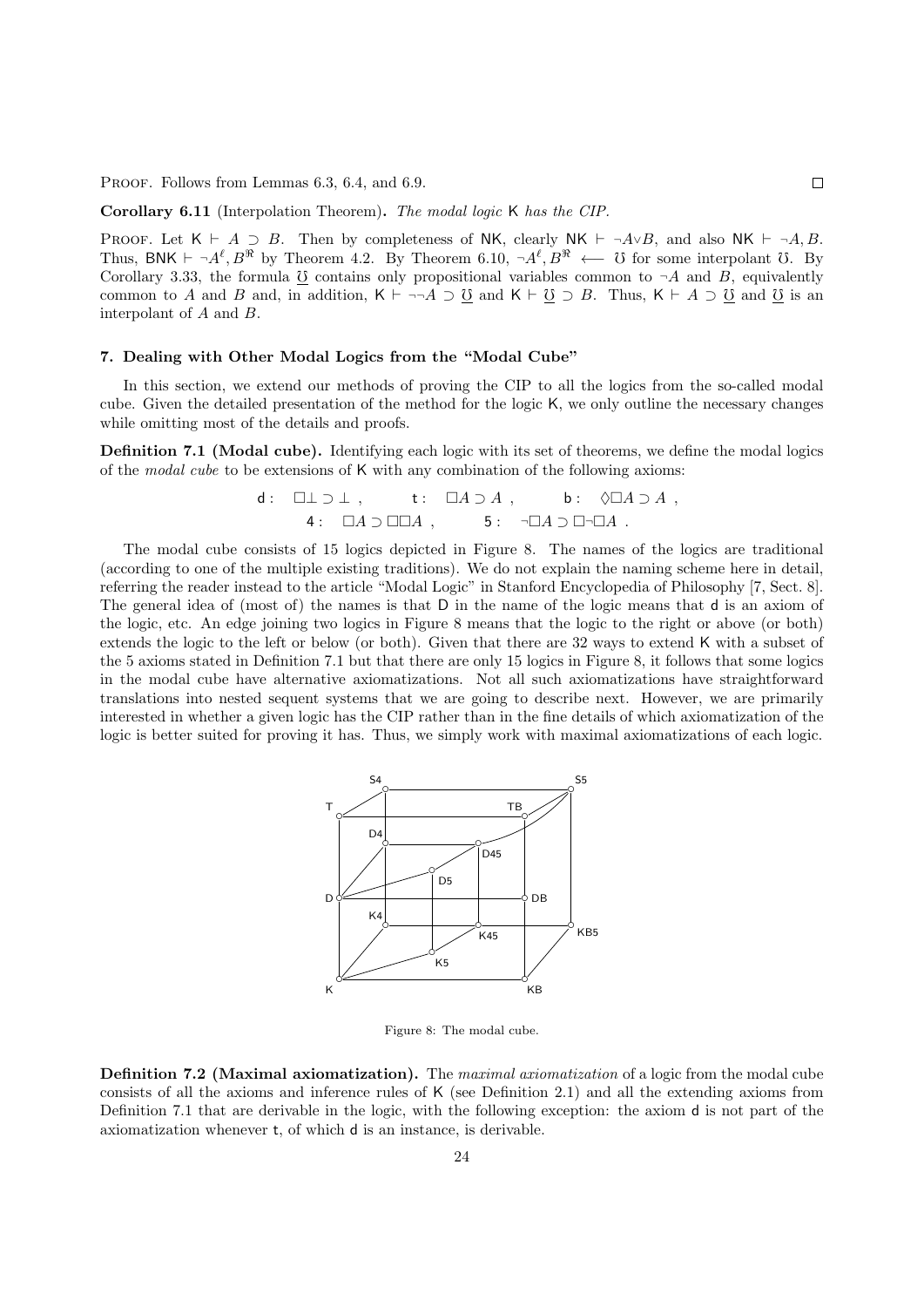PROOF. Follows from Lemmas 6.3, 6.4, and 6.9.

Corollary 6.11 (Interpolation Theorem). The modal logic K has the CIP.

PROOF. Let  $K \vdash A \supset B$ . Then by completeness of NK, clearly NK  $\vdash \neg A \lor B$ , and also NK  $\vdash \neg A, B$ . Thus, BNK  $\vdash \neg A^\ell, B^\Re$  by Theorem 4.2. By Theorem 6.10,  $\neg A^\ell, B^\Re \longleftarrow$  U for some interpolant U. By Corollary 3.33, the formula  $\underline{0}$  contains only propositional variables common to  $\neg A$  and B, equivalently common to A and B and, in addition,  $K \vdash \neg\neg A \supseteq \underline{0}$  and  $K \vdash \underline{0} \supseteq B$ . Thus,  $K \vdash A \supseteq \underline{0}$  and  $\underline{0}$  is an interpolant of A and B.

## 7. Dealing with Other Modal Logics from the "Modal Cube"

In this section, we extend our methods of proving the CIP to all the logics from the so-called modal cube. Given the detailed presentation of the method for the logic K, we only outline the necessary changes while omitting most of the details and proofs.

Definition 7.1 (Modal cube). Identifying each logic with its set of theorems, we define the modal logics of the modal cube to be extensions of  $K$  with any combination of the following axioms:

d: 
$$
\Box \bot \supset \bot
$$
, t:  $\Box A \supset A$ , b:  $\Diamond \Box A \supset A$ ,  
4:  $\Box A \supset \Box \Box A$ , 5:  $\neg \Box A \supset \Box \neg \Box A$ .

The modal cube consists of 15 logics depicted in Figure 8. The names of the logics are traditional (according to one of the multiple existing traditions). We do not explain the naming scheme here in detail, referring the reader instead to the article "Modal Logic" in Stanford Encyclopedia of Philosophy [7, Sect. 8]. The general idea of (most of) the names is that D in the name of the logic means that d is an axiom of the logic, etc. An edge joining two logics in Figure 8 means that the logic to the right or above (or both) extends the logic to the left or below (or both). Given that there are 32 ways to extend K with a subset of the 5 axioms stated in Definition 7.1 but that there are only 15 logics in Figure 8, it follows that some logics in the modal cube have alternative axiomatizations. Not all such axiomatizations have straightforward translations into nested sequent systems that we are going to describe next. However, we are primarily interested in whether a given logic has the CIP rather than in the fine details of which axiomatization of the logic is better suited for proving it has. Thus, we simply work with maximal axiomatizations of each logic.



Figure 8: The modal cube.

Definition 7.2 (Maximal axiomatization). The maximal axiomatization of a logic from the modal cube consists of all the axioms and inference rules of K (see Definition 2.1) and all the extending axioms from Definition 7.1 that are derivable in the logic, with the following exception: the axiom d is not part of the axiomatization whenever t, of which d is an instance, is derivable.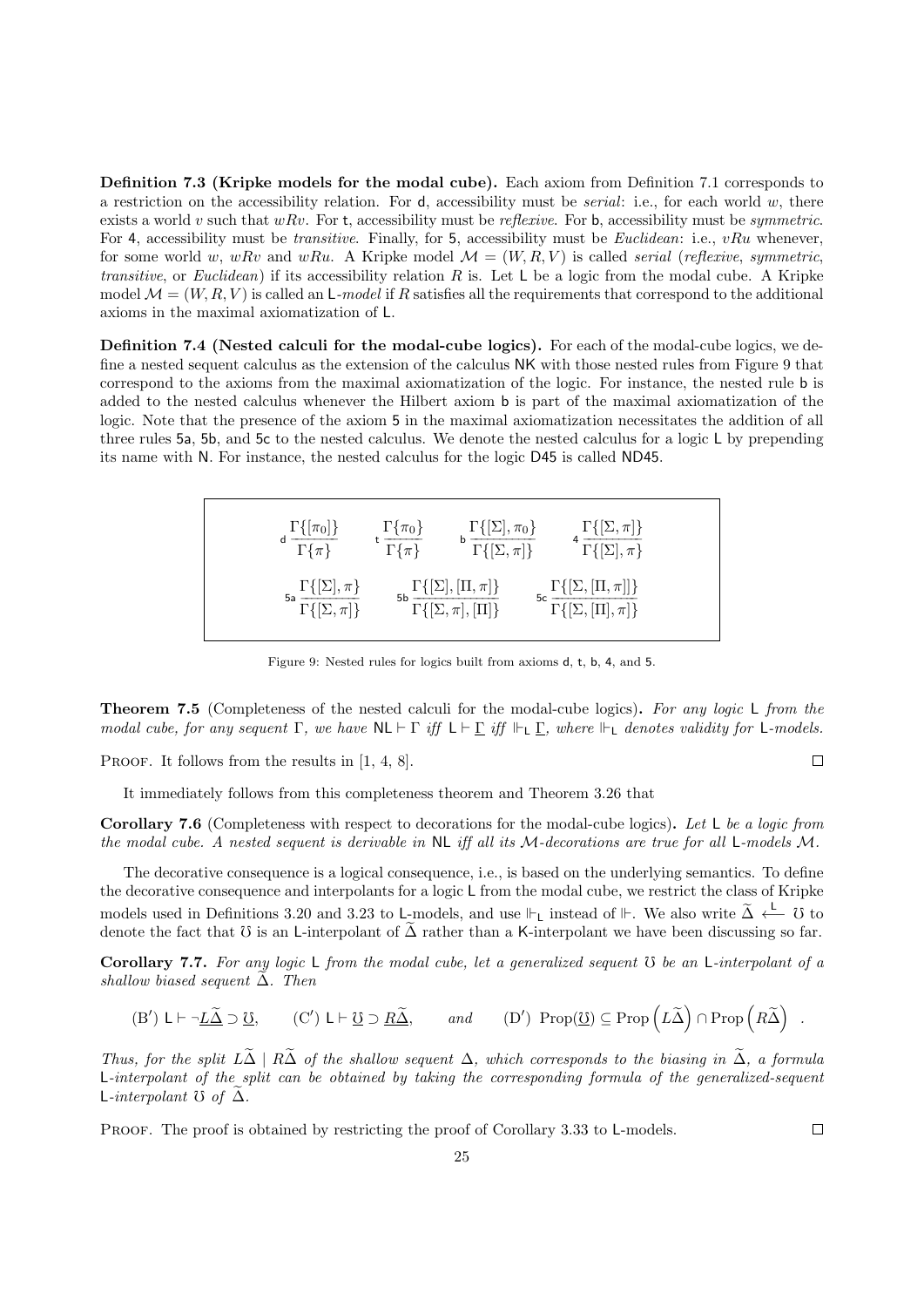Definition 7.3 (Kripke models for the modal cube). Each axiom from Definition 7.1 corresponds to a restriction on the accessibility relation. For  $d$ , accessibility must be *serial*: i.e., for each world  $w$ , there exists a world v such that wRv. For t, accessibility must be reflexive. For b, accessibility must be symmetric. For 4, accessibility must be *transitive*. Finally, for 5, accessibility must be *Euclidean*: i.e., vRu whenever, for some world w, wRv and wRu. A Kripke model  $\mathcal{M} = (W, R, V)$  is called *serial (reflexive, symmetric,* transitive, or Euclidean) if its accessibility relation R is. Let  $L$  be a logic from the modal cube. A Kripke model  $\mathcal{M} = (W, R, V)$  is called an L-model if R satisfies all the requirements that correspond to the additional axioms in the maximal axiomatization of L.

Definition 7.4 (Nested calculi for the modal-cube logics). For each of the modal-cube logics, we define a nested sequent calculus as the extension of the calculus NK with those nested rules from Figure 9 that correspond to the axioms from the maximal axiomatization of the logic. For instance, the nested rule b is added to the nested calculus whenever the Hilbert axiom b is part of the maximal axiomatization of the logic. Note that the presence of the axiom 5 in the maximal axiomatization necessitates the addition of all three rules 5a, 5b, and 5c to the nested calculus. We denote the nested calculus for a logic L by prepending its name with N. For instance, the nested calculus for the logic D45 is called ND45.

| d $\frac{\Gamma\{\pi_0\}}{\Gamma\{\pi\}}$                    | $\frac{\Gamma\{\pi_0\}}{\Gamma\{\pi\}}$ | ь $\frac{\Gamma\{[\Sigma], \pi_0\}}{\Gamma\{[\Sigma, \pi]\}}$       | $4 \frac{\Gamma\{[\Sigma,\pi]\}}{\Gamma\{[\Sigma],\pi\}}$                        |  |
|--------------------------------------------------------------|-----------------------------------------|---------------------------------------------------------------------|----------------------------------------------------------------------------------|--|
| 5a $\frac{\Gamma\{[\Sigma], \pi\}}{\Gamma\{[\Sigma, \pi]\}}$ |                                         | $\Gamma\{[\Sigma], [\Pi, \pi]\}$<br>$\Gamma\{[\Sigma,\pi],[\Pi]\}\$ | $\mathsf{5c}\,\frac{\Gamma\{[\Sigma,[\Pi,\pi]]\}}{\Gamma\{[\Sigma,[\Pi],\pi]\}}$ |  |

Figure 9: Nested rules for logics built from axioms d, t, b, 4, and 5.

**Theorem 7.5** (Completeness of the nested calculi for the modal-cube logics). For any logic L from the modal cube, for any sequent  $\Gamma$ , we have  $\mathsf{NL} \vdash \Gamma$  iff  $\mathsf{L} \vdash \Gamma$  iff  $\mathsf{L} \vdash \Gamma$ , where  $\mathsf{L}_{\mathsf{L}}$  denotes validity for  $\mathsf{L}\text{-}models$ .

PROOF. It follows from the results in [1, 4, 8].

It immediately follows from this completeness theorem and Theorem 3.26 that

Corollary 7.6 (Completeness with respect to decorations for the modal-cube logics). Let L be a logic from the modal cube. A nested sequent is derivable in NL iff all its M-decorations are true for all L-models M.

The decorative consequence is a logical consequence, i.e., is based on the underlying semantics. To define the decorative consequence and interpolants for a logic L from the modal cube, we restrict the class of Kripke models used in Definitions 3.20 and 3.23 to L-models, and use  $\Vdash$ <sub>L</sub> instead of  $\Vdash$ . We also write  $\widetilde{\Delta} \xleftarrow{\mathsf{L}} \mathcal{U}$  to denote the fact that  $\mathfrak T$  is an L-interpolant of  $\tilde\Delta$  rather than a K-interpolant we have been discussing so far.

**Corollary 7.7.** For any logic  $\sf L$  from the modal cube, let a generalized sequent  $\cal{O}$  be an  $\sf L\text{-}interpolant$  of a shallow biased sequent  $\Delta$ . Then

$$
(B')\,\, \mathsf{L}\vdash \neg \underline{L\widetilde{\Delta}}\supset \underline{\mho}, \qquad (C')\,\, \mathsf{L}\vdash \underline{\mho}\supset \underline{R\widetilde{\Delta}}, \qquad \text{and} \qquad (D')\ \, \mathop{\rm Prop}(\underline{\mho})\subseteq \mathop{\rm Prop}\left( L\widetilde{\Delta} \right)\cap \mathop{\rm Prop}\left( R\widetilde{\Delta} \right)\,\,.
$$

Thus, for the split  $L\tilde{\Delta} \mid R\tilde{\Delta}$  of the shallow sequent  $\Delta$ , which corresponds to the biasing in  $\tilde{\Delta}$ , a formula L-interpolant of the split can be obtained by taking the corresponding formula of the generalized-sequent L-interpolant  $\mathfrak O$  of  $\Delta$ .

PROOF. The proof is obtained by restricting the proof of Corollary 3.33 to L-models.

 $\Box$ 

 $\Box$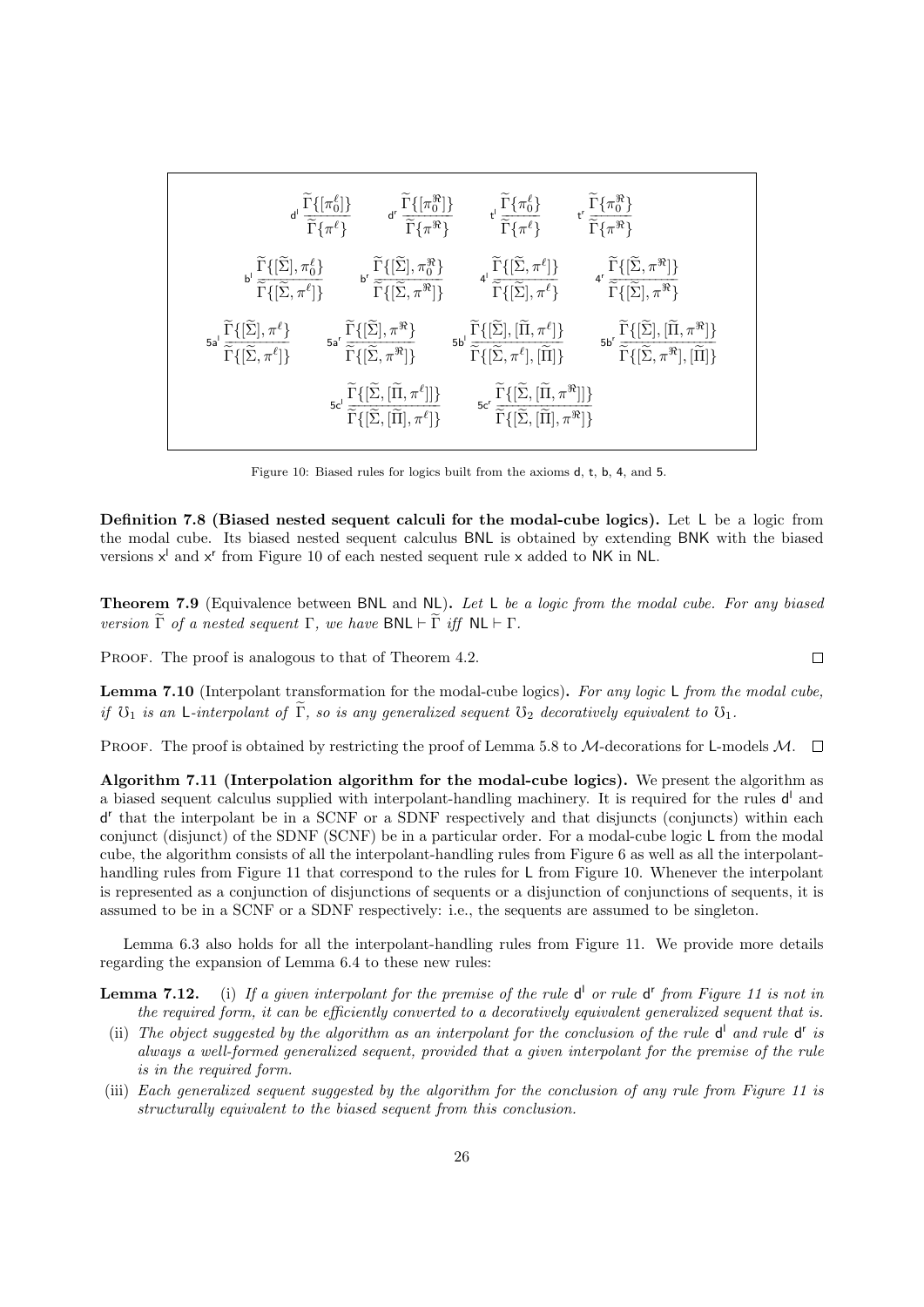|  |                                                                                                                                                                                                                             | $\mathsf{d}^{\mathsf{I}}\ \frac{\widetilde{\Gamma}\{ \pi_0^{\ell} \} \} {\widetilde{\Gamma}\{ \pi^{\ell} \} } \qquad \mathsf{d}^{\mathsf{r}}\ \frac{\widetilde{\Gamma}\{ \{\pi_0^{\Re}\} \} } {\widetilde{\Gamma}\{ \pi^{\Re}\} } \qquad \mathsf{t}^{\mathsf{I}}\ \frac{\widetilde{\Gamma}\{ \pi_0^{\ell} \} } {\widetilde{\Gamma}\{ \pi^{\ell} \} } \qquad \mathsf{t}^{\mathsf{r}}\ \frac{\widetilde{\Gamma}\{ \pi_0^{\Re}\} } {\widetilde{\Gamma}\{ \pi^{\Re}\} }$                                                        |                                                                                                                                                                        |
|--|-----------------------------------------------------------------------------------------------------------------------------------------------------------------------------------------------------------------------------|-----------------------------------------------------------------------------------------------------------------------------------------------------------------------------------------------------------------------------------------------------------------------------------------------------------------------------------------------------------------------------------------------------------------------------------------------------------------------------------------------------------------------------|------------------------------------------------------------------------------------------------------------------------------------------------------------------------|
|  |                                                                                                                                                                                                                             | $\label{eq:3.16} \begin{array}{llll} \widetilde{\Gamma}\{[\widetilde{\Sigma}],\pi^{\ell}_0\} & \qquad \qquad \mbox{if} \; \widetilde{\Gamma}\{[\widetilde{\Sigma}],\pi^{\Re}_0\} & \qquad \mbox{if} \; \widetilde{\Gamma}\{[\widetilde{\Sigma},\pi^{\ell}]\} & \qquad \mbox{if} \; \widetilde{\Gamma}\{[\widetilde{\Sigma},\pi^{\ell}]\} & \qquad \mbox{if} \; \widetilde{\Gamma}\{[\widetilde{\Sigma}],\pi^{\ell}\} \\ \end{array}$                                                                                        |                                                                                                                                                                        |
|  |                                                                                                                                                                                                                             | $\label{eq:5.16} \begin{aligned} &\widetilde{\Gamma}\{[\widetilde{\Sigma}],\pi^{\ell}\} \qquad \quad \text{as} \ \ \widetilde{\widetilde{\Gamma}}\{[\widetilde{\Sigma},\pi^{\Re}]\} \qquad \quad \text{as} \ \ \widetilde{\widetilde{\Gamma}}\{[\widetilde{\Sigma},\pi^{\Re}]\} \qquad \quad \text{as} \ \ \widetilde{\widetilde{\Gamma}}\{[\widetilde{\Sigma},\pi^{\Re}]\} \qquad \quad \text{as} \ \ \widetilde{\widetilde{\Gamma}}\{[\widetilde{\Sigma},\pi^{\ell}],[\widetilde{\Pi}]\} \qquad \quad \text{as} \ \ \end$ | $\text{5b'} \frac{\widetilde{\Gamma}\{[\widetilde{\Sigma}], [\widetilde{\Pi}, \pi^{\Re}]\}}{\widetilde{\Gamma}\{[\widetilde{\Sigma}, \pi^{\Re}], [\widetilde{\Pi}]\}}$ |
|  | $5c^{1} \frac{\widetilde{\Gamma}\{[\widetilde{\Sigma},[\widetilde{\Pi},\pi^{\ell}]]\}}{\widetilde{\sim}\widetilde{\sim}\widetilde{\sim}}$<br>$\widetilde{\Gamma} \{ [\widetilde{\Sigma}, [\widetilde{\Pi}], \pi^{\ell}] \}$ | $\mathsf{5c}^r \frac{\widetilde{\Gamma}\{[\widetilde{\Sigma},[\widetilde{\Pi},\pi^\Re]]\}}{\widetilde{\Gamma}\{[\widetilde{\Sigma},[\widetilde{\Pi}],\pi^\Re]\}}$                                                                                                                                                                                                                                                                                                                                                           |                                                                                                                                                                        |

Figure 10: Biased rules for logics built from the axioms d, t, b, 4, and 5.

Definition 7.8 (Biased nested sequent calculi for the modal-cube logics). Let L be a logic from the modal cube. Its biased nested sequent calculus BNL is obtained by extending BNK with the biased versions  $x^l$  and  $x^r$  from Figure 10 of each nested sequent rule x added to NK in NL.

Theorem 7.9 (Equivalence between BNL and NL). Let L be a logic from the modal cube. For any biased version  $\tilde{\Gamma}$  of a nested sequent  $\Gamma$ , we have  $\mathsf{BNL} \vdash \tilde{\Gamma}$  iff  $\mathsf{NL} \vdash \Gamma$ .

PROOF. The proof is analogous to that of Theorem 4.2.

Lemma 7.10 (Interpolant transformation for the modal-cube logics). For any logic L from the modal cube, if  $\mathfrak{O}_1$  is an L-interpolant of  $\widetilde{\Gamma}$ , so is any generalized sequent  $\mathfrak{O}_2$  decoratively equivalent to  $\mathfrak{O}_1$ .

PROOF. The proof is obtained by restricting the proof of Lemma 5.8 to M-decorations for L-models M.  $\Box$ 

Algorithm 7.11 (Interpolation algorithm for the modal-cube logics). We present the algorithm as a biased sequent calculus supplied with interpolant-handling machinery. It is required for the rules  $d^{\dagger}$  and d r that the interpolant be in a SCNF or a SDNF respectively and that disjuncts (conjuncts) within each conjunct (disjunct) of the SDNF (SCNF) be in a particular order. For a modal-cube logic L from the modal cube, the algorithm consists of all the interpolant-handling rules from Figure 6 as well as all the interpolanthandling rules from Figure 11 that correspond to the rules for L from Figure 10. Whenever the interpolant is represented as a conjunction of disjunctions of sequents or a disjunction of conjunctions of sequents, it is assumed to be in a SCNF or a SDNF respectively: i.e., the sequents are assumed to be singleton.

Lemma 6.3 also holds for all the interpolant-handling rules from Figure 11. We provide more details regarding the expansion of Lemma 6.4 to these new rules:

**Lemma 7.12.** (i) If a given interpolant for the premise of the rule  $d^{\dagger}$  or rule  $d^{\dagger}$  from Figure 11 is not in the required form, it can be efficiently converted to a decoratively equivalent generalized sequent that is.

- (ii) The object suggested by the algorithm as an interpolant for the conclusion of the rule  $d^{\text{I}}$  and rule  $d^{\text{r}}$  is always a well-formed generalized sequent, provided that a given interpolant for the premise of the rule is in the required form.
- (iii) Each generalized sequent suggested by the algorithm for the conclusion of any rule from Figure 11 is structurally equivalent to the biased sequent from this conclusion.

 $\Box$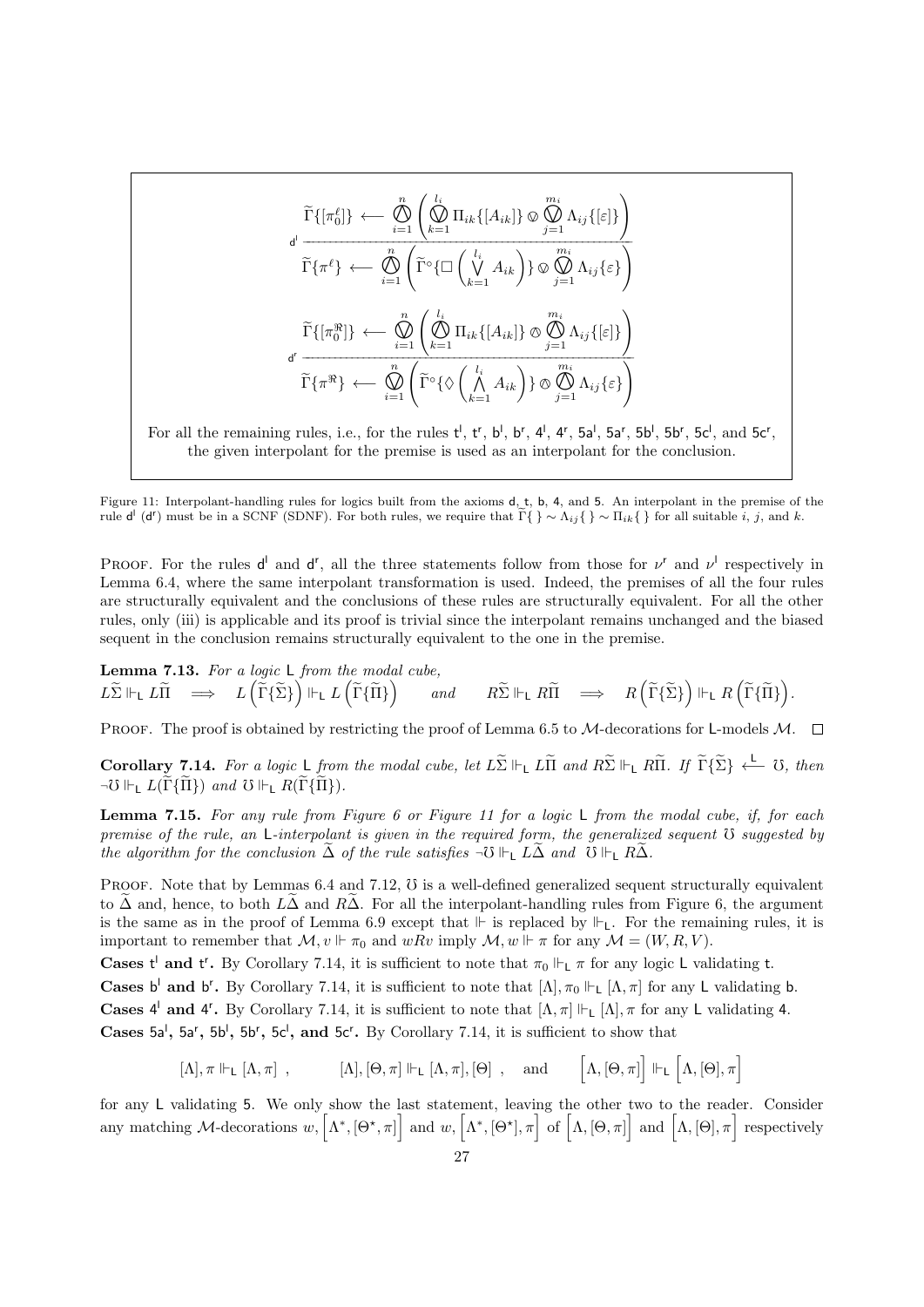$$
\widetilde{\Gamma}\{[\pi_0^{\ell}]\} \leftarrow \bigotimes_{i=1}^n \left( \bigotimes_{k=1}^{l_i} \Pi_{ik} \{[A_{ik}]\} \otimes \bigotimes_{j=1}^{m_i} \Lambda_{ij} \{[\varepsilon]\} \right)
$$
\n
$$
\widetilde{\Gamma}\{\pi^{\ell}\} \leftarrow \bigotimes_{i=1}^n \left( \widetilde{\Gamma}^{\circ} \{ \Box \left( \bigvee_{k=1}^{l_i} A_{ik} \right) \} \otimes \bigotimes_{j=1}^{m_i} \Lambda_{ij} \{ \varepsilon \} \right)
$$
\n
$$
\widetilde{\Gamma}\{[\pi_0^{\Re}] \} \leftarrow \bigotimes_{i=1}^n \left( \bigotimes_{k=1}^{l_i} \Pi_{ik} \{[A_{ik}] \} \otimes \bigotimes_{j=1}^{m_i} \Lambda_{ij} \{[\varepsilon]\} \right)
$$
\n
$$
\widetilde{\Gamma}\{\pi^{\Re}\} \leftarrow \bigotimes_{i=1}^n \left( \widetilde{\Gamma}^{\circ} \{ \Diamond \left( \bigwedge_{k=1}^{l_i} A_{ik} \right) \} \otimes \bigotimes_{j=1}^{m_i} \Lambda_{ij} \{ \varepsilon \} \right)
$$

For all the remaining rules, i.e., for the rules  $t^l$ ,  $t^r$ ,  $b^l$ ,  $b^r$ ,  $4^l$ ,  $4^r$ ,  $5a^l$ ,  $5a^r$ ,  $5b^l$ ,  $5b^r$ ,  $5c^l$ , and  $5c^r$ , the given interpolant for the premise is used as an interpolant for the conclusion.

Figure 11: Interpolant-handling rules for logics built from the axioms d, t, b, 4, and 5. An interpolant in the premise of the rule  $\mathsf{d}^{\mathsf{I}}(\mathsf{d}^{\mathsf{r}})$  must be in a SCNF (SDNF). For both rules, we require that  $\tilde{\Gamma}\{\}\sim\Lambda_{ij}\{\}\sim\Pi_{ik}\{\}\$  for all suitable *i*, *j*, and *k*.

PROOF. For the rules  $d^{\dagger}$  and  $d^{\dagger}$ , all the three statements follow from those for  $\nu^{\dagger}$  and  $\nu^{\dagger}$  respectively in Lemma 6.4, where the same interpolant transformation is used. Indeed, the premises of all the four rules are structurally equivalent and the conclusions of these rules are structurally equivalent. For all the other rules, only (iii) is applicable and its proof is trivial since the interpolant remains unchanged and the biased sequent in the conclusion remains structurally equivalent to the one in the premise.

Lemma 7.13. For a logic L from the modal cube,  $L\widetilde{\Sigma}\Vdash_{\mathsf{L}} L\widetilde{\Pi} \quad\Longrightarrow\quad L\left(\widetilde{\Gamma}\{\widetilde{\Sigma}\}\right)\Vdash_{\mathsf{L}} L\left(\widetilde{\Gamma}\{\widetilde{\Pi}\}\right) \qquad and \qquad R\widetilde{\Sigma}\Vdash_{\mathsf{L}} R\widetilde{\Pi} \quad\Longrightarrow\quad R\left(\widetilde{\Gamma}\{\widetilde{\Sigma}\}\right)\Vdash_{\mathsf{L}} R\left(\widetilde{\Gamma}\{\widetilde{\Pi}\}\right).$ 

PROOF. The proof is obtained by restricting the proof of Lemma 6.5 to M-decorations for L-models M.  $\Box$ 

Corollary 7.14. For a logic L from the modal cube, let  $L\widetilde{\Sigma} \Vdash_L L\widetilde{\Pi}$  and  $R\widetilde{\Sigma} \Vdash_L R\widetilde{\Pi}$ . If  $\widetilde{\Gamma} \{\widetilde{\Sigma}\} \stackrel{\mathsf{L}}{\longleftarrow} \mathbb{U}$ , then  $\neg \mho \Vdash_L L(\widetilde{\Gamma} {\{\widetilde{\Pi}\}})$  and  $\mho \Vdash_L R(\widetilde{\Gamma} {\{\widetilde{\Pi}\}}).$ 

**Lemma 7.15.** For any rule from Figure 6 or Figure 11 for a logic  $\sf L$  from the modal cube, if, for each premise of the rule, an  $L$ -interpolant is given in the required form, the generalized sequent  $\mathfrak V$  suggested by the algorithm for the conclusion  $\Delta$  of the rule satisfies  $\neg \mathcal{O} \Vdash_{\mathsf{L}} L\Delta$  and  $\mathcal{O} \Vdash_{\mathsf{L}} R\Delta$ .

PROOF. Note that by Lemmas  $6.4$  and  $7.12$ ,  $\sigma$  is a well-defined generalized sequent structurally equivalent to  $\tilde{\Delta}$  and, hence, to both  $L\tilde{\Delta}$  and  $R\tilde{\Delta}$ . For all the interpolant-handling rules from Figure 6, the argument is the same as in the proof of Lemma 6.9 except that  $\Vdash$  is replaced by  $\Vdash$ <sub>L</sub>. For the remaining rules, it is important to remember that  $\mathcal{M}, v \Vdash \pi_0$  and  $wRv$  imply  $\mathcal{M}, w \Vdash \pi$  for any  $\mathcal{M} = (W, R, V)$ .

**Cases t'** and t'. By Corollary 7.14, it is sufficient to note that  $\pi_0 \Vdash_L \pi$  for any logic L validating t.

Cases b<sup>1</sup> and b<sup>r</sup>. By Corollary 7.14, it is sufficient to note that  $[\Lambda], \pi_0 \Vdash_L [\Lambda, \pi]$  for any L validating b. Cases  $4^l$  and  $4^r$ . By Corollary 7.14, it is sufficient to note that  $[\Lambda, \pi] \Vdash_L [\Lambda], \pi$  for any L validating 4.

Cases 5a', 5a', 5b', 5b', 5c', and 5c'. By Corollary 7.14, it is sufficient to show that

 $[\Lambda], \pi \Vdash_L [\Lambda, \pi]$ ,  $[\Lambda], [\Theta, \pi] \Vdash_L [\Lambda, \pi], [\Theta]$ , and  $[\Lambda, [\Theta, \pi]] \Vdash_L [\Lambda, [\Theta], \pi]$ 

for any L validating 5. We only show the last statement, leaving the other two to the reader. Consider any matching M-decorations w,  $[\Lambda^*, [\Theta^*, \pi]]$  and w,  $[\Lambda^*, [\Theta^*], \pi]$  of  $[\Lambda, [\Theta, \pi]]$  and  $[\Lambda, [\Theta], \pi]$  respectively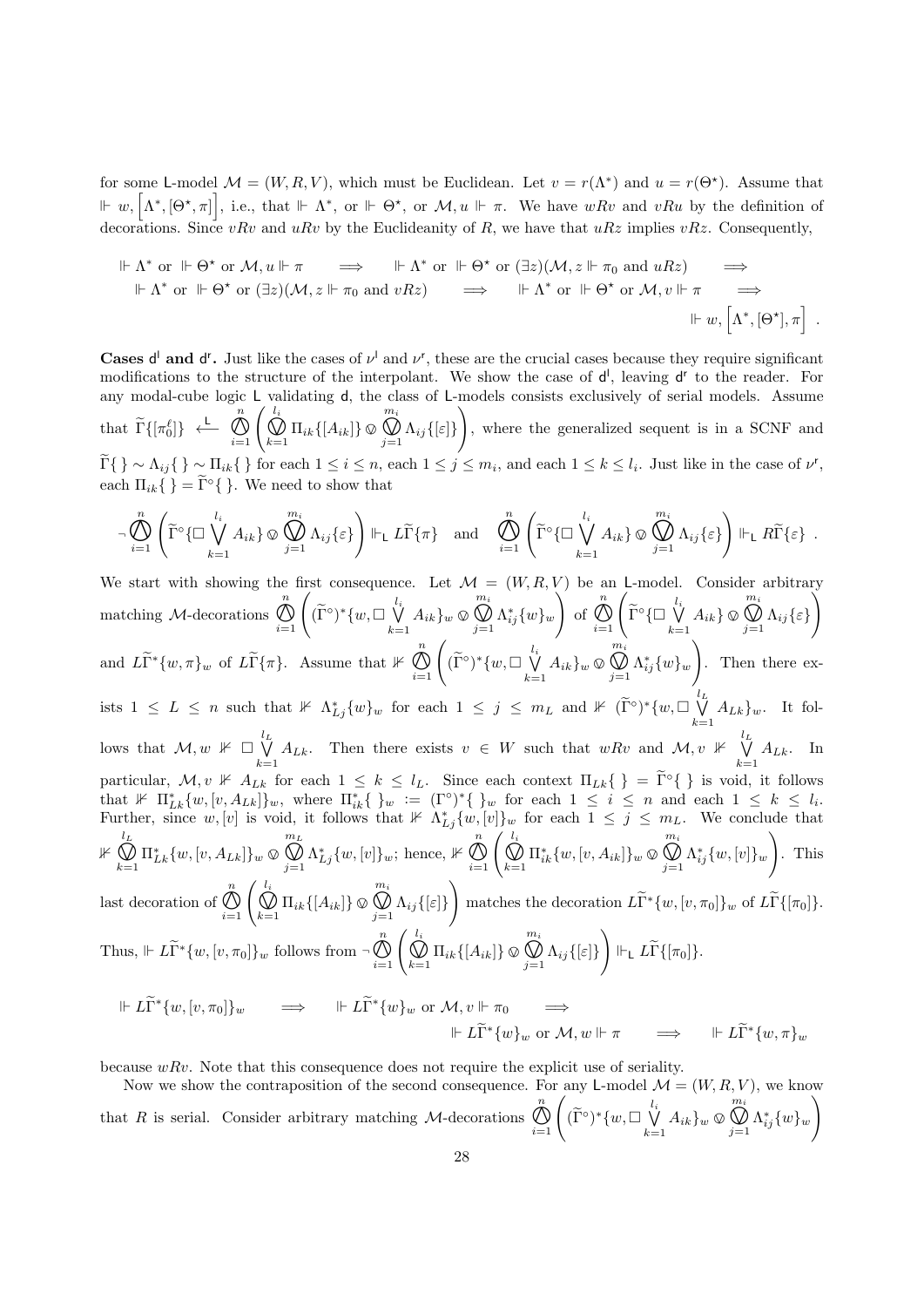for some L-model  $\mathcal{M} = (W, R, V)$ , which must be Euclidean. Let  $v = r(\Lambda^*)$  and  $u = r(\Theta^*)$ . Assume that  $\mathbb{H} \left[ w, \left[ \Lambda^*, [\Theta^*, \pi] \right], \text{ i.e., that } \mathbb{H} \Lambda^*, \text{ or } \mathbb{H} \Theta^*, \text{ or } \mathcal{M}, u \Vdash \pi.$  We have  $wRv$  and  $vRu$  by the definition of decorations. Since vRv and uRv by the Euclideanity of R, we have that  $uRz$  implies vRz. Consequently,

$$
\begin{array}{ccc}\n\Vdash \Lambda^* \text{ or } \Vdash \Theta^* \text{ or } \mathcal{M}, u \Vdash \pi \implies & \Vdash \Lambda^* \text{ or } \Vdash \Theta^* \text{ or } (\exists z)(\mathcal{M}, z \Vdash \pi_0 \text{ and } uRz) \implies \\
\Vdash \Lambda^* \text{ or } \Vdash \Theta^* \text{ or } (\exists z)(\mathcal{M}, z \Vdash \pi_0 \text{ and } vRz) \implies & \Vdash \Lambda^* \text{ or } \Vdash \Theta^* \text{ or } \mathcal{M}, v \Vdash \pi \implies \\
& & \Vdash w, \left[\Lambda^*, [\Theta^*], \pi\right] \end{array}
$$

**Cases d'** and d<sup>r</sup>. Just like the cases of  $\nu^l$  and  $\nu^r$ , these are the crucial cases because they require significant modifications to the structure of the interpolant. We show the case of  $d^{\dagger}$ , leaving  $d^{\dagger}$  to the reader. For any modal-cube logic L validating d, the class of L-models consists exclusively of serial models. Assume that  $\widetilde{\Gamma}\{\left[\pi_0^{\ell}\right]\}\leftarrow$ n  $\bigotimes_{i=1}^n \left( \bigotimes_{k=1}^{l_i} \Pi_{ik} \{ [A_{ik}] \} \otimes \right)$  $m_i$  $\bigcup_{j=1}$   $\Lambda_{ij}$  {[ $\varepsilon$ ]}  $\setminus$ , where the generalized sequent is in a SCNF and  $\{\widetilde{\Gamma}\}\}\sim\Lambda_{ij}\{\}\sim\Pi_{ik}\{\}\$  for each  $1\leq i\leq n$ , each  $1\leq j\leq m_i$ , and each  $1\leq k\leq l_i$ . Just like in the case of  $\nu^{\mathsf{r}},$ each  $\Pi_{ik} \{ \} = \tilde{\Gamma}^{\circ} \{ \}$ . We need to show that

$$
\neg \bigotimes_{i=1}^{n} \left( \widetilde{\Gamma}^{\circ} \{ \Box \bigvee_{k=1}^{l_i} A_{ik} \} \otimes \bigotimes_{j=1}^{m_i} \Lambda_{ij} \{ \varepsilon \} \right) \Vdash_{\mathsf{L}} L \widetilde{\Gamma} \{ \pi \} \quad \text{and} \quad \bigotimes_{i=1}^{n} \left( \widetilde{\Gamma}^{\circ} \{ \Box \bigvee_{k=1}^{l_i} A_{ik} \} \otimes \bigotimes_{j=1}^{m_i} \Lambda_{ij} \{ \varepsilon \} \right) \Vdash_{\mathsf{L}} R \widetilde{\Gamma} \{ \varepsilon \} .
$$

We start with showing the first consequence. Let  $\mathcal{M} = (W, R, V)$  be an L-model. Consider arbitrary matching M-decorations n  $\bigotimes_{i=1}^n \left( (\widetilde{\Gamma}^\circ)^* \{w, \Box \bigvee_{k=1}^{l_i} \right)$  $\bigvee_{k=1} A_{ik} \}_w \otimes$ m<sup>i</sup>  $\bigotimes_{j=1} \Lambda_{ij}^*\{w\}_w$  $\setminus$ of n  $\bigotimes_{i=1}^n \left( \widetilde{\Gamma}^\circ \{ \Box \bigvee_{k=1}^{l_i} \right)$  $\bigvee_{k=1} A_{ik} \otimes$ m<sup>i</sup>  $\bigcup_{j=1}$   $\Lambda_{ij}$  {  $\varepsilon$  }  $\setminus$ and  $L\widetilde{\Gamma}^*\{w,\pi\}_w$  of  $L\widetilde{\Gamma}\{\pi\}$ . Assume that  $\nVdash \bigotimes_{i=1}^n L$  $\bigotimes_{i=1}^n \left( (\widetilde{\Gamma}^\circ)^* \{w, \Box \bigvee_{k=1}^{l_i} \right)$  $\bigvee_{k=1} A_{ik} \}_w \otimes$  $m_i$  $\bigcup_{j=1}^{\infty} \Lambda^*_{ij} \{w\}_w$  $\setminus$ . Then there exists  $1 \leq L \leq n$  such that  $\mathbb{1} \nmid \Lambda^*_{Lj}\{w\}_w$  for each  $1 \leq j \leq m_L$  and  $\mathbb{1} \nmid (\widetilde{\Gamma}^{\circ})^*\{w, \Box \bigvee_{k=1}^{l_L} A_{Lk}\}_w$ . It fol $k=1$ lows that  $\mathcal{M}, w \not\vDash \Box \bigvee^{l_L}$  $\bigvee_{k=1}^{l_L} A_{Lk}$ . Then there exists  $v \in W$  such that  $wRv$  and  $\mathcal{M}, v \not\vDash \bigvee_{k=1}^{l_L} A_{Lk}$ .  $\bigvee_{k=1} A_{Lk}$ . In particular,  $M, v \not\Vdash A_{Lk}$  for each  $1 \leq k \leq l_L$ . Since each context  $\Pi_{Lk} \{ \} = \tilde{\Gamma} \circ \{ \}$  is void, it follows that  $V \Pi_{Lk}^* \{ w, [v, A_{Lk}] \}_w$ , where  $\Pi_{ik}^* \{ \}_w := (\Gamma \circ)^* \{ \}_w$  for each  $1 \leq i \leq n$  and each  $1 \leq k \leq$ Further, since w, [v] is void, it follows that  $\mathbb{1} \times \Lambda_{L_j}^* \{w, [v]\}_w$  for each  $1 \leq j \leq m_L$ . We conclude that  $\mathbb F\stackrel{l_L}{\textstyle\bigcirc\hspace{-0.25cm}}$  $\bigotimes_{k=1}\Pi_{Lk}^{\ast}\{w,[v,A_{Lk}]\}_w\otimes$  $m<sub>L</sub>$  $\bigotimes_{j=1}^{m_L} \Lambda_{Lj}^* \{w, [v]\}_w$ ; hence,  $\nparallel \bigotimes_{i=1}^n$  $\bigotimes_{i=1}^{n} \left( \bigotimes_{k=1}^{l_i} \Pi_{ik}^* \{w, [v, A_{ik}]\}_w \, \mathbb{Q} \right)$  $m_i$  $\bigotimes_{j=1} \Lambda_{ij}^*\{w,[v]\}_w$  $\setminus$ . This last decoration of n  $\bigotimes_{i=1}^n \left( \bigotimes_{k=1}^{l_i} \Pi_{ik} \{ [A_{ik}] \} \otimes$  $m_i$  $\bigcup_{j=1}$   $\Lambda_{ij}$  {[ $\varepsilon$ ]}  $\setminus$ matches the decoration  $L\tilde{\Gamma}^*\{w,[v,\pi_0]\}_w$  of  $L\tilde{\Gamma}\{[\pi_0]\}.$ Thus,  $\Vdash L\widetilde{\Gamma}^*\{w,[v,\pi_0]\}_w$  follows from  $\neg \bigotimes_{i=1}^n$  $\bigotimes_{i=1}^n \left( \bigotimes_{k=1}^{l_i} \Pi_{ik} \{ [A_{ik}] \} \otimes$  $m_i$  $\bigcup_{j=1}$   $\Lambda_{ij}$  {[ $\varepsilon$ ]}  $\Biggr) \Vdash_{\mathsf{L}} L\widetilde{\Gamma}\{[\pi_0]\}.$  $\Vdash \tilde{L}(\tilde{\Gamma}^* \{w, [v, \pi_0]\}_w \quad \Longrightarrow \quad \Vdash \tilde{L}(\tilde{\Gamma}^* \cap \Gamma^* \mathcal{I})$  $\{w\}_w$  or  $\mathcal{M}, v \Vdash \pi_0 \implies$ 

$$
L1^* \{w, [v, \pi_0]\}_w \qquad \Longrightarrow \qquad \Vdash L1^* \{w\}_w \text{ or } \mathcal{M}, v \Vdash \pi_0 \qquad \Longrightarrow \qquad \qquad \Vdash L\widetilde{\Gamma}^* \{w\}_w \text{ or } \mathcal{M}, w \Vdash \pi \qquad \Longrightarrow \qquad \Vdash L\widetilde{\Gamma}^* \{w, \pi\}_w
$$

because  $wRv$ . Note that this consequence does not require the explicit use of seriality.

Now we show the contraposition of the second consequence. For any L-model  $\mathcal{M} = (W, R, V)$ , we know that  $R$  is serial. Consider arbitrary matching  $M$ -decorations n  $\bigotimes_{i=1}^n \left( (\widetilde{\Gamma}^\circ)^* \{w, \Box \bigvee_{k=1}^{l_i} \right)$  $\bigvee_{k=1} A_{ik} \}_w \otimes$  $m_i$  $\bigotimes_{j=1} \Lambda_{ij}^*\{w\}_w$  $\setminus$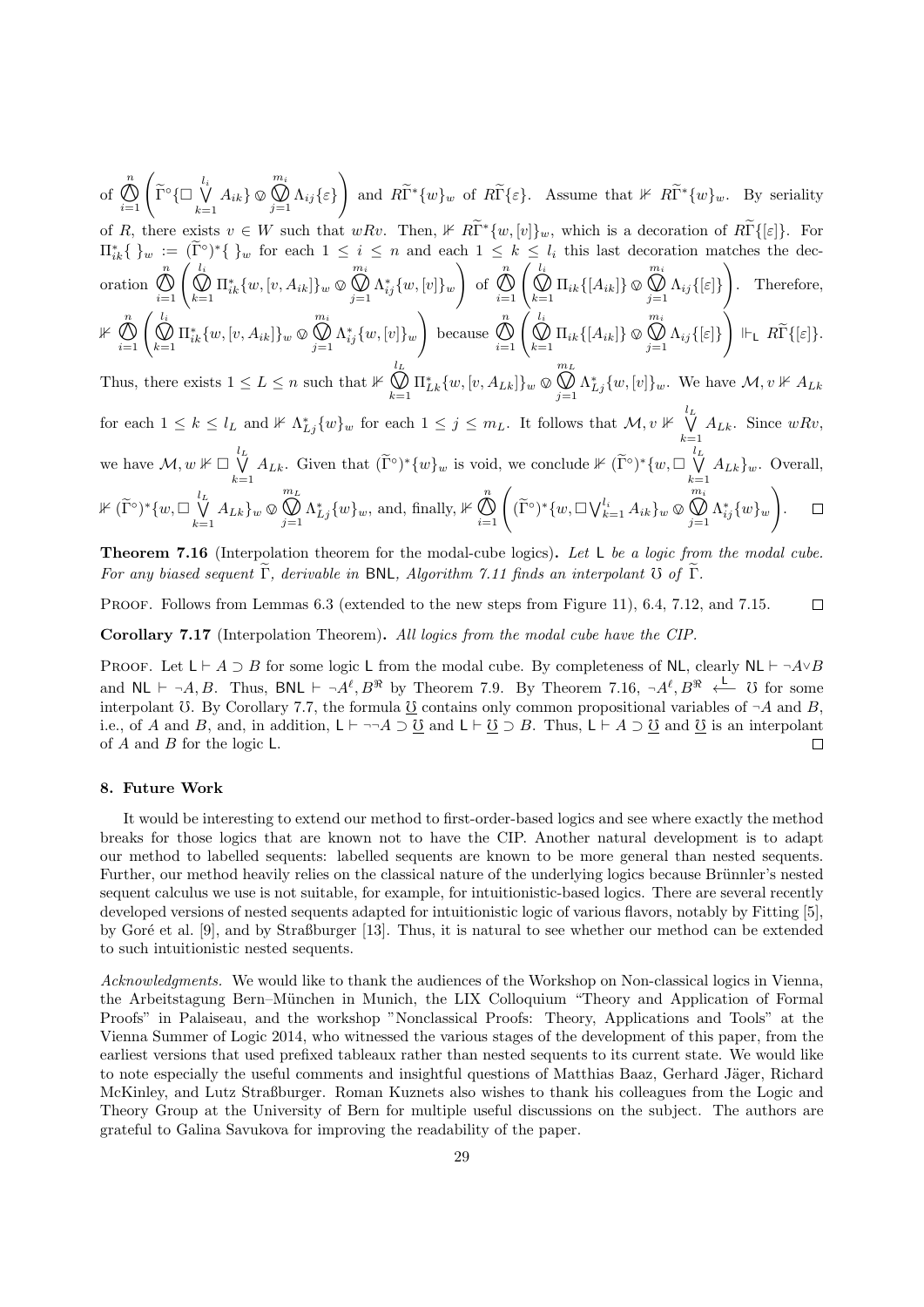of n  $\bigotimes_{i=1}^n \left( \widetilde{\Gamma}^\circ \{ \square \bigvee_{k=1}^{l_i} \right)$  $\bigvee_{k=1} A_{ik} \otimes$ m<sup>i</sup>  $\bigcup_{j=1}$   $\Lambda_{ij}$  {  $\varepsilon$  } and  $R\widetilde{\Gamma}^*\{w\}_w$  of  $R\widetilde{\Gamma}\{\varepsilon\}$ . Assume that  $\nvdash R\widetilde{\Gamma}^*\{w\}_w$ . By seriality of R, there exists  $v \in W$  such that  $wRv$ . Then,  $\nvdash R\widetilde{\Gamma}^*\{w,[v]\}_w$ , which is a decoration of  $R\widetilde{\Gamma}\{[\varepsilon]\}$ . For  $\prod_{i=1}^{k} \{y_{w} := (\tilde{\Gamma}^{\circ})^{*}\{y_{w}\}$  for each  $1 \leq i \leq n$  and each  $1 \leq k \leq l_{i}$  this last decoration matches the decoration n  $\bigotimes_{i=1}^{n} \left( \bigotimes_{k=1}^{l_i} \Pi_{ik}^* \{w, [v, A_{ik}]\}_w \, \mathbb{Q} \right)$ m<sup>i</sup>  $\bigoplus_{j=1} \Lambda_{ij}^*\{w,[v]\}_w$  $\setminus$ of n  $\bigotimes_{i=1}^n \left( \bigotimes_{k=1}^{l_i} \Pi_{ik} \{ [A_{ik}] \} \otimes \right)$ m<sup>i</sup>  $\bigcup_{j=1}$   $\Lambda_{ij}$  {[ $\varepsilon$ ]}  $\setminus$ . Therefore,  $\not\Vdash\stackrel{n}{\cal O}$  $\bigotimes_{i=1}^{n} \left( \bigotimes_{k=1}^{l_i} \Pi_{ik}^* \{w, [v, A_{ik}]\}_w \, \mathbb{Q} \right)$ m<sup>i</sup>  $\bigoplus_{j=1} \Lambda_{ij}^*\{w,[v]\}_w$  $\setminus$ because n  $\bigotimes_{i=1}^n \left( \bigotimes_{k=1}^{l_i} \Pi_{ik} \{ [A_{ik}] \} \otimes$ m<sup>i</sup>  $\bigcup_{j=1}$   $\Lambda_{ij}$  {[ $\varepsilon$ ]}  $\Bigg) \ \Vdash_{\sf L} \ R\widetilde{\Gamma}\{[\varepsilon]\}.$  $m<sub>L</sub>$ 

Thus, there exists  $1 \leq L \leq n$  such that  $\mathbb{1}^L$  $\bigotimes_{k=1} \Pi_{Lk}^* \{w, [v, A_{Lk}]\}_w \otimes$  $\bigotimes_{j=1} \Lambda_{Lj}^* \{w, [v]\}_w$ . We have  $\mathcal{M}, v \nVdash A_{Lk}$ for each  $1 \leq k \leq l_L$  and  $\mathbb{1} \mathbb{1}_{\Lambda_{L_j}^*}\{w\}_w$  for each  $1 \leq j \leq m_L$ . It follows that  $\mathcal{M}, v \not\Vdash \bigvee^{l_L}_{\Lambda_{L_j}}$  $\bigvee_{k=1} A_{Lk}$ . Since  $wRv$ , we have  $\mathcal{M}, w \nVdash \Box \bigvee^{l_L}$  $\bigvee_{k=1}^{l_L} A_{Lk}$ . Given that  $(\widetilde{\Gamma}^{\circ})^*\{w\}_w$  is void, we conclude  $\nVdash (\widetilde{\Gamma}^{\circ})^*\{w,\Box\bigvee_{k=1}^{l_L} \widetilde{\Gamma}^{\circ}$  $\bigvee_{k=1} A_{Lk} \}_w$ . Overall,  $\bigotimes_{j=1}^{m_L} \Lambda_{Lj}^* \{w\}_w$ , and, finally,  $\nVdash \bigotimes_{i=1}^n$  $m<sub>L</sub>$  $\bigotimes_{i=1}^n \left( (\widetilde{\Gamma}^\circ)^* \{w, \Box \bigvee_{k=1}^{l_i} A_{ik} \}_w \, \mathbb{Q} \right)$  $m_i$  $\setminus$  $\not\Vdash (\widetilde{\Gamma}^\circ)^*\{w,\Box\bigvee\limits_{l_{\square}}^{l_{L}}$  $\bigotimes_{j=1} \Lambda_{ij}^*\{w\}_w$  $\Box$  $\bigvee_{k=1} A_{Lk} \}_w \otimes$ .

Theorem 7.16 (Interpolation theorem for the modal-cube logics). Let L be a logic from the modal cube. For any biased sequent  $\widetilde{\Gamma}$ , derivable in BNL, Algorithm 7.11 finds an interpolant  $\widetilde{\sigma}$  of  $\widetilde{\Gamma}$ .

PROOF. Follows from Lemmas 6.3 (extended to the new steps from Figure 11), 6.4, 7.12, and 7.15.  $\Box$ 

Corollary 7.17 (Interpolation Theorem). All logics from the modal cube have the CIP.

PROOF. Let  $\mathsf{L} \vdash A \supset B$  for some logic L from the modal cube. By completeness of NL, clearly NL  $\vdash \neg A \lor B$ and  $\mathsf{NL} \vdash \neg A, B$ . Thus,  $\mathsf{BNL} \vdash \neg A^\ell, B^\Re$  by Theorem 7.9. By Theorem 7.16,  $\neg A^\ell, B^\Re \stackrel{\mathsf{L}}{\longleftarrow} \mathsf{U}$  for some interpolant  $\ddot{o}$ . By Corollary 7.7, the formula  $\underline{\ddot{o}}$  contains only common propositional variables of  $\neg A$  and  $B$ , i.e., of A and B, and, in addition, L  $\vdash \neg \neg A \supseteq \underline{0}$  and L  $\vdash \underline{0} \supseteq B$ . Thus, L  $\vdash A \supseteq \underline{0}$  and  $\underline{0}$  is an interpolant of  $A$  and  $B$  for the logic  $L$ . П

# 8. Future Work

It would be interesting to extend our method to first-order-based logics and see where exactly the method breaks for those logics that are known not to have the CIP. Another natural development is to adapt our method to labelled sequents: labelled sequents are known to be more general than nested sequents. Further, our method heavily relies on the classical nature of the underlying logics because Brünnler's nested sequent calculus we use is not suitable, for example, for intuitionistic-based logics. There are several recently developed versions of nested sequents adapted for intuitionistic logic of various flavors, notably by Fitting [5], by Goré et al. [9], and by Straßburger [13]. Thus, it is natural to see whether our method can be extended to such intuitionistic nested sequents.

Acknowledgments. We would like to thank the audiences of the Workshop on Non-classical logics in Vienna, the Arbeitstagung Bern–München in Munich, the LIX Colloquium "Theory and Application of Formal Proofs" in Palaiseau, and the workshop "Nonclassical Proofs: Theory, Applications and Tools" at the Vienna Summer of Logic 2014, who witnessed the various stages of the development of this paper, from the earliest versions that used prefixed tableaux rather than nested sequents to its current state. We would like to note especially the useful comments and insightful questions of Matthias Baaz, Gerhard Jäger, Richard McKinley, and Lutz Straßburger. Roman Kuznets also wishes to thank his colleagues from the Logic and Theory Group at the University of Bern for multiple useful discussions on the subject. The authors are grateful to Galina Savukova for improving the readability of the paper.